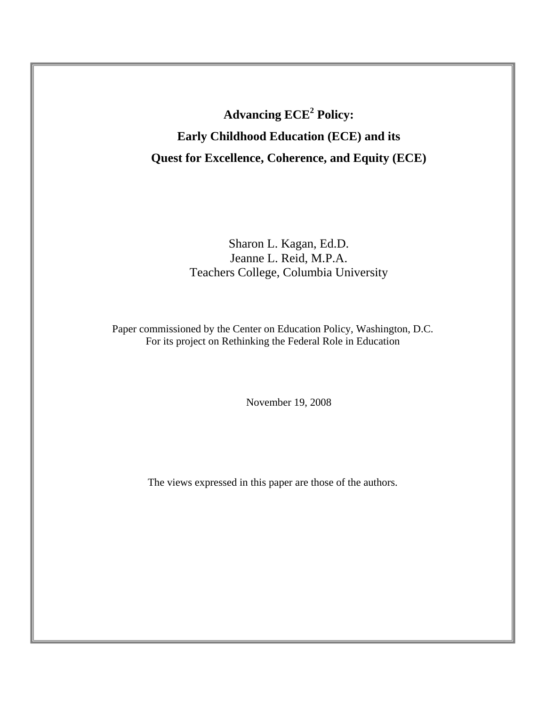**Advancing ECE<sup>2</sup> Policy: Early Childhood Education (ECE) and its Quest for Excellence, Coherence, and Equity (ECE)** 

## Sharon L. Kagan, Ed.D. Jeanne L. Reid, M.P.A. Teachers College, Columbia University

Paper commissioned by the Center on Education Policy, Washington, D.C. For its project on Rethinking the Federal Role in Education

November 19, 2008

The views expressed in this paper are those of the authors.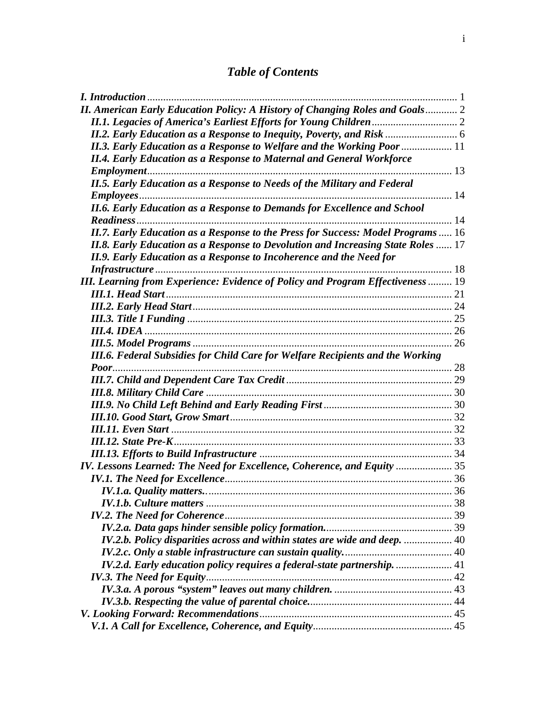# *Table of Contents*

| I. Introduction                                                                         |    |
|-----------------------------------------------------------------------------------------|----|
| <b>II. American Early Education Policy: A History of Changing Roles and Goals 2</b>     |    |
|                                                                                         |    |
|                                                                                         |    |
| II.3. Early Education as a Response to Welfare and the Working Poor  11                 |    |
| <b>II.4. Early Education as a Response to Maternal and General Workforce</b>            |    |
|                                                                                         |    |
| <b>II.5. Early Education as a Response to Needs of the Military and Federal</b>         |    |
|                                                                                         |    |
| <b>II.6. Early Education as a Response to Demands for Excellence and School</b>         |    |
|                                                                                         |    |
| II.7. Early Education as a Response to the Press for Success: Model Programs  16        |    |
| <b>II.8. Early Education as a Response to Devolution and Increasing State Roles  17</b> |    |
| <b>II.9. Early Education as a Response to Incoherence and the Need for</b>              |    |
|                                                                                         |    |
| III. Learning from Experience: Evidence of Policy and Program Effectiveness  19         |    |
|                                                                                         |    |
|                                                                                         |    |
|                                                                                         |    |
|                                                                                         |    |
|                                                                                         |    |
| III.6. Federal Subsidies for Child Care for Welfare Recipients and the Working          |    |
|                                                                                         |    |
|                                                                                         |    |
|                                                                                         |    |
|                                                                                         |    |
|                                                                                         |    |
|                                                                                         |    |
|                                                                                         |    |
|                                                                                         |    |
| IV. Lessons Learned: The Need for Excellence, Coherence, and Equity  35                 |    |
|                                                                                         |    |
| IV.1.a. Quality matters                                                                 | 36 |
|                                                                                         |    |
|                                                                                         |    |
|                                                                                         |    |
| IV.2.b. Policy disparities across and within states are wide and deep.  40              |    |
|                                                                                         |    |
| IV.2.d. Early education policy requires a federal-state partnership.  41                |    |
|                                                                                         |    |
|                                                                                         |    |
|                                                                                         |    |
|                                                                                         |    |
|                                                                                         |    |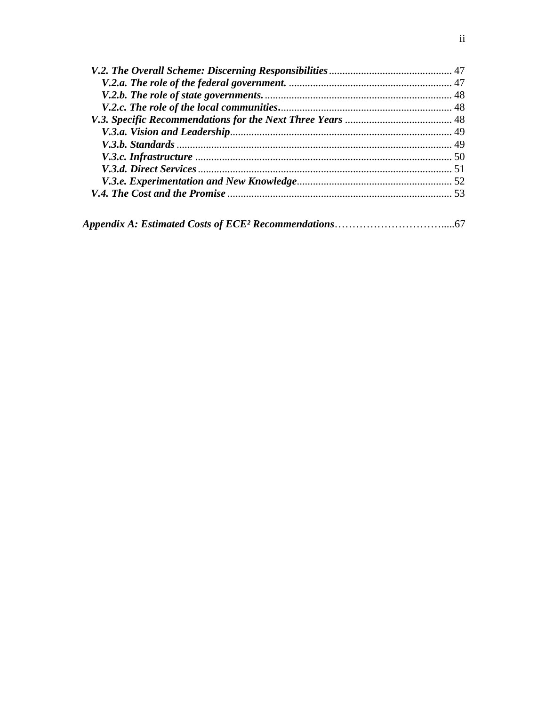|--|--|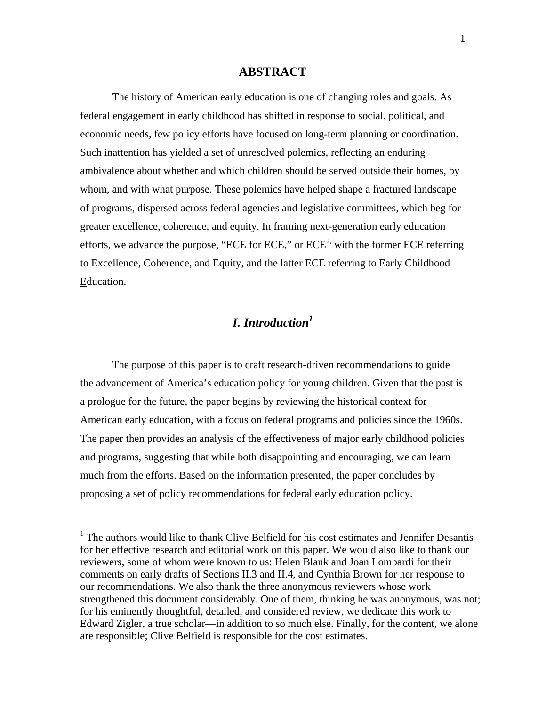### **ABSTRACT**

The history of American early education is one of changing roles and goals. As federal engagement in early childhood has shifted in response to social, political, and economic needs, few policy efforts have focused on long-term planning or coordination. Such inattention has yielded a set of unresolved polemics, reflecting an enduring ambivalence about whether and which children should be served outside their homes, by whom, and with what purpose. These polemics have helped shape a fractured landscape of programs, dispersed across federal agencies and legislative committees, which beg for greater excellence, coherence, and equity. In framing next-generation early education efforts, we advance the purpose, "ECE for ECE," or  $ECE^2$  with the former ECE referring to Excellence, Coherence, and Equity, and the latter ECE referring to Early Childhood Education.

### *I. Introduction<sup>1</sup>*

The purpose of this paper is to craft research-driven recommendations to guide the advancement of America's education policy for young children. Given that the past is a prologue for the future, the paper begins by reviewing the historical context for American early education, with a focus on federal programs and policies since the 1960s. The paper then provides an analysis of the effectiveness of major early childhood policies and programs, suggesting that while both disappointing and encouraging, we can learn much from the efforts. Based on the information presented, the paper concludes by proposing a set of policy recommendations for federal early education policy.

1

<sup>&</sup>lt;sup>1</sup> The authors would like to thank Clive Belfield for his cost estimates and Jennifer Desantis for her effective research and editorial work on this paper. We would also like to thank our reviewers, some of whom were known to us: Helen Blank and Joan Lombardi for their comments on early drafts of Sections II.3 and II.4, and Cynthia Brown for her response to our recommendations. We also thank the three anonymous reviewers whose work strengthened this document considerably. One of them, thinking he was anonymous, was not; for his eminently thoughtful, detailed, and considered review, we dedicate this work to Edward Zigler, a true scholar—in addition to so much else. Finally, for the content, we alone are responsible; Clive Belfield is responsible for the cost estimates.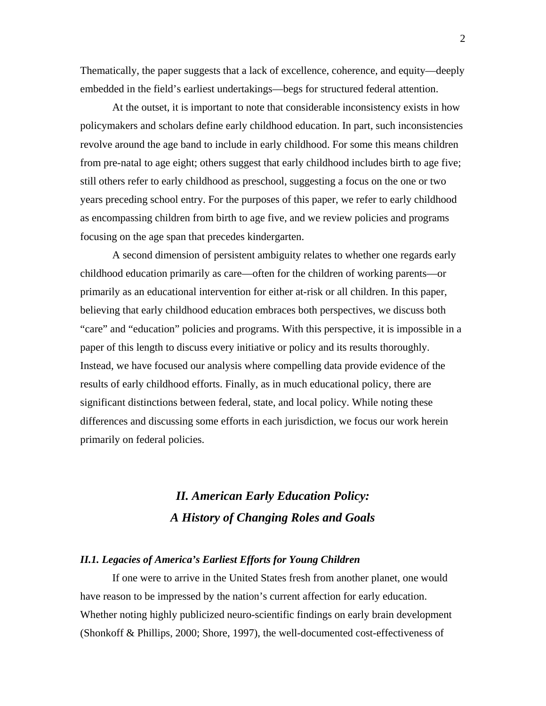Thematically, the paper suggests that a lack of excellence, coherence, and equity—deeply embedded in the field's earliest undertakings—begs for structured federal attention.

At the outset, it is important to note that considerable inconsistency exists in how policymakers and scholars define early childhood education. In part, such inconsistencies revolve around the age band to include in early childhood. For some this means children from pre-natal to age eight; others suggest that early childhood includes birth to age five; still others refer to early childhood as preschool, suggesting a focus on the one or two years preceding school entry. For the purposes of this paper, we refer to early childhood as encompassing children from birth to age five, and we review policies and programs focusing on the age span that precedes kindergarten.

A second dimension of persistent ambiguity relates to whether one regards early childhood education primarily as care—often for the children of working parents—or primarily as an educational intervention for either at-risk or all children. In this paper, believing that early childhood education embraces both perspectives, we discuss both "care" and "education" policies and programs. With this perspective, it is impossible in a paper of this length to discuss every initiative or policy and its results thoroughly. Instead, we have focused our analysis where compelling data provide evidence of the results of early childhood efforts. Finally, as in much educational policy, there are significant distinctions between federal, state, and local policy. While noting these differences and discussing some efforts in each jurisdiction, we focus our work herein primarily on federal policies.

## *II. American Early Education Policy: A History of Changing Roles and Goals*

### *II.1. Legacies of America's Earliest Efforts for Young Children*

If one were to arrive in the United States fresh from another planet, one would have reason to be impressed by the nation's current affection for early education. Whether noting highly publicized neuro-scientific findings on early brain development (Shonkoff & Phillips, 2000; Shore, 1997), the well-documented cost-effectiveness of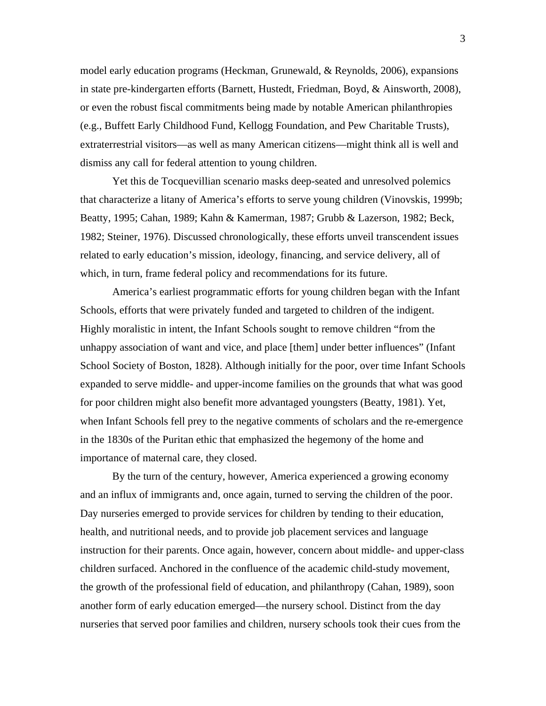model early education programs (Heckman, Grunewald, & Reynolds, 2006), expansions in state pre-kindergarten efforts (Barnett, Hustedt, Friedman, Boyd, & Ainsworth, 2008), or even the robust fiscal commitments being made by notable American philanthropies (e.g., Buffett Early Childhood Fund, Kellogg Foundation, and Pew Charitable Trusts), extraterrestrial visitors—as well as many American citizens—might think all is well and dismiss any call for federal attention to young children.

Yet this de Tocquevillian scenario masks deep-seated and unresolved polemics that characterize a litany of America's efforts to serve young children (Vinovskis, 1999b; Beatty, 1995; Cahan, 1989; Kahn & Kamerman, 1987; Grubb & Lazerson, 1982; Beck, 1982; Steiner, 1976). Discussed chronologically, these efforts unveil transcendent issues related to early education's mission, ideology, financing, and service delivery, all of which, in turn, frame federal policy and recommendations for its future.

America's earliest programmatic efforts for young children began with the Infant Schools, efforts that were privately funded and targeted to children of the indigent. Highly moralistic in intent, the Infant Schools sought to remove children "from the unhappy association of want and vice, and place [them] under better influences" (Infant School Society of Boston, 1828). Although initially for the poor, over time Infant Schools expanded to serve middle- and upper-income families on the grounds that what was good for poor children might also benefit more advantaged youngsters (Beatty, 1981). Yet, when Infant Schools fell prey to the negative comments of scholars and the re-emergence in the 1830s of the Puritan ethic that emphasized the hegemony of the home and importance of maternal care, they closed.

By the turn of the century, however, America experienced a growing economy and an influx of immigrants and, once again, turned to serving the children of the poor. Day nurseries emerged to provide services for children by tending to their education, health, and nutritional needs, and to provide job placement services and language instruction for their parents. Once again, however, concern about middle- and upper-class children surfaced. Anchored in the confluence of the academic child-study movement, the growth of the professional field of education, and philanthropy (Cahan, 1989), soon another form of early education emerged—the nursery school. Distinct from the day nurseries that served poor families and children, nursery schools took their cues from the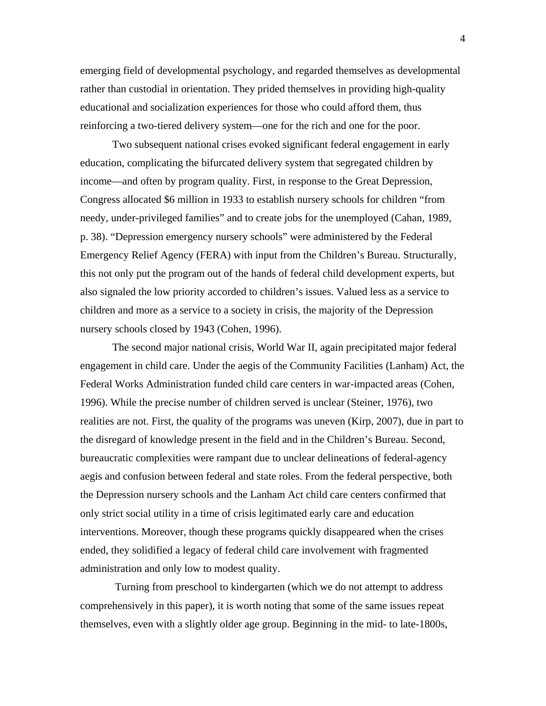emerging field of developmental psychology, and regarded themselves as developmental rather than custodial in orientation. They prided themselves in providing high-quality educational and socialization experiences for those who could afford them, thus reinforcing a two-tiered delivery system—one for the rich and one for the poor.

 Two subsequent national crises evoked significant federal engagement in early education, complicating the bifurcated delivery system that segregated children by income—and often by program quality. First, in response to the Great Depression, Congress allocated \$6 million in 1933 to establish nursery schools for children "from needy, under-privileged families" and to create jobs for the unemployed (Cahan, 1989, p. 38). "Depression emergency nursery schools" were administered by the Federal Emergency Relief Agency (FERA) with input from the Children's Bureau. Structurally, this not only put the program out of the hands of federal child development experts, but also signaled the low priority accorded to children's issues. Valued less as a service to children and more as a service to a society in crisis, the majority of the Depression nursery schools closed by 1943 (Cohen, 1996).

The second major national crisis, World War II, again precipitated major federal engagement in child care. Under the aegis of the Community Facilities (Lanham) Act, the Federal Works Administration funded child care centers in war-impacted areas (Cohen, 1996). While the precise number of children served is unclear (Steiner, 1976), two realities are not. First, the quality of the programs was uneven (Kirp, 2007), due in part to the disregard of knowledge present in the field and in the Children's Bureau. Second, bureaucratic complexities were rampant due to unclear delineations of federal-agency aegis and confusion between federal and state roles. From the federal perspective, both the Depression nursery schools and the Lanham Act child care centers confirmed that only strict social utility in a time of crisis legitimated early care and education interventions. Moreover, though these programs quickly disappeared when the crises ended, they solidified a legacy of federal child care involvement with fragmented administration and only low to modest quality.

 Turning from preschool to kindergarten (which we do not attempt to address comprehensively in this paper), it is worth noting that some of the same issues repeat themselves, even with a slightly older age group. Beginning in the mid- to late-1800s,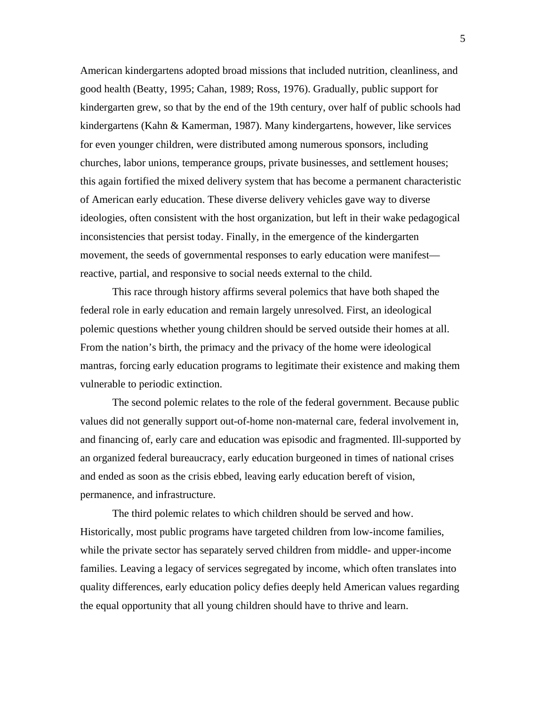American kindergartens adopted broad missions that included nutrition, cleanliness, and good health (Beatty, 1995; Cahan, 1989; Ross, 1976). Gradually, public support for kindergarten grew, so that by the end of the 19th century, over half of public schools had kindergartens (Kahn & Kamerman, 1987). Many kindergartens, however, like services for even younger children, were distributed among numerous sponsors, including churches, labor unions, temperance groups, private businesses, and settlement houses; this again fortified the mixed delivery system that has become a permanent characteristic of American early education. These diverse delivery vehicles gave way to diverse ideologies, often consistent with the host organization, but left in their wake pedagogical inconsistencies that persist today. Finally, in the emergence of the kindergarten movement, the seeds of governmental responses to early education were manifest reactive, partial, and responsive to social needs external to the child.

This race through history affirms several polemics that have both shaped the federal role in early education and remain largely unresolved. First, an ideological polemic questions whether young children should be served outside their homes at all. From the nation's birth, the primacy and the privacy of the home were ideological mantras, forcing early education programs to legitimate their existence and making them vulnerable to periodic extinction.

The second polemic relates to the role of the federal government. Because public values did not generally support out-of-home non-maternal care, federal involvement in, and financing of, early care and education was episodic and fragmented. Ill-supported by an organized federal bureaucracy, early education burgeoned in times of national crises and ended as soon as the crisis ebbed, leaving early education bereft of vision, permanence, and infrastructure.

The third polemic relates to which children should be served and how. Historically, most public programs have targeted children from low-income families, while the private sector has separately served children from middle- and upper-income families. Leaving a legacy of services segregated by income, which often translates into quality differences, early education policy defies deeply held American values regarding the equal opportunity that all young children should have to thrive and learn.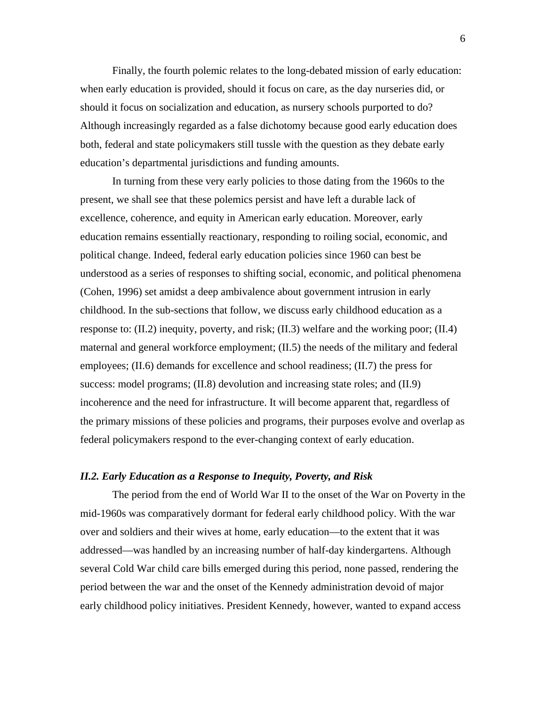Finally, the fourth polemic relates to the long-debated mission of early education: when early education is provided, should it focus on care, as the day nurseries did, or should it focus on socialization and education, as nursery schools purported to do? Although increasingly regarded as a false dichotomy because good early education does both, federal and state policymakers still tussle with the question as they debate early education's departmental jurisdictions and funding amounts.

In turning from these very early policies to those dating from the 1960s to the present, we shall see that these polemics persist and have left a durable lack of excellence, coherence, and equity in American early education. Moreover, early education remains essentially reactionary, responding to roiling social, economic, and political change. Indeed, federal early education policies since 1960 can best be understood as a series of responses to shifting social, economic, and political phenomena (Cohen, 1996) set amidst a deep ambivalence about government intrusion in early childhood. In the sub-sections that follow, we discuss early childhood education as a response to:  $(II.2)$  inequity, poverty, and risk;  $(II.3)$  welfare and the working poor;  $(II.4)$ maternal and general workforce employment; (II.5) the needs of the military and federal employees; (II.6) demands for excellence and school readiness; (II.7) the press for success: model programs; (II.8) devolution and increasing state roles; and (II.9) incoherence and the need for infrastructure. It will become apparent that, regardless of the primary missions of these policies and programs, their purposes evolve and overlap as federal policymakers respond to the ever-changing context of early education.

### *II.2. Early Education as a Response to Inequity, Poverty, and Risk*

The period from the end of World War II to the onset of the War on Poverty in the mid-1960s was comparatively dormant for federal early childhood policy. With the war over and soldiers and their wives at home, early education—to the extent that it was addressed—was handled by an increasing number of half-day kindergartens. Although several Cold War child care bills emerged during this period, none passed, rendering the period between the war and the onset of the Kennedy administration devoid of major early childhood policy initiatives. President Kennedy, however, wanted to expand access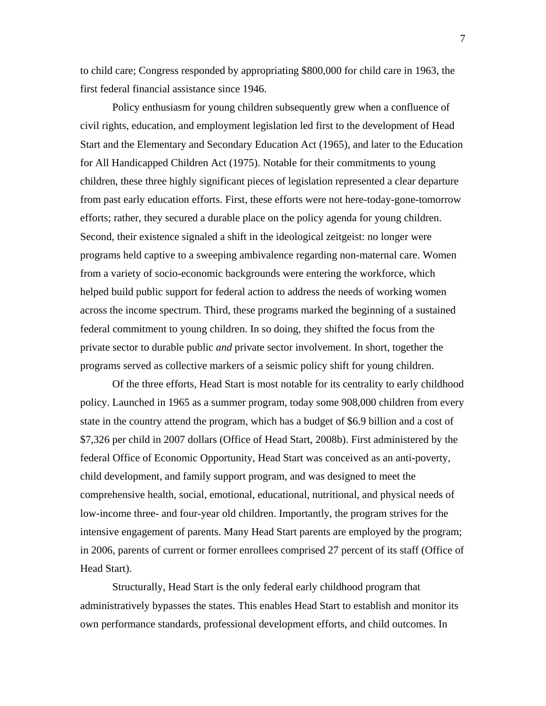to child care; Congress responded by appropriating \$800,000 for child care in 1963, the first federal financial assistance since 1946.

Policy enthusiasm for young children subsequently grew when a confluence of civil rights, education, and employment legislation led first to the development of Head Start and the Elementary and Secondary Education Act (1965), and later to the Education for All Handicapped Children Act (1975). Notable for their commitments to young children, these three highly significant pieces of legislation represented a clear departure from past early education efforts. First, these efforts were not here-today-gone-tomorrow efforts; rather, they secured a durable place on the policy agenda for young children. Second, their existence signaled a shift in the ideological zeitgeist: no longer were programs held captive to a sweeping ambivalence regarding non-maternal care. Women from a variety of socio-economic backgrounds were entering the workforce, which helped build public support for federal action to address the needs of working women across the income spectrum. Third, these programs marked the beginning of a sustained federal commitment to young children. In so doing, they shifted the focus from the private sector to durable public *and* private sector involvement. In short, together the programs served as collective markers of a seismic policy shift for young children.

Of the three efforts, Head Start is most notable for its centrality to early childhood policy. Launched in 1965 as a summer program, today some 908,000 children from every state in the country attend the program, which has a budget of \$6.9 billion and a cost of \$7,326 per child in 2007 dollars (Office of Head Start, 2008b). First administered by the federal Office of Economic Opportunity, Head Start was conceived as an anti-poverty, child development, and family support program, and was designed to meet the comprehensive health, social, emotional, educational, nutritional, and physical needs of low-income three- and four-year old children. Importantly, the program strives for the intensive engagement of parents. Many Head Start parents are employed by the program; in 2006, parents of current or former enrollees comprised 27 percent of its staff (Office of Head Start).

Structurally, Head Start is the only federal early childhood program that administratively bypasses the states. This enables Head Start to establish and monitor its own performance standards, professional development efforts, and child outcomes. In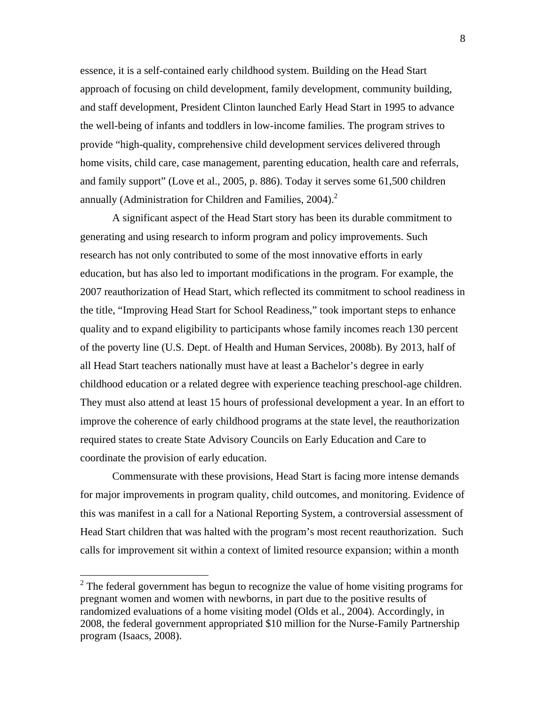essence, it is a self-contained early childhood system. Building on the Head Start approach of focusing on child development, family development, community building, and staff development, President Clinton launched Early Head Start in 1995 to advance the well-being of infants and toddlers in low-income families. The program strives to provide "high-quality, comprehensive child development services delivered through home visits, child care, case management, parenting education, health care and referrals, and family support" (Love et al., 2005, p. 886). Today it serves some 61,500 children annually (Administration for Children and Families,  $2004$ ).<sup>2</sup>

A significant aspect of the Head Start story has been its durable commitment to generating and using research to inform program and policy improvements. Such research has not only contributed to some of the most innovative efforts in early education, but has also led to important modifications in the program. For example, the 2007 reauthorization of Head Start, which reflected its commitment to school readiness in the title, "Improving Head Start for School Readiness," took important steps to enhance quality and to expand eligibility to participants whose family incomes reach 130 percent of the poverty line (U.S. Dept. of Health and Human Services, 2008b). By 2013, half of all Head Start teachers nationally must have at least a Bachelor's degree in early childhood education or a related degree with experience teaching preschool-age children. They must also attend at least 15 hours of professional development a year. In an effort to improve the coherence of early childhood programs at the state level, the reauthorization required states to create State Advisory Councils on Early Education and Care to coordinate the provision of early education.

Commensurate with these provisions, Head Start is facing more intense demands for major improvements in program quality, child outcomes, and monitoring. Evidence of this was manifest in a call for a National Reporting System, a controversial assessment of Head Start children that was halted with the program's most recent reauthorization. Such calls for improvement sit within a context of limited resource expansion; within a month

<sup>&</sup>lt;sup>2</sup> The federal government has begun to recognize the value of home visiting programs for pregnant women and women with newborns, in part due to the positive results of randomized evaluations of a home visiting model (Olds et al., 2004). Accordingly, in 2008, the federal government appropriated \$10 million for the Nurse-Family Partnership program (Isaacs, 2008).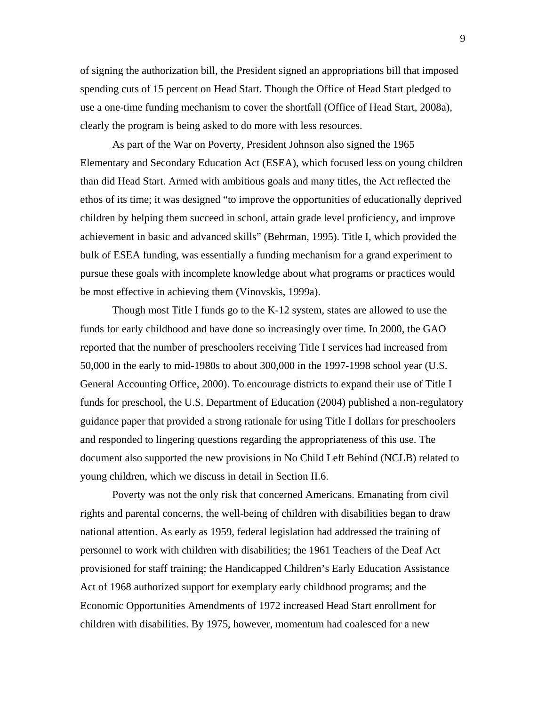of signing the authorization bill, the President signed an appropriations bill that imposed spending cuts of 15 percent on Head Start. Though the Office of Head Start pledged to use a one-time funding mechanism to cover the shortfall (Office of Head Start, 2008a), clearly the program is being asked to do more with less resources.

As part of the War on Poverty, President Johnson also signed the 1965 Elementary and Secondary Education Act (ESEA), which focused less on young children than did Head Start. Armed with ambitious goals and many titles, the Act reflected the ethos of its time; it was designed "to improve the opportunities of educationally deprived children by helping them succeed in school, attain grade level proficiency, and improve achievement in basic and advanced skills" (Behrman, 1995). Title I, which provided the bulk of ESEA funding, was essentially a funding mechanism for a grand experiment to pursue these goals with incomplete knowledge about what programs or practices would be most effective in achieving them (Vinovskis, 1999a).

Though most Title I funds go to the K-12 system, states are allowed to use the funds for early childhood and have done so increasingly over time. In 2000, the GAO reported that the number of preschoolers receiving Title I services had increased from 50,000 in the early to mid-1980s to about 300,000 in the 1997-1998 school year (U.S. General Accounting Office, 2000). To encourage districts to expand their use of Title I funds for preschool, the U.S. Department of Education (2004) published a non-regulatory guidance paper that provided a strong rationale for using Title I dollars for preschoolers and responded to lingering questions regarding the appropriateness of this use. The document also supported the new provisions in No Child Left Behind (NCLB) related to young children, which we discuss in detail in Section II.6.

Poverty was not the only risk that concerned Americans. Emanating from civil rights and parental concerns, the well-being of children with disabilities began to draw national attention. As early as 1959, federal legislation had addressed the training of personnel to work with children with disabilities; the 1961 Teachers of the Deaf Act provisioned for staff training; the Handicapped Children's Early Education Assistance Act of 1968 authorized support for exemplary early childhood programs; and the Economic Opportunities Amendments of 1972 increased Head Start enrollment for children with disabilities. By 1975, however, momentum had coalesced for a new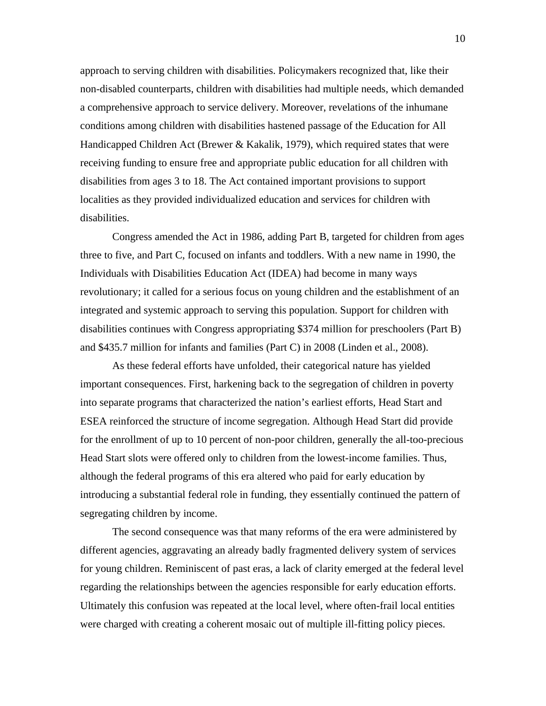approach to serving children with disabilities. Policymakers recognized that, like their non-disabled counterparts, children with disabilities had multiple needs, which demanded a comprehensive approach to service delivery. Moreover, revelations of the inhumane conditions among children with disabilities hastened passage of the Education for All Handicapped Children Act (Brewer & Kakalik, 1979), which required states that were receiving funding to ensure free and appropriate public education for all children with disabilities from ages 3 to 18. The Act contained important provisions to support localities as they provided individualized education and services for children with disabilities.

Congress amended the Act in 1986, adding Part B, targeted for children from ages three to five, and Part C, focused on infants and toddlers. With a new name in 1990, the Individuals with Disabilities Education Act (IDEA) had become in many ways revolutionary; it called for a serious focus on young children and the establishment of an integrated and systemic approach to serving this population. Support for children with disabilities continues with Congress appropriating \$374 million for preschoolers (Part B) and \$435.7 million for infants and families (Part C) in 2008 (Linden et al., 2008).

As these federal efforts have unfolded, their categorical nature has yielded important consequences. First, harkening back to the segregation of children in poverty into separate programs that characterized the nation's earliest efforts, Head Start and ESEA reinforced the structure of income segregation. Although Head Start did provide for the enrollment of up to 10 percent of non-poor children, generally the all-too-precious Head Start slots were offered only to children from the lowest-income families. Thus, although the federal programs of this era altered who paid for early education by introducing a substantial federal role in funding, they essentially continued the pattern of segregating children by income.

The second consequence was that many reforms of the era were administered by different agencies, aggravating an already badly fragmented delivery system of services for young children. Reminiscent of past eras, a lack of clarity emerged at the federal level regarding the relationships between the agencies responsible for early education efforts. Ultimately this confusion was repeated at the local level, where often-frail local entities were charged with creating a coherent mosaic out of multiple ill-fitting policy pieces.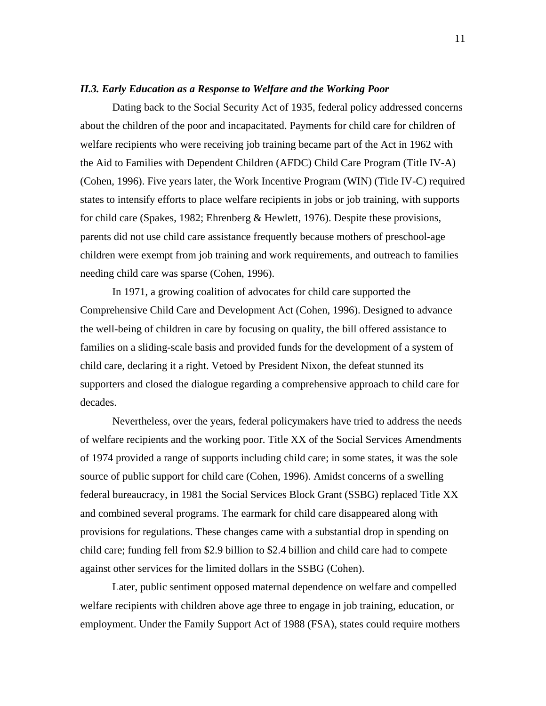### *II.3. Early Education as a Response to Welfare and the Working Poor*

Dating back to the Social Security Act of 1935, federal policy addressed concerns about the children of the poor and incapacitated. Payments for child care for children of welfare recipients who were receiving job training became part of the Act in 1962 with the Aid to Families with Dependent Children (AFDC) Child Care Program (Title IV-A) (Cohen, 1996). Five years later, the Work Incentive Program (WIN) (Title IV-C) required states to intensify efforts to place welfare recipients in jobs or job training, with supports for child care (Spakes, 1982; Ehrenberg & Hewlett, 1976). Despite these provisions, parents did not use child care assistance frequently because mothers of preschool-age children were exempt from job training and work requirements, and outreach to families needing child care was sparse (Cohen, 1996).

In 1971, a growing coalition of advocates for child care supported the Comprehensive Child Care and Development Act (Cohen, 1996). Designed to advance the well-being of children in care by focusing on quality, the bill offered assistance to families on a sliding-scale basis and provided funds for the development of a system of child care, declaring it a right. Vetoed by President Nixon, the defeat stunned its supporters and closed the dialogue regarding a comprehensive approach to child care for decades.

Nevertheless, over the years, federal policymakers have tried to address the needs of welfare recipients and the working poor. Title XX of the Social Services Amendments of 1974 provided a range of supports including child care; in some states, it was the sole source of public support for child care (Cohen, 1996). Amidst concerns of a swelling federal bureaucracy, in 1981 the Social Services Block Grant (SSBG) replaced Title XX and combined several programs. The earmark for child care disappeared along with provisions for regulations. These changes came with a substantial drop in spending on child care; funding fell from \$2.9 billion to \$2.4 billion and child care had to compete against other services for the limited dollars in the SSBG (Cohen).

Later, public sentiment opposed maternal dependence on welfare and compelled welfare recipients with children above age three to engage in job training, education, or employment. Under the Family Support Act of 1988 (FSA), states could require mothers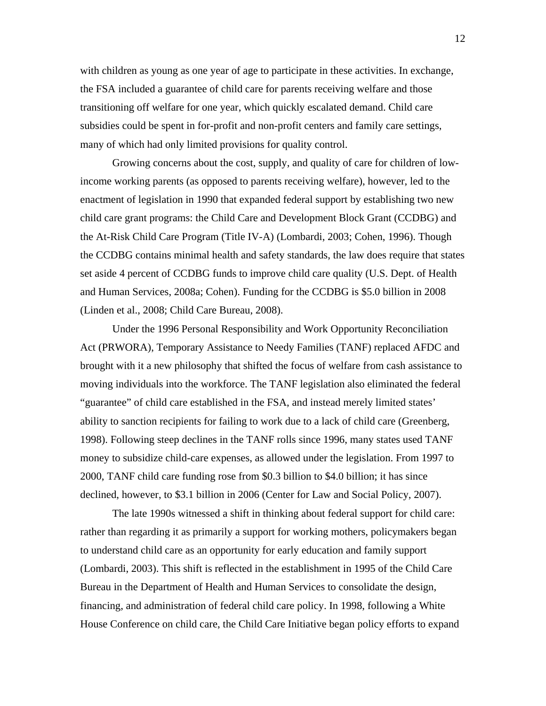with children as young as one year of age to participate in these activities. In exchange, the FSA included a guarantee of child care for parents receiving welfare and those transitioning off welfare for one year, which quickly escalated demand. Child care subsidies could be spent in for-profit and non-profit centers and family care settings, many of which had only limited provisions for quality control.

Growing concerns about the cost, supply, and quality of care for children of lowincome working parents (as opposed to parents receiving welfare), however, led to the enactment of legislation in 1990 that expanded federal support by establishing two new child care grant programs: the Child Care and Development Block Grant (CCDBG) and the At-Risk Child Care Program (Title IV-A) (Lombardi, 2003; Cohen, 1996). Though the CCDBG contains minimal health and safety standards, the law does require that states set aside 4 percent of CCDBG funds to improve child care quality (U.S. Dept. of Health and Human Services, 2008a; Cohen). Funding for the CCDBG is \$5.0 billion in 2008 (Linden et al., 2008; Child Care Bureau, 2008).

Under the 1996 Personal Responsibility and Work Opportunity Reconciliation Act (PRWORA), Temporary Assistance to Needy Families (TANF) replaced AFDC and brought with it a new philosophy that shifted the focus of welfare from cash assistance to moving individuals into the workforce. The TANF legislation also eliminated the federal "guarantee" of child care established in the FSA, and instead merely limited states' ability to sanction recipients for failing to work due to a lack of child care (Greenberg, 1998). Following steep declines in the TANF rolls since 1996, many states used TANF money to subsidize child-care expenses, as allowed under the legislation. From 1997 to 2000, TANF child care funding rose from \$0.3 billion to \$4.0 billion; it has since declined, however, to \$3.1 billion in 2006 (Center for Law and Social Policy, 2007).

The late 1990s witnessed a shift in thinking about federal support for child care: rather than regarding it as primarily a support for working mothers, policymakers began to understand child care as an opportunity for early education and family support (Lombardi, 2003). This shift is reflected in the establishment in 1995 of the Child Care Bureau in the Department of Health and Human Services to consolidate the design, financing, and administration of federal child care policy. In 1998, following a White House Conference on child care, the Child Care Initiative began policy efforts to expand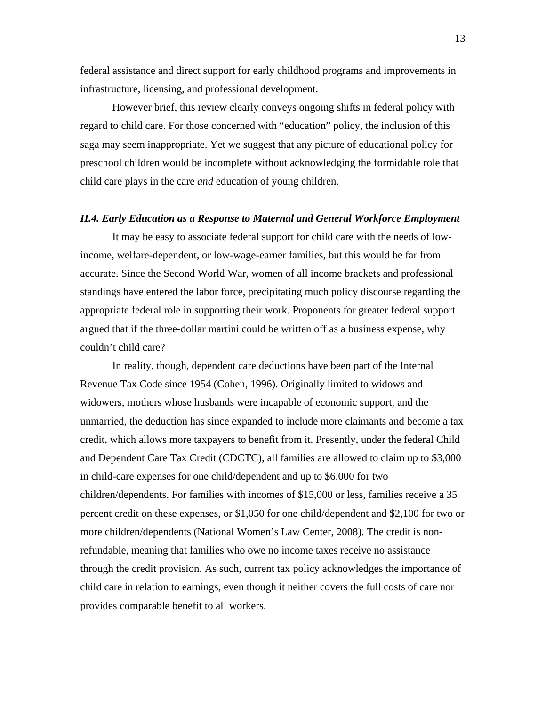federal assistance and direct support for early childhood programs and improvements in infrastructure, licensing, and professional development.

However brief, this review clearly conveys ongoing shifts in federal policy with regard to child care. For those concerned with "education" policy, the inclusion of this saga may seem inappropriate. Yet we suggest that any picture of educational policy for preschool children would be incomplete without acknowledging the formidable role that child care plays in the care *and* education of young children.

### *II.4. Early Education as a Response to Maternal and General Workforce Employment*

It may be easy to associate federal support for child care with the needs of lowincome, welfare-dependent, or low-wage-earner families, but this would be far from accurate. Since the Second World War, women of all income brackets and professional standings have entered the labor force, precipitating much policy discourse regarding the appropriate federal role in supporting their work. Proponents for greater federal support argued that if the three-dollar martini could be written off as a business expense, why couldn't child care?

In reality, though, dependent care deductions have been part of the Internal Revenue Tax Code since 1954 (Cohen, 1996). Originally limited to widows and widowers, mothers whose husbands were incapable of economic support, and the unmarried, the deduction has since expanded to include more claimants and become a tax credit, which allows more taxpayers to benefit from it. Presently, under the federal Child and Dependent Care Tax Credit (CDCTC), all families are allowed to claim up to \$3,000 in child-care expenses for one child/dependent and up to \$6,000 for two children/dependents. For families with incomes of \$15,000 or less, families receive a 35 percent credit on these expenses, or \$1,050 for one child/dependent and \$2,100 for two or more children/dependents (National Women's Law Center, 2008). The credit is nonrefundable, meaning that families who owe no income taxes receive no assistance through the credit provision. As such, current tax policy acknowledges the importance of child care in relation to earnings, even though it neither covers the full costs of care nor provides comparable benefit to all workers.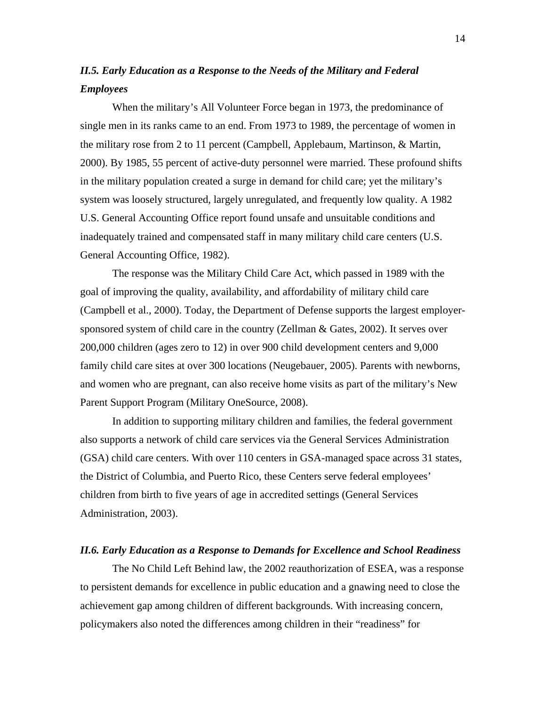## *II.5. Early Education as a Response to the Needs of the Military and Federal Employees*

When the military's All Volunteer Force began in 1973, the predominance of single men in its ranks came to an end. From 1973 to 1989, the percentage of women in the military rose from 2 to 11 percent (Campbell, Applebaum, Martinson, & Martin, 2000). By 1985, 55 percent of active-duty personnel were married. These profound shifts in the military population created a surge in demand for child care; yet the military's system was loosely structured, largely unregulated, and frequently low quality. A 1982 U.S. General Accounting Office report found unsafe and unsuitable conditions and inadequately trained and compensated staff in many military child care centers (U.S. General Accounting Office, 1982).

The response was the Military Child Care Act, which passed in 1989 with the goal of improving the quality, availability, and affordability of military child care (Campbell et al., 2000). Today, the Department of Defense supports the largest employersponsored system of child care in the country (Zellman & Gates, 2002). It serves over 200,000 children (ages zero to 12) in over 900 child development centers and 9,000 family child care sites at over 300 locations (Neugebauer, 2005). Parents with newborns, and women who are pregnant, can also receive home visits as part of the military's New Parent Support Program (Military OneSource, 2008).

In addition to supporting military children and families, the federal government also supports a network of child care services via the General Services Administration (GSA) child care centers. With over 110 centers in GSA-managed space across 31 states, the District of Columbia, and Puerto Rico, these Centers serve federal employees' children from birth to five years of age in accredited settings (General Services Administration, 2003).

### *II.6. Early Education as a Response to Demands for Excellence and School Readiness*

The No Child Left Behind law, the 2002 reauthorization of ESEA, was a response to persistent demands for excellence in public education and a gnawing need to close the achievement gap among children of different backgrounds. With increasing concern, policymakers also noted the differences among children in their "readiness" for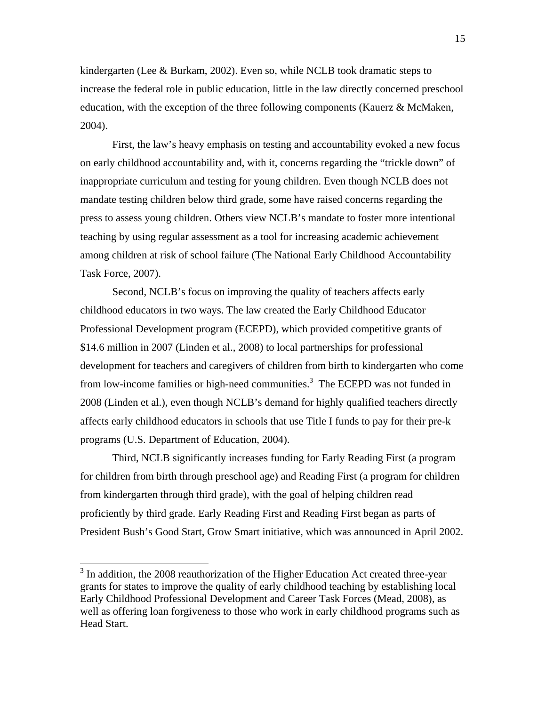kindergarten (Lee & Burkam, 2002). Even so, while NCLB took dramatic steps to increase the federal role in public education, little in the law directly concerned preschool education, with the exception of the three following components (Kauerz & McMaken, 2004).

First, the law's heavy emphasis on testing and accountability evoked a new focus on early childhood accountability and, with it, concerns regarding the "trickle down" of inappropriate curriculum and testing for young children. Even though NCLB does not mandate testing children below third grade, some have raised concerns regarding the press to assess young children. Others view NCLB's mandate to foster more intentional teaching by using regular assessment as a tool for increasing academic achievement among children at risk of school failure (The National Early Childhood Accountability Task Force, 2007).

Second, NCLB's focus on improving the quality of teachers affects early childhood educators in two ways. The law created the Early Childhood Educator Professional Development program (ECEPD), which provided competitive grants of \$14.6 million in 2007 (Linden et al., 2008) to local partnerships for professional development for teachers and caregivers of children from birth to kindergarten who come from low-income families or high-need communities.<sup>3</sup> The ECEPD was not funded in 2008 (Linden et al.), even though NCLB's demand for highly qualified teachers directly affects early childhood educators in schools that use Title I funds to pay for their pre-k programs (U.S. Department of Education, 2004).

Third, NCLB significantly increases funding for Early Reading First (a program for children from birth through preschool age) and Reading First (a program for children from kindergarten through third grade), with the goal of helping children read proficiently by third grade. Early Reading First and Reading First began as parts of President Bush's Good Start, Grow Smart initiative, which was announced in April 2002.

 $\overline{a}$ 

 $3$  In addition, the 2008 reauthorization of the Higher Education Act created three-year grants for states to improve the quality of early childhood teaching by establishing local Early Childhood Professional Development and Career Task Forces (Mead, 2008), as well as offering loan forgiveness to those who work in early childhood programs such as Head Start.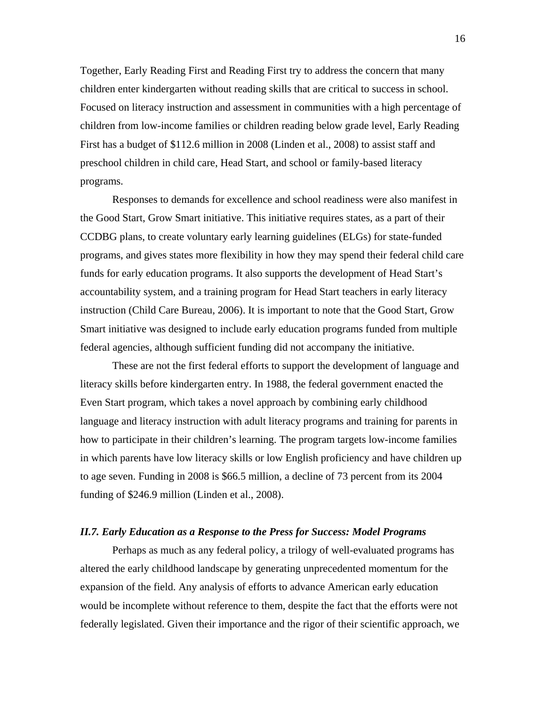Together, Early Reading First and Reading First try to address the concern that many children enter kindergarten without reading skills that are critical to success in school. Focused on literacy instruction and assessment in communities with a high percentage of children from low-income families or children reading below grade level, Early Reading First has a budget of \$112.6 million in 2008 (Linden et al., 2008) to assist staff and preschool children in child care, Head Start, and school or family-based literacy programs.

Responses to demands for excellence and school readiness were also manifest in the Good Start, Grow Smart initiative. This initiative requires states, as a part of their CCDBG plans, to create voluntary early learning guidelines (ELGs) for state-funded programs, and gives states more flexibility in how they may spend their federal child care funds for early education programs. It also supports the development of Head Start's accountability system, and a training program for Head Start teachers in early literacy instruction (Child Care Bureau, 2006). It is important to note that the Good Start, Grow Smart initiative was designed to include early education programs funded from multiple federal agencies, although sufficient funding did not accompany the initiative.

These are not the first federal efforts to support the development of language and literacy skills before kindergarten entry. In 1988, the federal government enacted the Even Start program, which takes a novel approach by combining early childhood language and literacy instruction with adult literacy programs and training for parents in how to participate in their children's learning. The program targets low-income families in which parents have low literacy skills or low English proficiency and have children up to age seven. Funding in 2008 is \$66.5 million, a decline of 73 percent from its 2004 funding of \$246.9 million (Linden et al., 2008).

### *II.7. Early Education as a Response to the Press for Success: Model Programs*

Perhaps as much as any federal policy, a trilogy of well-evaluated programs has altered the early childhood landscape by generating unprecedented momentum for the expansion of the field. Any analysis of efforts to advance American early education would be incomplete without reference to them, despite the fact that the efforts were not federally legislated. Given their importance and the rigor of their scientific approach, we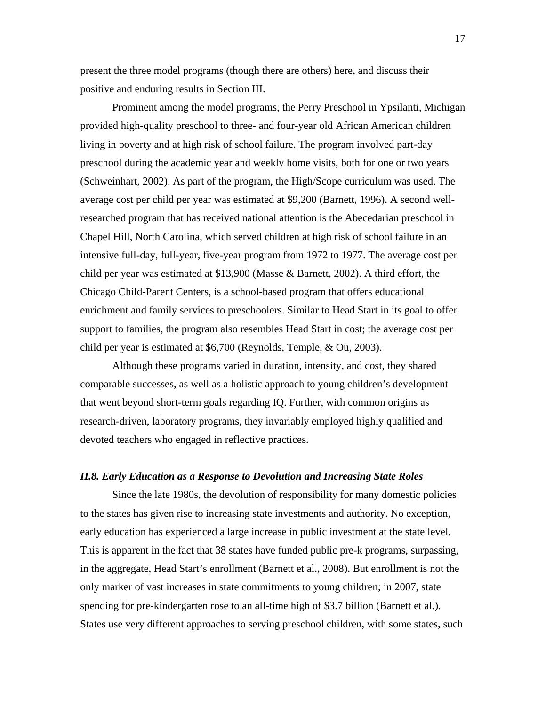present the three model programs (though there are others) here, and discuss their positive and enduring results in Section III.

Prominent among the model programs, the Perry Preschool in Ypsilanti, Michigan provided high-quality preschool to three- and four-year old African American children living in poverty and at high risk of school failure. The program involved part-day preschool during the academic year and weekly home visits, both for one or two years (Schweinhart, 2002). As part of the program, the High/Scope curriculum was used. The average cost per child per year was estimated at \$9,200 (Barnett, 1996). A second wellresearched program that has received national attention is the Abecedarian preschool in Chapel Hill, North Carolina, which served children at high risk of school failure in an intensive full-day, full-year, five-year program from 1972 to 1977. The average cost per child per year was estimated at \$13,900 (Masse & Barnett, 2002). A third effort, the Chicago Child-Parent Centers, is a school-based program that offers educational enrichment and family services to preschoolers. Similar to Head Start in its goal to offer support to families, the program also resembles Head Start in cost; the average cost per child per year is estimated at \$6,700 (Reynolds, Temple, & Ou, 2003).

Although these programs varied in duration, intensity, and cost, they shared comparable successes, as well as a holistic approach to young children's development that went beyond short-term goals regarding IQ. Further, with common origins as research-driven, laboratory programs, they invariably employed highly qualified and devoted teachers who engaged in reflective practices.

### *II.8. Early Education as a Response to Devolution and Increasing State Roles*

Since the late 1980s, the devolution of responsibility for many domestic policies to the states has given rise to increasing state investments and authority. No exception, early education has experienced a large increase in public investment at the state level. This is apparent in the fact that 38 states have funded public pre-k programs, surpassing, in the aggregate, Head Start's enrollment (Barnett et al., 2008). But enrollment is not the only marker of vast increases in state commitments to young children; in 2007, state spending for pre-kindergarten rose to an all-time high of \$3.7 billion (Barnett et al.). States use very different approaches to serving preschool children, with some states, such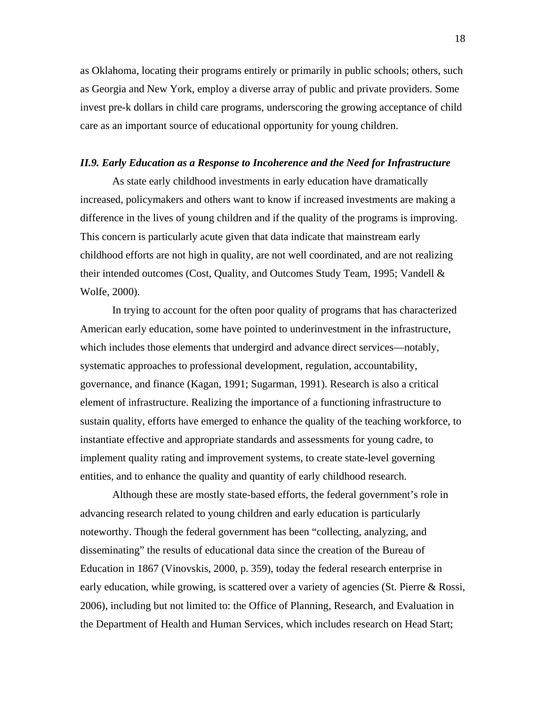as Oklahoma, locating their programs entirely or primarily in public schools; others, such as Georgia and New York, employ a diverse array of public and private providers. Some invest pre-k dollars in child care programs, underscoring the growing acceptance of child care as an important source of educational opportunity for young children.

### *II.9. Early Education as a Response to Incoherence and the Need for Infrastructure*

As state early childhood investments in early education have dramatically increased, policymakers and others want to know if increased investments are making a difference in the lives of young children and if the quality of the programs is improving. This concern is particularly acute given that data indicate that mainstream early childhood efforts are not high in quality, are not well coordinated, and are not realizing their intended outcomes (Cost, Quality, and Outcomes Study Team, 1995; Vandell & Wolfe, 2000).

In trying to account for the often poor quality of programs that has characterized American early education, some have pointed to underinvestment in the infrastructure, which includes those elements that undergird and advance direct services—notably, systematic approaches to professional development, regulation, accountability, governance, and finance (Kagan, 1991; Sugarman, 1991). Research is also a critical element of infrastructure. Realizing the importance of a functioning infrastructure to sustain quality, efforts have emerged to enhance the quality of the teaching workforce, to instantiate effective and appropriate standards and assessments for young cadre, to implement quality rating and improvement systems, to create state-level governing entities, and to enhance the quality and quantity of early childhood research.

Although these are mostly state-based efforts, the federal government's role in advancing research related to young children and early education is particularly noteworthy. Though the federal government has been "collecting, analyzing, and disseminating" the results of educational data since the creation of the Bureau of Education in 1867 (Vinovskis, 2000, p. 359), today the federal research enterprise in early education, while growing, is scattered over a variety of agencies (St. Pierre & Rossi, 2006), including but not limited to: the Office of Planning, Research, and Evaluation in the Department of Health and Human Services, which includes research on Head Start;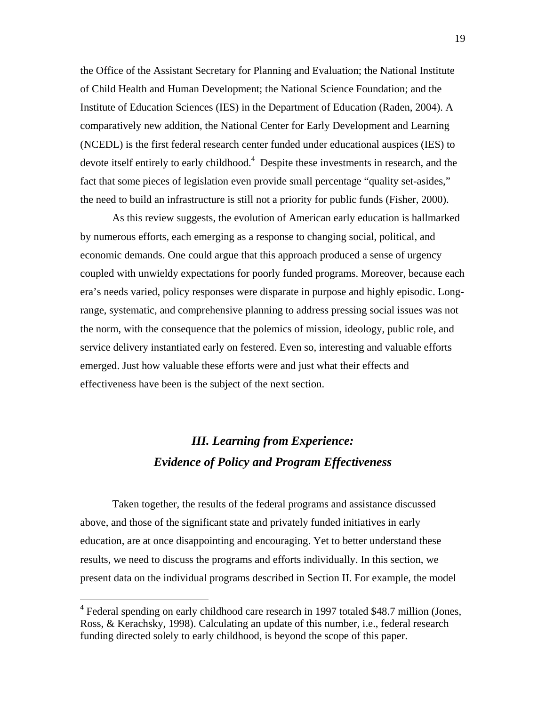the Office of the Assistant Secretary for Planning and Evaluation; the National Institute of Child Health and Human Development; the National Science Foundation; and the Institute of Education Sciences (IES) in the Department of Education (Raden, 2004). A comparatively new addition, the National Center for Early Development and Learning (NCEDL) is the first federal research center funded under educational auspices (IES) to devote itself entirely to early childhood.<sup>4</sup> Despite these investments in research, and the fact that some pieces of legislation even provide small percentage "quality set-asides," the need to build an infrastructure is still not a priority for public funds (Fisher, 2000).

As this review suggests, the evolution of American early education is hallmarked by numerous efforts, each emerging as a response to changing social, political, and economic demands. One could argue that this approach produced a sense of urgency coupled with unwieldy expectations for poorly funded programs. Moreover, because each era's needs varied, policy responses were disparate in purpose and highly episodic. Longrange, systematic, and comprehensive planning to address pressing social issues was not the norm, with the consequence that the polemics of mission, ideology, public role, and service delivery instantiated early on festered. Even so, interesting and valuable efforts emerged. Just how valuable these efforts were and just what their effects and effectiveness have been is the subject of the next section.

# *III. Learning from Experience: Evidence of Policy and Program Effectiveness*

Taken together, the results of the federal programs and assistance discussed above, and those of the significant state and privately funded initiatives in early education, are at once disappointing and encouraging. Yet to better understand these results, we need to discuss the programs and efforts individually. In this section, we present data on the individual programs described in Section II. For example, the model

 $\overline{a}$ 

<sup>&</sup>lt;sup>4</sup> Federal spending on early childhood care research in 1997 totaled \$48.7 million (Jones, Ross, & Kerachsky, 1998). Calculating an update of this number, i.e., federal research funding directed solely to early childhood, is beyond the scope of this paper.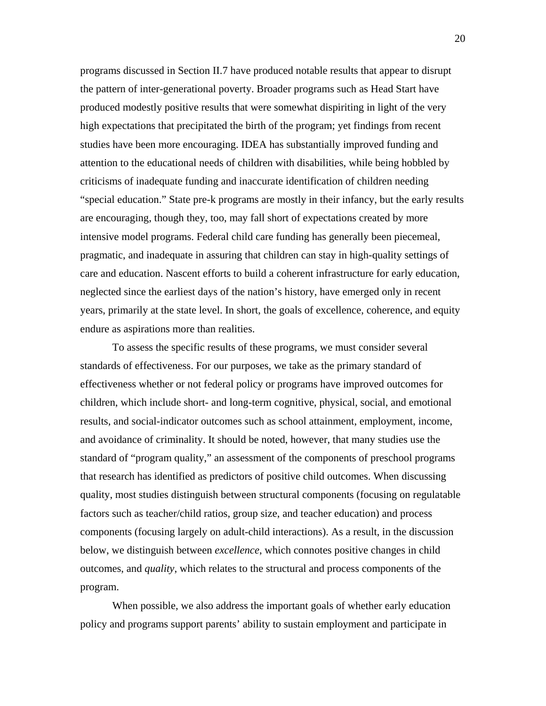programs discussed in Section II.7 have produced notable results that appear to disrupt the pattern of inter-generational poverty. Broader programs such as Head Start have produced modestly positive results that were somewhat dispiriting in light of the very high expectations that precipitated the birth of the program; yet findings from recent studies have been more encouraging. IDEA has substantially improved funding and attention to the educational needs of children with disabilities, while being hobbled by criticisms of inadequate funding and inaccurate identification of children needing "special education." State pre-k programs are mostly in their infancy, but the early results are encouraging, though they, too, may fall short of expectations created by more intensive model programs. Federal child care funding has generally been piecemeal, pragmatic, and inadequate in assuring that children can stay in high-quality settings of care and education. Nascent efforts to build a coherent infrastructure for early education, neglected since the earliest days of the nation's history, have emerged only in recent years, primarily at the state level. In short, the goals of excellence, coherence, and equity endure as aspirations more than realities.

To assess the specific results of these programs, we must consider several standards of effectiveness. For our purposes, we take as the primary standard of effectiveness whether or not federal policy or programs have improved outcomes for children, which include short- and long-term cognitive, physical, social, and emotional results, and social-indicator outcomes such as school attainment, employment, income, and avoidance of criminality. It should be noted, however, that many studies use the standard of "program quality," an assessment of the components of preschool programs that research has identified as predictors of positive child outcomes. When discussing quality, most studies distinguish between structural components (focusing on regulatable factors such as teacher/child ratios, group size, and teacher education) and process components (focusing largely on adult-child interactions). As a result, in the discussion below, we distinguish between *excellence*, which connotes positive changes in child outcomes, and *quality*, which relates to the structural and process components of the program.

When possible, we also address the important goals of whether early education policy and programs support parents' ability to sustain employment and participate in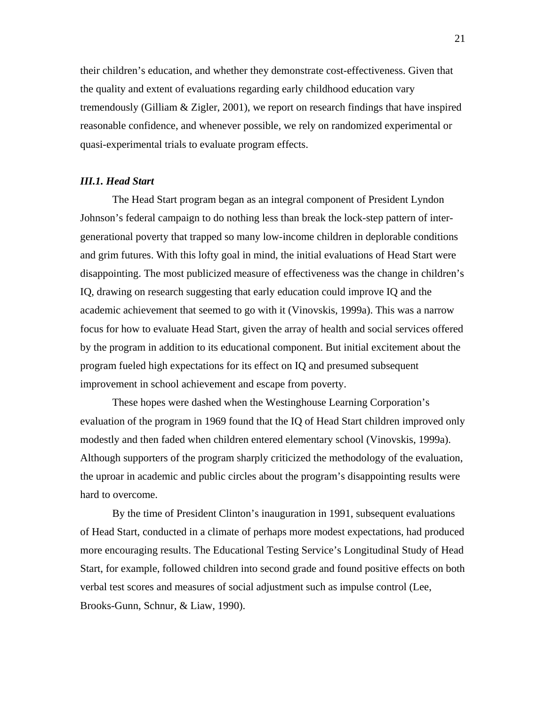their children's education, and whether they demonstrate cost-effectiveness. Given that the quality and extent of evaluations regarding early childhood education vary tremendously (Gilliam & Zigler, 2001), we report on research findings that have inspired reasonable confidence, and whenever possible, we rely on randomized experimental or quasi-experimental trials to evaluate program effects.

### *III.1. Head Start*

The Head Start program began as an integral component of President Lyndon Johnson's federal campaign to do nothing less than break the lock-step pattern of intergenerational poverty that trapped so many low-income children in deplorable conditions and grim futures. With this lofty goal in mind, the initial evaluations of Head Start were disappointing. The most publicized measure of effectiveness was the change in children's IQ, drawing on research suggesting that early education could improve IQ and the academic achievement that seemed to go with it (Vinovskis, 1999a). This was a narrow focus for how to evaluate Head Start, given the array of health and social services offered by the program in addition to its educational component. But initial excitement about the program fueled high expectations for its effect on IQ and presumed subsequent improvement in school achievement and escape from poverty.

These hopes were dashed when the Westinghouse Learning Corporation's evaluation of the program in 1969 found that the IQ of Head Start children improved only modestly and then faded when children entered elementary school (Vinovskis, 1999a). Although supporters of the program sharply criticized the methodology of the evaluation, the uproar in academic and public circles about the program's disappointing results were hard to overcome.

By the time of President Clinton's inauguration in 1991, subsequent evaluations of Head Start, conducted in a climate of perhaps more modest expectations, had produced more encouraging results. The Educational Testing Service's Longitudinal Study of Head Start, for example, followed children into second grade and found positive effects on both verbal test scores and measures of social adjustment such as impulse control (Lee, Brooks-Gunn, Schnur, & Liaw, 1990).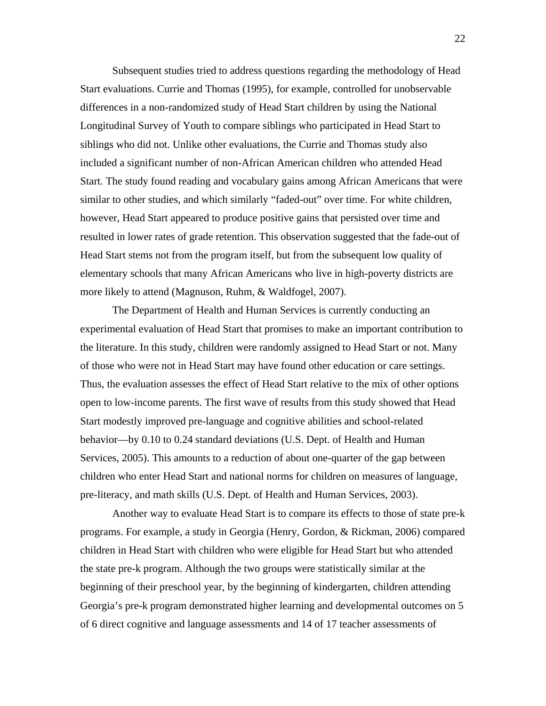Subsequent studies tried to address questions regarding the methodology of Head Start evaluations. Currie and Thomas (1995), for example, controlled for unobservable differences in a non-randomized study of Head Start children by using the National Longitudinal Survey of Youth to compare siblings who participated in Head Start to siblings who did not. Unlike other evaluations, the Currie and Thomas study also included a significant number of non-African American children who attended Head Start. The study found reading and vocabulary gains among African Americans that were similar to other studies, and which similarly "faded-out" over time. For white children, however, Head Start appeared to produce positive gains that persisted over time and resulted in lower rates of grade retention. This observation suggested that the fade-out of Head Start stems not from the program itself, but from the subsequent low quality of elementary schools that many African Americans who live in high-poverty districts are more likely to attend (Magnuson, Ruhm, & Waldfogel, 2007).

The Department of Health and Human Services is currently conducting an experimental evaluation of Head Start that promises to make an important contribution to the literature. In this study, children were randomly assigned to Head Start or not. Many of those who were not in Head Start may have found other education or care settings. Thus, the evaluation assesses the effect of Head Start relative to the mix of other options open to low-income parents. The first wave of results from this study showed that Head Start modestly improved pre-language and cognitive abilities and school-related behavior—by 0.10 to 0.24 standard deviations (U.S. Dept. of Health and Human Services, 2005). This amounts to a reduction of about one-quarter of the gap between children who enter Head Start and national norms for children on measures of language, pre-literacy, and math skills (U.S. Dept. of Health and Human Services, 2003).

Another way to evaluate Head Start is to compare its effects to those of state pre-k programs. For example, a study in Georgia (Henry, Gordon, & Rickman, 2006) compared children in Head Start with children who were eligible for Head Start but who attended the state pre-k program. Although the two groups were statistically similar at the beginning of their preschool year, by the beginning of kindergarten, children attending Georgia's pre-k program demonstrated higher learning and developmental outcomes on 5 of 6 direct cognitive and language assessments and 14 of 17 teacher assessments of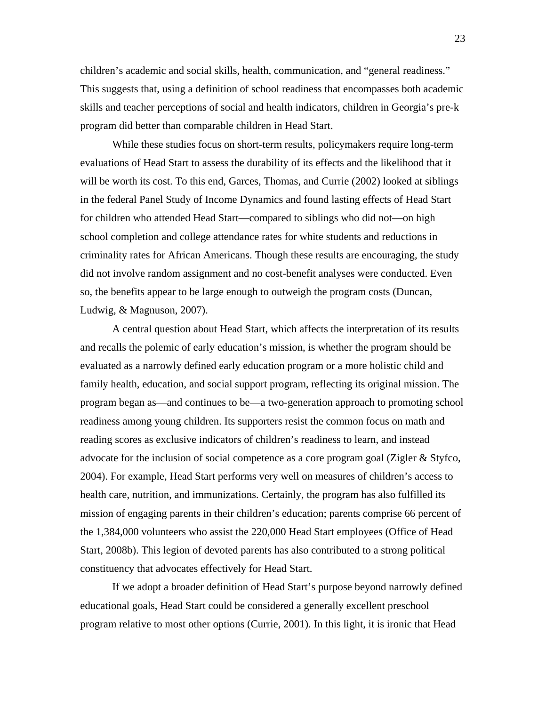children's academic and social skills, health, communication, and "general readiness." This suggests that, using a definition of school readiness that encompasses both academic skills and teacher perceptions of social and health indicators, children in Georgia's pre-k program did better than comparable children in Head Start.

While these studies focus on short-term results, policymakers require long-term evaluations of Head Start to assess the durability of its effects and the likelihood that it will be worth its cost. To this end, Garces, Thomas, and Currie (2002) looked at siblings in the federal Panel Study of Income Dynamics and found lasting effects of Head Start for children who attended Head Start—compared to siblings who did not—on high school completion and college attendance rates for white students and reductions in criminality rates for African Americans. Though these results are encouraging, the study did not involve random assignment and no cost-benefit analyses were conducted. Even so, the benefits appear to be large enough to outweigh the program costs (Duncan, Ludwig, & Magnuson, 2007).

A central question about Head Start, which affects the interpretation of its results and recalls the polemic of early education's mission, is whether the program should be evaluated as a narrowly defined early education program or a more holistic child and family health, education, and social support program, reflecting its original mission. The program began as—and continues to be—a two-generation approach to promoting school readiness among young children. Its supporters resist the common focus on math and reading scores as exclusive indicators of children's readiness to learn, and instead advocate for the inclusion of social competence as a core program goal (Zigler & Styfco, 2004). For example, Head Start performs very well on measures of children's access to health care, nutrition, and immunizations. Certainly, the program has also fulfilled its mission of engaging parents in their children's education; parents comprise 66 percent of the 1,384,000 volunteers who assist the 220,000 Head Start employees (Office of Head Start, 2008b). This legion of devoted parents has also contributed to a strong political constituency that advocates effectively for Head Start.

If we adopt a broader definition of Head Start's purpose beyond narrowly defined educational goals, Head Start could be considered a generally excellent preschool program relative to most other options (Currie, 2001). In this light, it is ironic that Head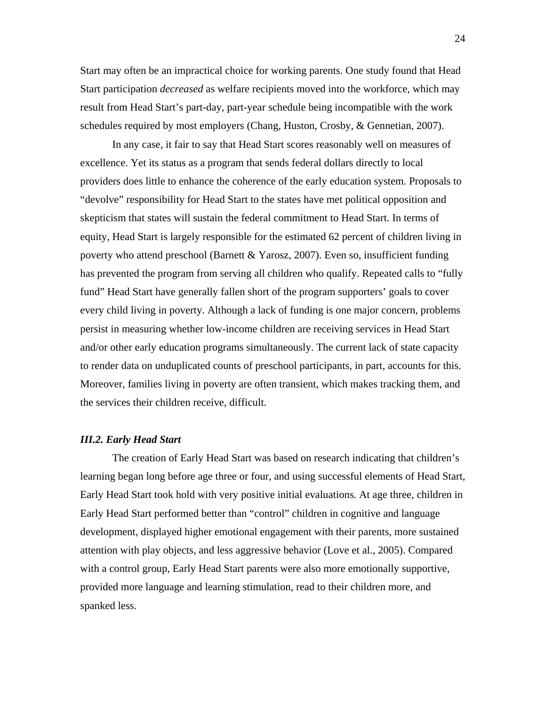Start may often be an impractical choice for working parents. One study found that Head Start participation *decreased* as welfare recipients moved into the workforce, which may result from Head Start's part-day, part-year schedule being incompatible with the work schedules required by most employers (Chang, Huston, Crosby, & Gennetian, 2007).

In any case, it fair to say that Head Start scores reasonably well on measures of excellence. Yet its status as a program that sends federal dollars directly to local providers does little to enhance the coherence of the early education system. Proposals to "devolve" responsibility for Head Start to the states have met political opposition and skepticism that states will sustain the federal commitment to Head Start. In terms of equity, Head Start is largely responsible for the estimated 62 percent of children living in poverty who attend preschool (Barnett & Yarosz, 2007). Even so, insufficient funding has prevented the program from serving all children who qualify. Repeated calls to "fully fund" Head Start have generally fallen short of the program supporters' goals to cover every child living in poverty. Although a lack of funding is one major concern, problems persist in measuring whether low-income children are receiving services in Head Start and/or other early education programs simultaneously. The current lack of state capacity to render data on unduplicated counts of preschool participants, in part, accounts for this. Moreover, families living in poverty are often transient, which makes tracking them, and the services their children receive, difficult.

### *III.2. Early Head Start*

The creation of Early Head Start was based on research indicating that children's learning began long before age three or four, and using successful elements of Head Start, Early Head Start took hold with very positive initial evaluations. At age three, children in Early Head Start performed better than "control" children in cognitive and language development, displayed higher emotional engagement with their parents, more sustained attention with play objects, and less aggressive behavior (Love et al., 2005). Compared with a control group, Early Head Start parents were also more emotionally supportive, provided more language and learning stimulation, read to their children more, and spanked less.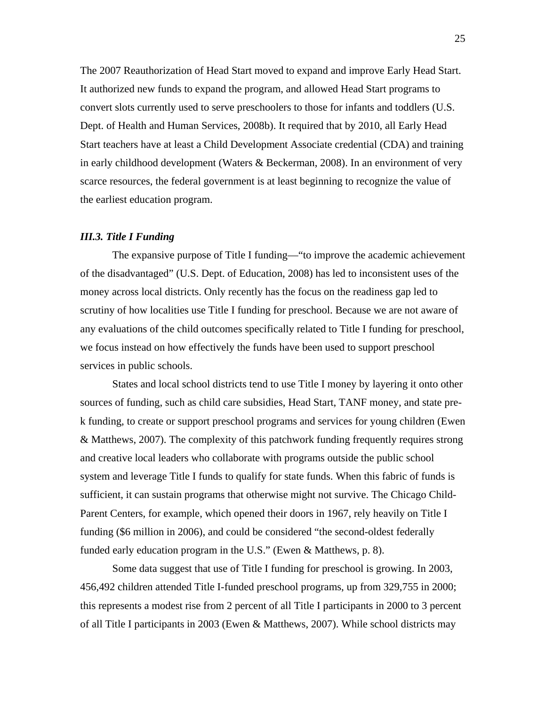The 2007 Reauthorization of Head Start moved to expand and improve Early Head Start. It authorized new funds to expand the program, and allowed Head Start programs to convert slots currently used to serve preschoolers to those for infants and toddlers (U.S. Dept. of Health and Human Services, 2008b). It required that by 2010, all Early Head Start teachers have at least a Child Development Associate credential (CDA) and training in early childhood development (Waters & Beckerman, 2008). In an environment of very scarce resources, the federal government is at least beginning to recognize the value of the earliest education program.

### *III.3. Title I Funding*

The expansive purpose of Title I funding—"to improve the academic achievement of the disadvantaged" (U.S. Dept. of Education, 2008) has led to inconsistent uses of the money across local districts. Only recently has the focus on the readiness gap led to scrutiny of how localities use Title I funding for preschool. Because we are not aware of any evaluations of the child outcomes specifically related to Title I funding for preschool, we focus instead on how effectively the funds have been used to support preschool services in public schools.

States and local school districts tend to use Title I money by layering it onto other sources of funding, such as child care subsidies, Head Start, TANF money, and state prek funding, to create or support preschool programs and services for young children (Ewen & Matthews, 2007). The complexity of this patchwork funding frequently requires strong and creative local leaders who collaborate with programs outside the public school system and leverage Title I funds to qualify for state funds. When this fabric of funds is sufficient, it can sustain programs that otherwise might not survive. The Chicago Child-Parent Centers, for example, which opened their doors in 1967, rely heavily on Title I funding (\$6 million in 2006), and could be considered "the second-oldest federally funded early education program in the U.S." (Ewen & Matthews, p. 8).

Some data suggest that use of Title I funding for preschool is growing. In 2003, 456,492 children attended Title I-funded preschool programs, up from 329,755 in 2000; this represents a modest rise from 2 percent of all Title I participants in 2000 to 3 percent of all Title I participants in 2003 (Ewen & Matthews, 2007). While school districts may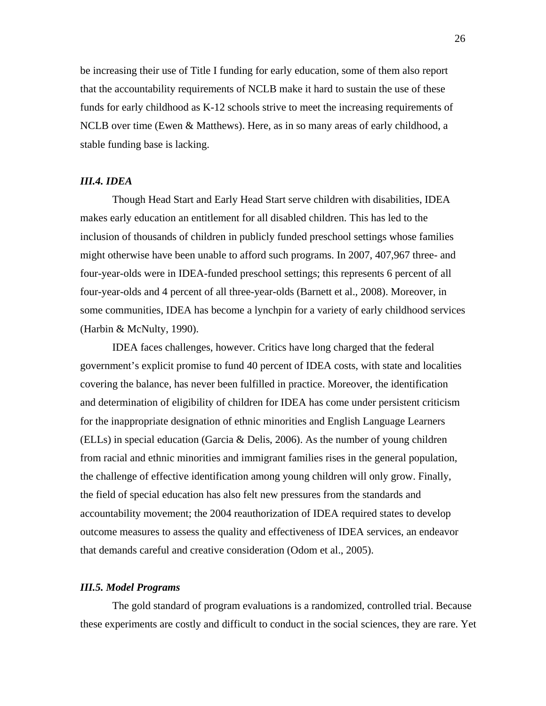be increasing their use of Title I funding for early education, some of them also report that the accountability requirements of NCLB make it hard to sustain the use of these funds for early childhood as K-12 schools strive to meet the increasing requirements of NCLB over time (Ewen & Matthews). Here, as in so many areas of early childhood, a stable funding base is lacking.

### *III.4. IDEA*

Though Head Start and Early Head Start serve children with disabilities, IDEA makes early education an entitlement for all disabled children. This has led to the inclusion of thousands of children in publicly funded preschool settings whose families might otherwise have been unable to afford such programs. In 2007, 407,967 three- and four-year-olds were in IDEA-funded preschool settings; this represents 6 percent of all four-year-olds and 4 percent of all three-year-olds (Barnett et al., 2008). Moreover, in some communities, IDEA has become a lynchpin for a variety of early childhood services (Harbin & McNulty, 1990).

IDEA faces challenges, however. Critics have long charged that the federal government's explicit promise to fund 40 percent of IDEA costs, with state and localities covering the balance, has never been fulfilled in practice. Moreover, the identification and determination of eligibility of children for IDEA has come under persistent criticism for the inappropriate designation of ethnic minorities and English Language Learners (ELLs) in special education (Garcia & Delis, 2006). As the number of young children from racial and ethnic minorities and immigrant families rises in the general population, the challenge of effective identification among young children will only grow. Finally, the field of special education has also felt new pressures from the standards and accountability movement; the 2004 reauthorization of IDEA required states to develop outcome measures to assess the quality and effectiveness of IDEA services, an endeavor that demands careful and creative consideration (Odom et al., 2005).

### *III.5. Model Programs*

The gold standard of program evaluations is a randomized, controlled trial. Because these experiments are costly and difficult to conduct in the social sciences, they are rare. Yet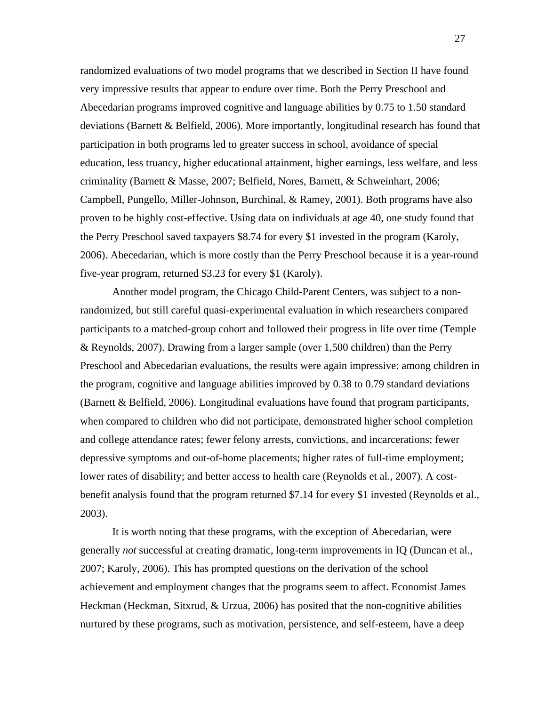randomized evaluations of two model programs that we described in Section II have found very impressive results that appear to endure over time. Both the Perry Preschool and Abecedarian programs improved cognitive and language abilities by 0.75 to 1.50 standard deviations (Barnett  $\&$  Belfield, 2006). More importantly, longitudinal research has found that participation in both programs led to greater success in school, avoidance of special education, less truancy, higher educational attainment, higher earnings, less welfare, and less criminality (Barnett & Masse, 2007; Belfield, Nores, Barnett, & Schweinhart, 2006; Campbell, Pungello, Miller-Johnson, Burchinal, & Ramey, 2001). Both programs have also proven to be highly cost-effective. Using data on individuals at age 40, one study found that the Perry Preschool saved taxpayers \$8.74 for every \$1 invested in the program (Karoly, 2006). Abecedarian, which is more costly than the Perry Preschool because it is a year-round five-year program, returned \$3.23 for every \$1 (Karoly).

Another model program, the Chicago Child-Parent Centers, was subject to a nonrandomized, but still careful quasi-experimental evaluation in which researchers compared participants to a matched-group cohort and followed their progress in life over time (Temple & Reynolds, 2007). Drawing from a larger sample (over 1,500 children) than the Perry Preschool and Abecedarian evaluations, the results were again impressive: among children in the program, cognitive and language abilities improved by 0.38 to 0.79 standard deviations (Barnett & Belfield, 2006). Longitudinal evaluations have found that program participants, when compared to children who did not participate, demonstrated higher school completion and college attendance rates; fewer felony arrests, convictions, and incarcerations; fewer depressive symptoms and out-of-home placements; higher rates of full-time employment; lower rates of disability; and better access to health care (Reynolds et al., 2007). A costbenefit analysis found that the program returned \$7.14 for every \$1 invested (Reynolds et al., 2003).

It is worth noting that these programs, with the exception of Abecedarian, were generally *not* successful at creating dramatic, long-term improvements in IQ (Duncan et al., 2007; Karoly, 2006). This has prompted questions on the derivation of the school achievement and employment changes that the programs seem to affect. Economist James Heckman (Heckman, Sitxrud, & Urzua, 2006) has posited that the non-cognitive abilities nurtured by these programs, such as motivation, persistence, and self-esteem, have a deep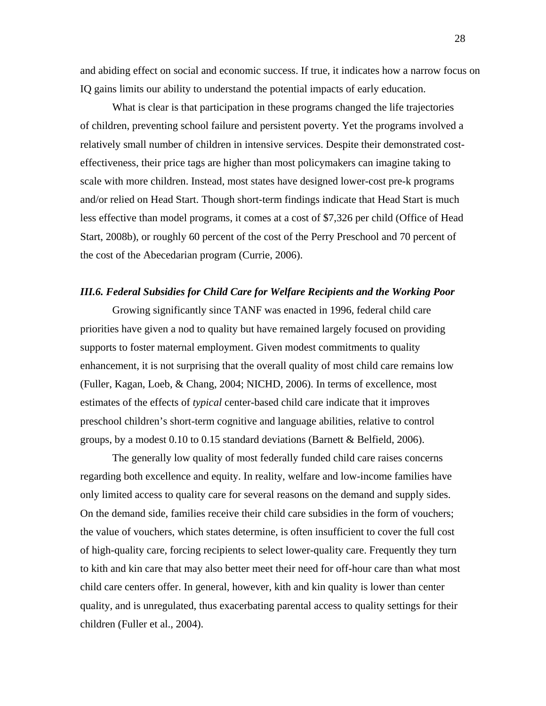and abiding effect on social and economic success. If true, it indicates how a narrow focus on IQ gains limits our ability to understand the potential impacts of early education.

What is clear is that participation in these programs changed the life trajectories of children, preventing school failure and persistent poverty. Yet the programs involved a relatively small number of children in intensive services. Despite their demonstrated costeffectiveness, their price tags are higher than most policymakers can imagine taking to scale with more children. Instead, most states have designed lower-cost pre-k programs and/or relied on Head Start. Though short-term findings indicate that Head Start is much less effective than model programs, it comes at a cost of \$7,326 per child (Office of Head Start, 2008b), or roughly 60 percent of the cost of the Perry Preschool and 70 percent of the cost of the Abecedarian program (Currie, 2006).

### *III.6. Federal Subsidies for Child Care for Welfare Recipients and the Working Poor*

Growing significantly since TANF was enacted in 1996, federal child care priorities have given a nod to quality but have remained largely focused on providing supports to foster maternal employment. Given modest commitments to quality enhancement, it is not surprising that the overall quality of most child care remains low (Fuller, Kagan, Loeb, & Chang, 2004; NICHD, 2006). In terms of excellence, most estimates of the effects of *typical* center-based child care indicate that it improves preschool children's short-term cognitive and language abilities, relative to control groups, by a modest  $0.10$  to  $0.15$  standard deviations (Barnett & Belfield, 2006).

The generally low quality of most federally funded child care raises concerns regarding both excellence and equity. In reality, welfare and low-income families have only limited access to quality care for several reasons on the demand and supply sides. On the demand side, families receive their child care subsidies in the form of vouchers; the value of vouchers, which states determine, is often insufficient to cover the full cost of high-quality care, forcing recipients to select lower-quality care. Frequently they turn to kith and kin care that may also better meet their need for off-hour care than what most child care centers offer. In general, however, kith and kin quality is lower than center quality, and is unregulated, thus exacerbating parental access to quality settings for their children (Fuller et al., 2004).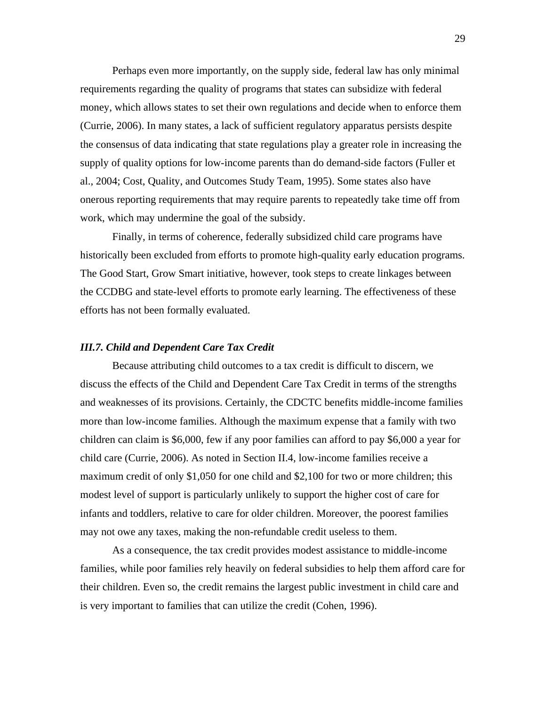Perhaps even more importantly, on the supply side, federal law has only minimal requirements regarding the quality of programs that states can subsidize with federal money, which allows states to set their own regulations and decide when to enforce them (Currie, 2006). In many states, a lack of sufficient regulatory apparatus persists despite the consensus of data indicating that state regulations play a greater role in increasing the supply of quality options for low-income parents than do demand-side factors (Fuller et al., 2004; Cost, Quality, and Outcomes Study Team, 1995). Some states also have onerous reporting requirements that may require parents to repeatedly take time off from work, which may undermine the goal of the subsidy.

Finally, in terms of coherence, federally subsidized child care programs have historically been excluded from efforts to promote high-quality early education programs. The Good Start, Grow Smart initiative, however, took steps to create linkages between the CCDBG and state-level efforts to promote early learning. The effectiveness of these efforts has not been formally evaluated.

### *III.7. Child and Dependent Care Tax Credit*

Because attributing child outcomes to a tax credit is difficult to discern, we discuss the effects of the Child and Dependent Care Tax Credit in terms of the strengths and weaknesses of its provisions. Certainly, the CDCTC benefits middle-income families more than low-income families. Although the maximum expense that a family with two children can claim is \$6,000, few if any poor families can afford to pay \$6,000 a year for child care (Currie, 2006). As noted in Section II.4, low-income families receive a maximum credit of only \$1,050 for one child and \$2,100 for two or more children; this modest level of support is particularly unlikely to support the higher cost of care for infants and toddlers, relative to care for older children. Moreover, the poorest families may not owe any taxes, making the non-refundable credit useless to them.

As a consequence, the tax credit provides modest assistance to middle-income families, while poor families rely heavily on federal subsidies to help them afford care for their children. Even so, the credit remains the largest public investment in child care and is very important to families that can utilize the credit (Cohen, 1996).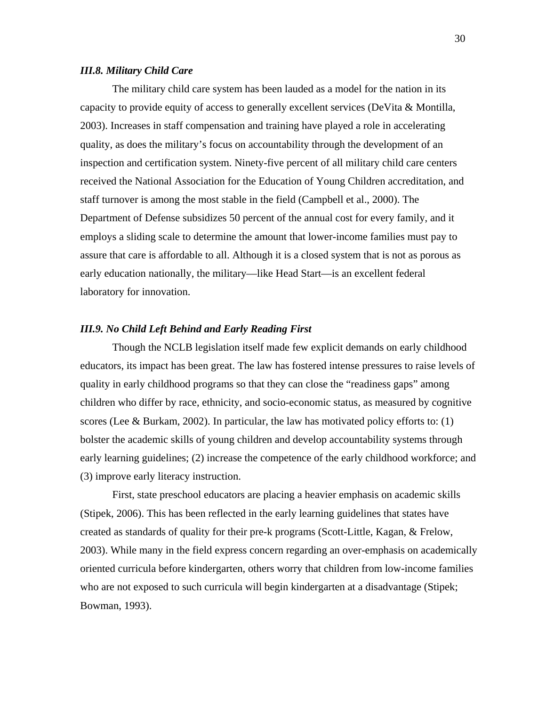### *III.8. Military Child Care*

The military child care system has been lauded as a model for the nation in its capacity to provide equity of access to generally excellent services (DeVita & Montilla, 2003). Increases in staff compensation and training have played a role in accelerating quality, as does the military's focus on accountability through the development of an inspection and certification system. Ninety-five percent of all military child care centers received the National Association for the Education of Young Children accreditation, and staff turnover is among the most stable in the field (Campbell et al., 2000). The Department of Defense subsidizes 50 percent of the annual cost for every family, and it employs a sliding scale to determine the amount that lower-income families must pay to assure that care is affordable to all. Although it is a closed system that is not as porous as early education nationally, the military—like Head Start—is an excellent federal laboratory for innovation.

### *III.9. No Child Left Behind and Early Reading First*

Though the NCLB legislation itself made few explicit demands on early childhood educators, its impact has been great. The law has fostered intense pressures to raise levels of quality in early childhood programs so that they can close the "readiness gaps" among children who differ by race, ethnicity, and socio-economic status, as measured by cognitive scores (Lee & Burkam, 2002). In particular, the law has motivated policy efforts to:  $(1)$ bolster the academic skills of young children and develop accountability systems through early learning guidelines; (2) increase the competence of the early childhood workforce; and (3) improve early literacy instruction.

 First, state preschool educators are placing a heavier emphasis on academic skills (Stipek, 2006). This has been reflected in the early learning guidelines that states have created as standards of quality for their pre-k programs (Scott-Little, Kagan, & Frelow, 2003). While many in the field express concern regarding an over-emphasis on academically oriented curricula before kindergarten, others worry that children from low-income families who are not exposed to such curricula will begin kindergarten at a disadvantage (Stipek; Bowman, 1993).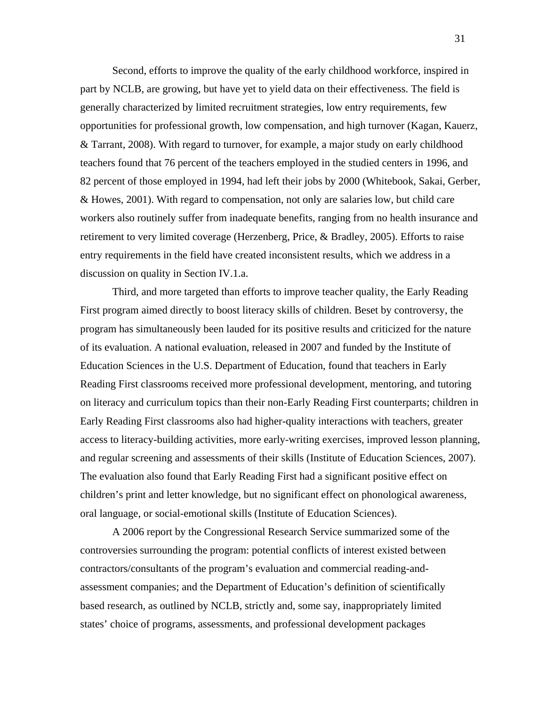Second, efforts to improve the quality of the early childhood workforce, inspired in part by NCLB, are growing, but have yet to yield data on their effectiveness. The field is generally characterized by limited recruitment strategies, low entry requirements, few opportunities for professional growth, low compensation, and high turnover (Kagan, Kauerz, & Tarrant, 2008). With regard to turnover, for example, a major study on early childhood teachers found that 76 percent of the teachers employed in the studied centers in 1996, and 82 percent of those employed in 1994, had left their jobs by 2000 (Whitebook, Sakai, Gerber, & Howes, 2001). With regard to compensation, not only are salaries low, but child care workers also routinely suffer from inadequate benefits, ranging from no health insurance and retirement to very limited coverage (Herzenberg, Price, & Bradley, 2005). Efforts to raise entry requirements in the field have created inconsistent results, which we address in a discussion on quality in Section IV.1.a.

Third, and more targeted than efforts to improve teacher quality, the Early Reading First program aimed directly to boost literacy skills of children. Beset by controversy, the program has simultaneously been lauded for its positive results and criticized for the nature of its evaluation. A national evaluation, released in 2007 and funded by the Institute of Education Sciences in the U.S. Department of Education, found that teachers in Early Reading First classrooms received more professional development, mentoring, and tutoring on literacy and curriculum topics than their non-Early Reading First counterparts; children in Early Reading First classrooms also had higher-quality interactions with teachers, greater access to literacy-building activities, more early-writing exercises, improved lesson planning, and regular screening and assessments of their skills (Institute of Education Sciences, 2007). The evaluation also found that Early Reading First had a significant positive effect on children's print and letter knowledge, but no significant effect on phonological awareness, oral language, or social-emotional skills (Institute of Education Sciences).

A 2006 report by the Congressional Research Service summarized some of the controversies surrounding the program: potential conflicts of interest existed between contractors/consultants of the program's evaluation and commercial reading-andassessment companies; and the Department of Education's definition of scientifically based research, as outlined by NCLB, strictly and, some say, inappropriately limited states' choice of programs, assessments, and professional development packages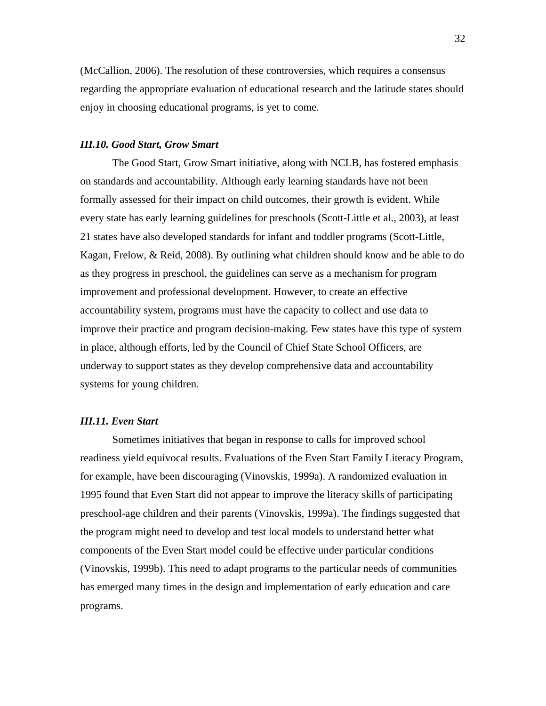(McCallion, 2006). The resolution of these controversies, which requires a consensus regarding the appropriate evaluation of educational research and the latitude states should enjoy in choosing educational programs, is yet to come.

### *III.10. Good Start, Grow Smart*

The Good Start, Grow Smart initiative, along with NCLB, has fostered emphasis on standards and accountability. Although early learning standards have not been formally assessed for their impact on child outcomes, their growth is evident. While every state has early learning guidelines for preschools (Scott-Little et al., 2003), at least 21 states have also developed standards for infant and toddler programs (Scott-Little, Kagan, Frelow, & Reid, 2008). By outlining what children should know and be able to do as they progress in preschool, the guidelines can serve as a mechanism for program improvement and professional development. However, to create an effective accountability system, programs must have the capacity to collect and use data to improve their practice and program decision-making. Few states have this type of system in place, although efforts, led by the Council of Chief State School Officers, are underway to support states as they develop comprehensive data and accountability systems for young children.

### *III.11. Even Start*

Sometimes initiatives that began in response to calls for improved school readiness yield equivocal results. Evaluations of the Even Start Family Literacy Program, for example, have been discouraging (Vinovskis, 1999a). A randomized evaluation in 1995 found that Even Start did not appear to improve the literacy skills of participating preschool-age children and their parents (Vinovskis, 1999a). The findings suggested that the program might need to develop and test local models to understand better what components of the Even Start model could be effective under particular conditions (Vinovskis, 1999b). This need to adapt programs to the particular needs of communities has emerged many times in the design and implementation of early education and care programs.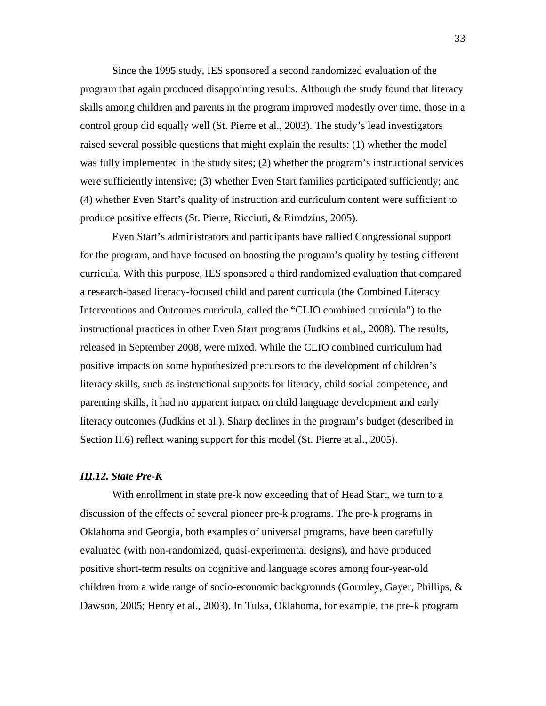Since the 1995 study, IES sponsored a second randomized evaluation of the program that again produced disappointing results. Although the study found that literacy skills among children and parents in the program improved modestly over time, those in a control group did equally well (St. Pierre et al., 2003). The study's lead investigators raised several possible questions that might explain the results: (1) whether the model was fully implemented in the study sites; (2) whether the program's instructional services were sufficiently intensive; (3) whether Even Start families participated sufficiently; and (4) whether Even Start's quality of instruction and curriculum content were sufficient to produce positive effects (St. Pierre, Ricciuti, & Rimdzius, 2005).

Even Start's administrators and participants have rallied Congressional support for the program, and have focused on boosting the program's quality by testing different curricula. With this purpose, IES sponsored a third randomized evaluation that compared a research-based literacy-focused child and parent curricula (the Combined Literacy Interventions and Outcomes curricula, called the "CLIO combined curricula") to the instructional practices in other Even Start programs (Judkins et al., 2008). The results, released in September 2008, were mixed. While the CLIO combined curriculum had positive impacts on some hypothesized precursors to the development of children's literacy skills, such as instructional supports for literacy, child social competence, and parenting skills, it had no apparent impact on child language development and early literacy outcomes (Judkins et al.). Sharp declines in the program's budget (described in Section II.6) reflect waning support for this model (St. Pierre et al., 2005).

### *III.12. State Pre-K*

With enrollment in state pre-k now exceeding that of Head Start, we turn to a discussion of the effects of several pioneer pre-k programs. The pre-k programs in Oklahoma and Georgia, both examples of universal programs, have been carefully evaluated (with non-randomized, quasi-experimental designs), and have produced positive short-term results on cognitive and language scores among four-year-old children from a wide range of socio-economic backgrounds (Gormley, Gayer, Phillips, & Dawson, 2005; Henry et al., 2003). In Tulsa, Oklahoma, for example, the pre-k program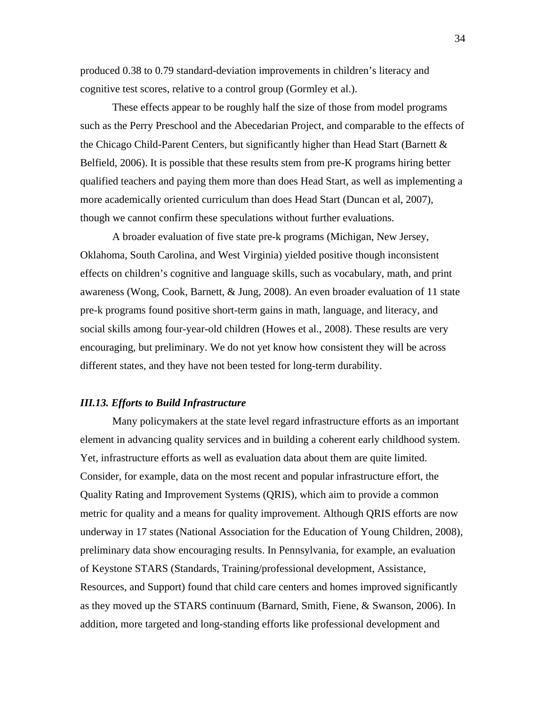produced 0.38 to 0.79 standard-deviation improvements in children's literacy and cognitive test scores, relative to a control group (Gormley et al.).

These effects appear to be roughly half the size of those from model programs such as the Perry Preschool and the Abecedarian Project, and comparable to the effects of the Chicago Child-Parent Centers, but significantly higher than Head Start (Barnett & Belfield, 2006). It is possible that these results stem from pre-K programs hiring better qualified teachers and paying them more than does Head Start, as well as implementing a more academically oriented curriculum than does Head Start (Duncan et al, 2007), though we cannot confirm these speculations without further evaluations.

A broader evaluation of five state pre-k programs (Michigan, New Jersey, Oklahoma, South Carolina, and West Virginia) yielded positive though inconsistent effects on children's cognitive and language skills, such as vocabulary, math, and print awareness (Wong, Cook, Barnett, & Jung, 2008). An even broader evaluation of 11 state pre-k programs found positive short-term gains in math, language, and literacy, and social skills among four-year-old children (Howes et al., 2008). These results are very encouraging, but preliminary. We do not yet know how consistent they will be across different states, and they have not been tested for long-term durability.

#### *III.13. Efforts to Build Infrastructure*

Many policymakers at the state level regard infrastructure efforts as an important element in advancing quality services and in building a coherent early childhood system. Yet, infrastructure efforts as well as evaluation data about them are quite limited. Consider, for example, data on the most recent and popular infrastructure effort, the Quality Rating and Improvement Systems (QRIS), which aim to provide a common metric for quality and a means for quality improvement. Although QRIS efforts are now underway in 17 states (National Association for the Education of Young Children, 2008), preliminary data show encouraging results. In Pennsylvania, for example, an evaluation of Keystone STARS (Standards, Training/professional development, Assistance, Resources, and Support) found that child care centers and homes improved significantly as they moved up the STARS continuum (Barnard, Smith, Fiene, & Swanson, 2006). In addition, more targeted and long-standing efforts like professional development and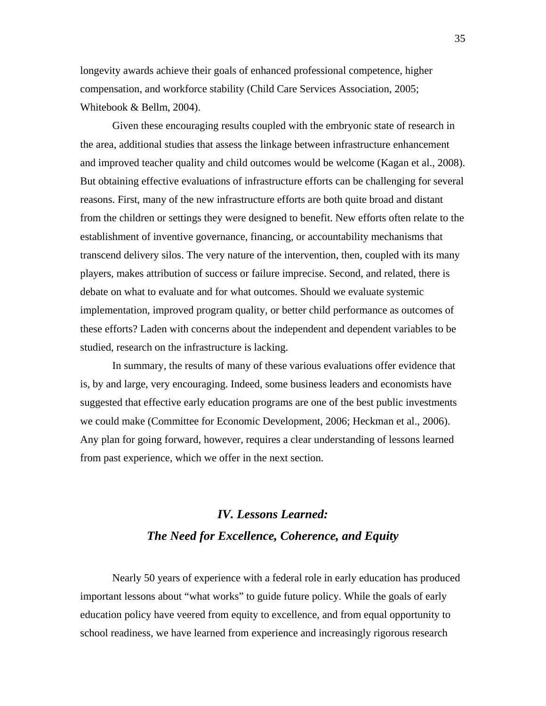longevity awards achieve their goals of enhanced professional competence, higher compensation, and workforce stability (Child Care Services Association, 2005; Whitebook & Bellm, 2004).

Given these encouraging results coupled with the embryonic state of research in the area, additional studies that assess the linkage between infrastructure enhancement and improved teacher quality and child outcomes would be welcome (Kagan et al., 2008). But obtaining effective evaluations of infrastructure efforts can be challenging for several reasons. First, many of the new infrastructure efforts are both quite broad and distant from the children or settings they were designed to benefit. New efforts often relate to the establishment of inventive governance, financing, or accountability mechanisms that transcend delivery silos. The very nature of the intervention, then, coupled with its many players, makes attribution of success or failure imprecise. Second, and related, there is debate on what to evaluate and for what outcomes. Should we evaluate systemic implementation, improved program quality, or better child performance as outcomes of these efforts? Laden with concerns about the independent and dependent variables to be studied, research on the infrastructure is lacking.

In summary, the results of many of these various evaluations offer evidence that is, by and large, very encouraging. Indeed, some business leaders and economists have suggested that effective early education programs are one of the best public investments we could make (Committee for Economic Development, 2006; Heckman et al., 2006). Any plan for going forward, however, requires a clear understanding of lessons learned from past experience, which we offer in the next section.

# *IV. Lessons Learned: The Need for Excellence, Coherence, and Equity*

Nearly 50 years of experience with a federal role in early education has produced important lessons about "what works" to guide future policy. While the goals of early education policy have veered from equity to excellence, and from equal opportunity to school readiness, we have learned from experience and increasingly rigorous research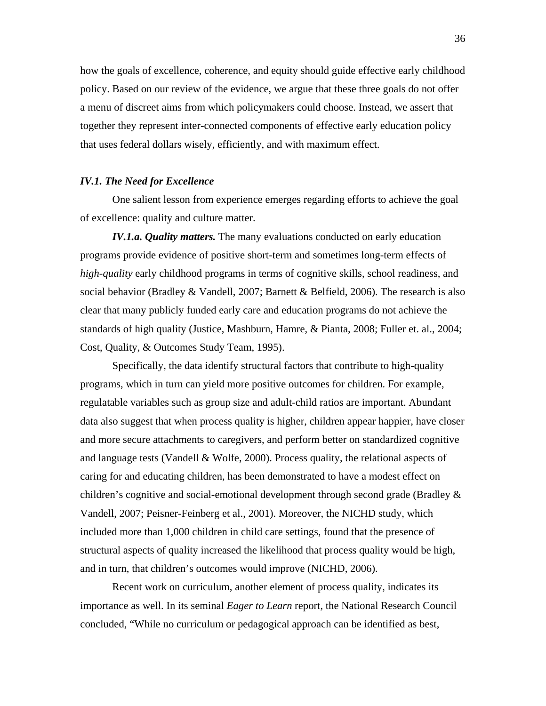how the goals of excellence, coherence, and equity should guide effective early childhood policy. Based on our review of the evidence, we argue that these three goals do not offer a menu of discreet aims from which policymakers could choose. Instead, we assert that together they represent inter-connected components of effective early education policy that uses federal dollars wisely, efficiently, and with maximum effect.

### *IV.1. The Need for Excellence*

One salient lesson from experience emerges regarding efforts to achieve the goal of excellence: quality and culture matter.

*IV.1.a. Quality matters.* The many evaluations conducted on early education programs provide evidence of positive short-term and sometimes long-term effects of *high-quality* early childhood programs in terms of cognitive skills, school readiness, and social behavior (Bradley & Vandell, 2007; Barnett & Belfield, 2006). The research is also clear that many publicly funded early care and education programs do not achieve the standards of high quality (Justice, Mashburn, Hamre, & Pianta, 2008; Fuller et. al., 2004; Cost, Quality, & Outcomes Study Team, 1995).

Specifically, the data identify structural factors that contribute to high-quality programs, which in turn can yield more positive outcomes for children. For example, regulatable variables such as group size and adult-child ratios are important. Abundant data also suggest that when process quality is higher, children appear happier, have closer and more secure attachments to caregivers, and perform better on standardized cognitive and language tests (Vandell & Wolfe, 2000). Process quality, the relational aspects of caring for and educating children, has been demonstrated to have a modest effect on children's cognitive and social-emotional development through second grade (Bradley & Vandell, 2007; Peisner-Feinberg et al., 2001). Moreover, the NICHD study, which included more than 1,000 children in child care settings, found that the presence of structural aspects of quality increased the likelihood that process quality would be high, and in turn, that children's outcomes would improve (NICHD, 2006).

Recent work on curriculum, another element of process quality, indicates its importance as well. In its seminal *Eager to Learn* report, the National Research Council concluded, "While no curriculum or pedagogical approach can be identified as best,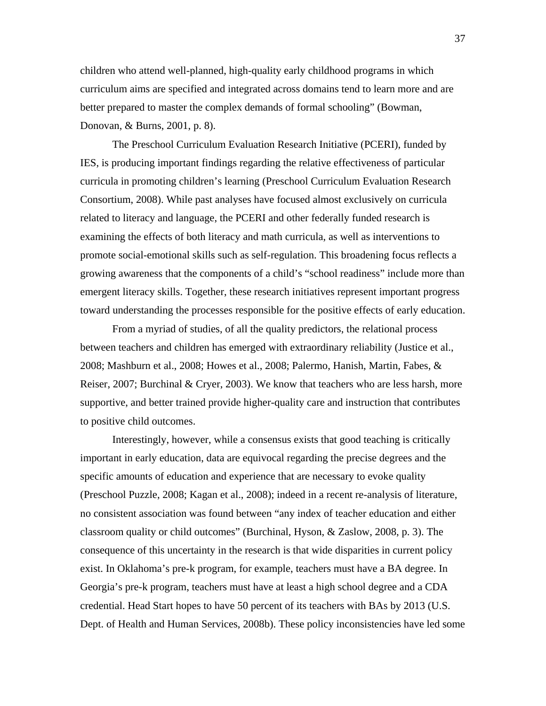children who attend well-planned, high-quality early childhood programs in which curriculum aims are specified and integrated across domains tend to learn more and are better prepared to master the complex demands of formal schooling" (Bowman, Donovan, & Burns, 2001, p. 8).

The Preschool Curriculum Evaluation Research Initiative (PCERI), funded by IES, is producing important findings regarding the relative effectiveness of particular curricula in promoting children's learning (Preschool Curriculum Evaluation Research Consortium, 2008). While past analyses have focused almost exclusively on curricula related to literacy and language, the PCERI and other federally funded research is examining the effects of both literacy and math curricula, as well as interventions to promote social-emotional skills such as self-regulation. This broadening focus reflects a growing awareness that the components of a child's "school readiness" include more than emergent literacy skills. Together, these research initiatives represent important progress toward understanding the processes responsible for the positive effects of early education.

From a myriad of studies, of all the quality predictors, the relational process between teachers and children has emerged with extraordinary reliability (Justice et al., 2008; Mashburn et al., 2008; Howes et al., 2008; Palermo, Hanish, Martin, Fabes, & Reiser, 2007; Burchinal & Cryer, 2003). We know that teachers who are less harsh, more supportive, and better trained provide higher-quality care and instruction that contributes to positive child outcomes.

Interestingly, however, while a consensus exists that good teaching is critically important in early education, data are equivocal regarding the precise degrees and the specific amounts of education and experience that are necessary to evoke quality (Preschool Puzzle, 2008; Kagan et al., 2008); indeed in a recent re-analysis of literature, no consistent association was found between "any index of teacher education and either classroom quality or child outcomes" (Burchinal, Hyson, & Zaslow, 2008, p. 3). The consequence of this uncertainty in the research is that wide disparities in current policy exist. In Oklahoma's pre-k program, for example, teachers must have a BA degree. In Georgia's pre-k program, teachers must have at least a high school degree and a CDA credential. Head Start hopes to have 50 percent of its teachers with BAs by 2013 (U.S. Dept. of Health and Human Services, 2008b). These policy inconsistencies have led some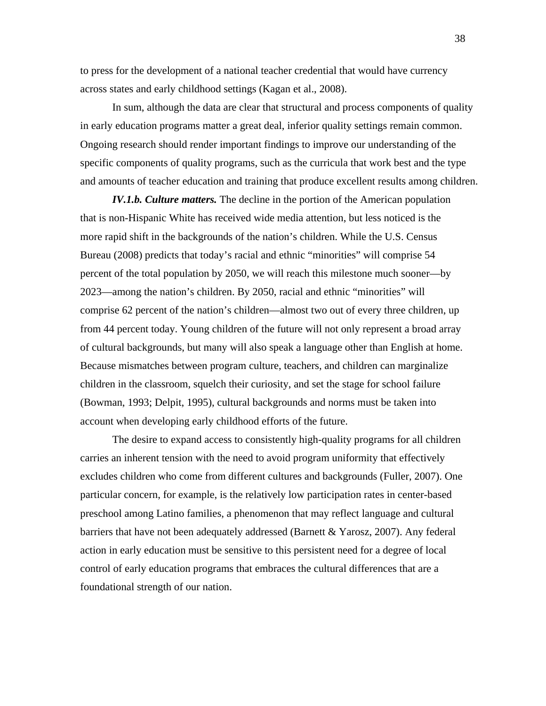to press for the development of a national teacher credential that would have currency across states and early childhood settings (Kagan et al., 2008).

In sum, although the data are clear that structural and process components of quality in early education programs matter a great deal, inferior quality settings remain common. Ongoing research should render important findings to improve our understanding of the specific components of quality programs, such as the curricula that work best and the type and amounts of teacher education and training that produce excellent results among children.

*IV.1.b. Culture matters.* The decline in the portion of the American population that is non-Hispanic White has received wide media attention, but less noticed is the more rapid shift in the backgrounds of the nation's children. While the U.S. Census Bureau (2008) predicts that today's racial and ethnic "minorities" will comprise 54 percent of the total population by 2050, we will reach this milestone much sooner—by 2023—among the nation's children. By 2050, racial and ethnic "minorities" will comprise 62 percent of the nation's children—almost two out of every three children, up from 44 percent today. Young children of the future will not only represent a broad array of cultural backgrounds, but many will also speak a language other than English at home. Because mismatches between program culture, teachers, and children can marginalize children in the classroom, squelch their curiosity, and set the stage for school failure (Bowman, 1993; Delpit, 1995), cultural backgrounds and norms must be taken into account when developing early childhood efforts of the future.

The desire to expand access to consistently high-quality programs for all children carries an inherent tension with the need to avoid program uniformity that effectively excludes children who come from different cultures and backgrounds (Fuller, 2007). One particular concern, for example, is the relatively low participation rates in center-based preschool among Latino families, a phenomenon that may reflect language and cultural barriers that have not been adequately addressed (Barnett & Yarosz, 2007). Any federal action in early education must be sensitive to this persistent need for a degree of local control of early education programs that embraces the cultural differences that are a foundational strength of our nation.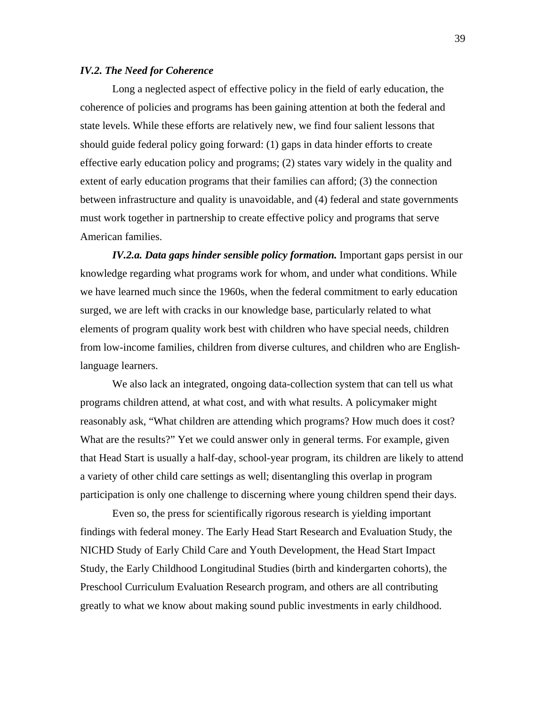# *IV.2. The Need for Coherence*

Long a neglected aspect of effective policy in the field of early education, the coherence of policies and programs has been gaining attention at both the federal and state levels. While these efforts are relatively new, we find four salient lessons that should guide federal policy going forward: (1) gaps in data hinder efforts to create effective early education policy and programs; (2) states vary widely in the quality and extent of early education programs that their families can afford; (3) the connection between infrastructure and quality is unavoidable, and (4) federal and state governments must work together in partnership to create effective policy and programs that serve American families.

*IV.2.a. Data gaps hinder sensible policy formation.* Important gaps persist in our knowledge regarding what programs work for whom, and under what conditions. While we have learned much since the 1960s, when the federal commitment to early education surged, we are left with cracks in our knowledge base, particularly related to what elements of program quality work best with children who have special needs, children from low-income families, children from diverse cultures, and children who are Englishlanguage learners.

We also lack an integrated, ongoing data-collection system that can tell us what programs children attend, at what cost, and with what results. A policymaker might reasonably ask, "What children are attending which programs? How much does it cost? What are the results?" Yet we could answer only in general terms. For example, given that Head Start is usually a half-day, school-year program, its children are likely to attend a variety of other child care settings as well; disentangling this overlap in program participation is only one challenge to discerning where young children spend their days.

Even so, the press for scientifically rigorous research is yielding important findings with federal money. The Early Head Start Research and Evaluation Study, the NICHD Study of Early Child Care and Youth Development, the Head Start Impact Study, the Early Childhood Longitudinal Studies (birth and kindergarten cohorts), the Preschool Curriculum Evaluation Research program, and others are all contributing greatly to what we know about making sound public investments in early childhood.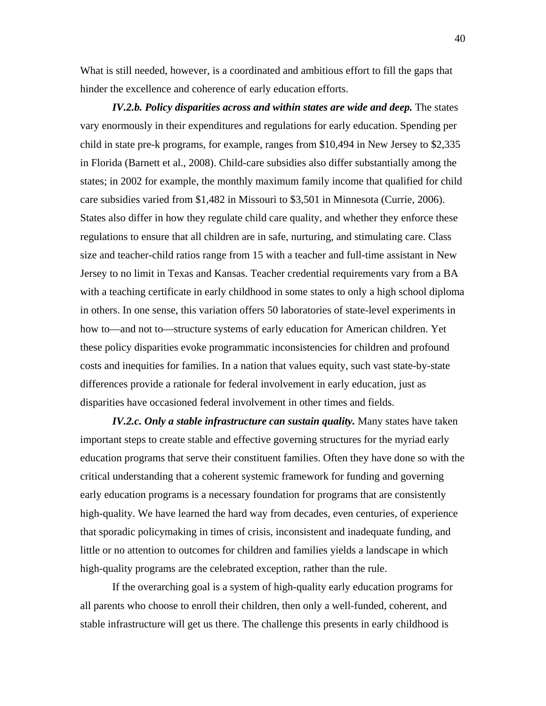What is still needed, however, is a coordinated and ambitious effort to fill the gaps that hinder the excellence and coherence of early education efforts.

*IV.2.b. Policy disparities across and within states are wide and deep. The states* vary enormously in their expenditures and regulations for early education. Spending per child in state pre-k programs, for example, ranges from \$10,494 in New Jersey to \$2,335 in Florida (Barnett et al., 2008). Child-care subsidies also differ substantially among the states; in 2002 for example, the monthly maximum family income that qualified for child care subsidies varied from \$1,482 in Missouri to \$3,501 in Minnesota (Currie, 2006). States also differ in how they regulate child care quality, and whether they enforce these regulations to ensure that all children are in safe, nurturing, and stimulating care. Class size and teacher-child ratios range from 15 with a teacher and full-time assistant in New Jersey to no limit in Texas and Kansas. Teacher credential requirements vary from a BA with a teaching certificate in early childhood in some states to only a high school diploma in others. In one sense, this variation offers 50 laboratories of state-level experiments in how to—and not to—structure systems of early education for American children. Yet these policy disparities evoke programmatic inconsistencies for children and profound costs and inequities for families. In a nation that values equity, such vast state-by-state differences provide a rationale for federal involvement in early education, just as disparities have occasioned federal involvement in other times and fields.

*IV.2.c. Only a stable infrastructure can sustain quality.* Many states have taken important steps to create stable and effective governing structures for the myriad early education programs that serve their constituent families. Often they have done so with the critical understanding that a coherent systemic framework for funding and governing early education programs is a necessary foundation for programs that are consistently high-quality. We have learned the hard way from decades, even centuries, of experience that sporadic policymaking in times of crisis, inconsistent and inadequate funding, and little or no attention to outcomes for children and families yields a landscape in which high-quality programs are the celebrated exception, rather than the rule.

If the overarching goal is a system of high-quality early education programs for all parents who choose to enroll their children, then only a well-funded, coherent, and stable infrastructure will get us there. The challenge this presents in early childhood is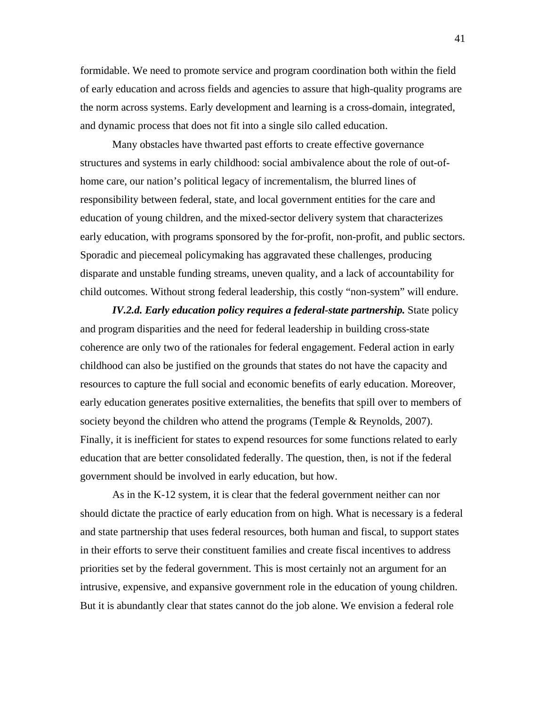formidable. We need to promote service and program coordination both within the field of early education and across fields and agencies to assure that high-quality programs are the norm across systems. Early development and learning is a cross-domain, integrated, and dynamic process that does not fit into a single silo called education.

Many obstacles have thwarted past efforts to create effective governance structures and systems in early childhood: social ambivalence about the role of out-ofhome care, our nation's political legacy of incrementalism, the blurred lines of responsibility between federal, state, and local government entities for the care and education of young children, and the mixed-sector delivery system that characterizes early education, with programs sponsored by the for-profit, non-profit, and public sectors. Sporadic and piecemeal policymaking has aggravated these challenges, producing disparate and unstable funding streams, uneven quality, and a lack of accountability for child outcomes. Without strong federal leadership, this costly "non-system" will endure.

*IV.2.d. Early education policy requires a federal-state partnership.* State policy and program disparities and the need for federal leadership in building cross-state coherence are only two of the rationales for federal engagement. Federal action in early childhood can also be justified on the grounds that states do not have the capacity and resources to capture the full social and economic benefits of early education. Moreover, early education generates positive externalities, the benefits that spill over to members of society beyond the children who attend the programs (Temple & Reynolds, 2007). Finally, it is inefficient for states to expend resources for some functions related to early education that are better consolidated federally. The question, then, is not if the federal government should be involved in early education, but how.

As in the K-12 system, it is clear that the federal government neither can nor should dictate the practice of early education from on high. What is necessary is a federal and state partnership that uses federal resources, both human and fiscal, to support states in their efforts to serve their constituent families and create fiscal incentives to address priorities set by the federal government. This is most certainly not an argument for an intrusive, expensive, and expansive government role in the education of young children. But it is abundantly clear that states cannot do the job alone. We envision a federal role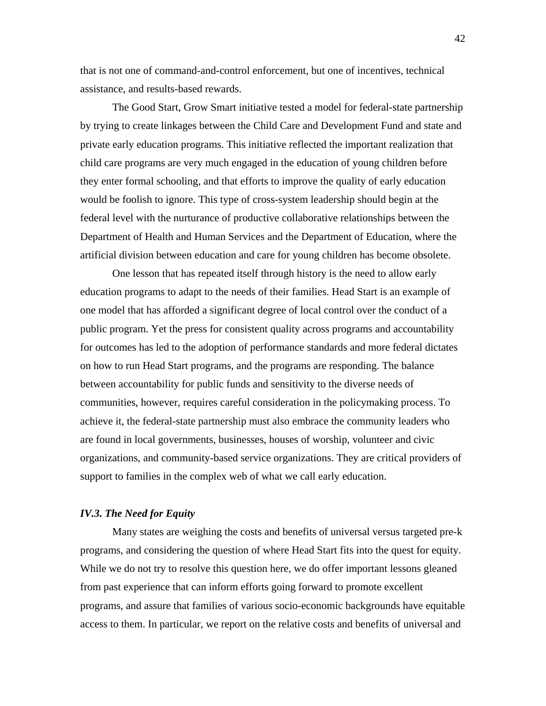that is not one of command-and-control enforcement, but one of incentives, technical assistance, and results-based rewards.

The Good Start, Grow Smart initiative tested a model for federal-state partnership by trying to create linkages between the Child Care and Development Fund and state and private early education programs. This initiative reflected the important realization that child care programs are very much engaged in the education of young children before they enter formal schooling, and that efforts to improve the quality of early education would be foolish to ignore. This type of cross-system leadership should begin at the federal level with the nurturance of productive collaborative relationships between the Department of Health and Human Services and the Department of Education, where the artificial division between education and care for young children has become obsolete.

One lesson that has repeated itself through history is the need to allow early education programs to adapt to the needs of their families. Head Start is an example of one model that has afforded a significant degree of local control over the conduct of a public program. Yet the press for consistent quality across programs and accountability for outcomes has led to the adoption of performance standards and more federal dictates on how to run Head Start programs, and the programs are responding. The balance between accountability for public funds and sensitivity to the diverse needs of communities, however, requires careful consideration in the policymaking process. To achieve it, the federal-state partnership must also embrace the community leaders who are found in local governments, businesses, houses of worship, volunteer and civic organizations, and community-based service organizations. They are critical providers of support to families in the complex web of what we call early education.

#### *IV.3. The Need for Equity*

Many states are weighing the costs and benefits of universal versus targeted pre-k programs, and considering the question of where Head Start fits into the quest for equity. While we do not try to resolve this question here, we do offer important lessons gleaned from past experience that can inform efforts going forward to promote excellent programs, and assure that families of various socio-economic backgrounds have equitable access to them. In particular, we report on the relative costs and benefits of universal and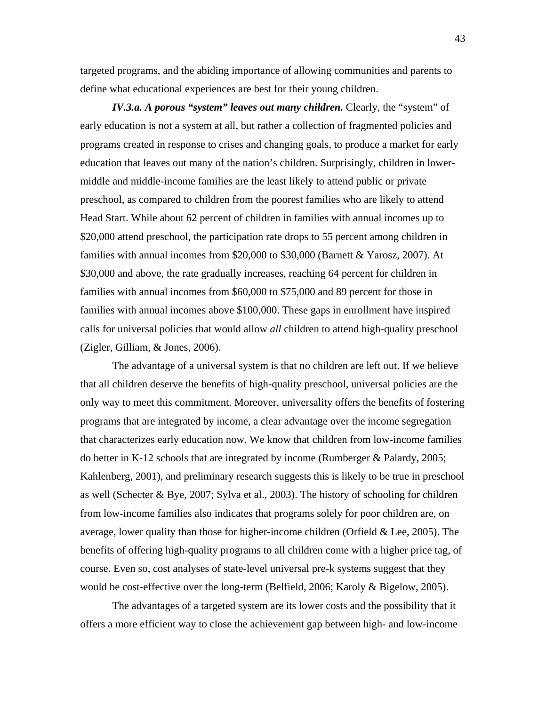targeted programs, and the abiding importance of allowing communities and parents to define what educational experiences are best for their young children.

*IV.3.a. A porous "system" leaves out many children. Clearly, the "system" of* early education is not a system at all, but rather a collection of fragmented policies and programs created in response to crises and changing goals, to produce a market for early education that leaves out many of the nation's children. Surprisingly, children in lowermiddle and middle-income families are the least likely to attend public or private preschool, as compared to children from the poorest families who are likely to attend Head Start. While about 62 percent of children in families with annual incomes up to \$20,000 attend preschool, the participation rate drops to 55 percent among children in families with annual incomes from \$20,000 to \$30,000 (Barnett & Yarosz, 2007). At \$30,000 and above, the rate gradually increases, reaching 64 percent for children in families with annual incomes from \$60,000 to \$75,000 and 89 percent for those in families with annual incomes above \$100,000. These gaps in enrollment have inspired calls for universal policies that would allow *all* children to attend high-quality preschool (Zigler, Gilliam, & Jones, 2006).

The advantage of a universal system is that no children are left out. If we believe that all children deserve the benefits of high-quality preschool, universal policies are the only way to meet this commitment. Moreover, universality offers the benefits of fostering programs that are integrated by income, a clear advantage over the income segregation that characterizes early education now. We know that children from low-income families do better in K-12 schools that are integrated by income (Rumberger & Palardy, 2005; Kahlenberg, 2001), and preliminary research suggests this is likely to be true in preschool as well (Schecter & Bye, 2007; Sylva et al., 2003). The history of schooling for children from low-income families also indicates that programs solely for poor children are, on average, lower quality than those for higher-income children (Orfield  $&$  Lee, 2005). The benefits of offering high-quality programs to all children come with a higher price tag, of course. Even so, cost analyses of state-level universal pre-k systems suggest that they would be cost-effective over the long-term (Belfield, 2006; Karoly & Bigelow, 2005).

The advantages of a targeted system are its lower costs and the possibility that it offers a more efficient way to close the achievement gap between high- and low-income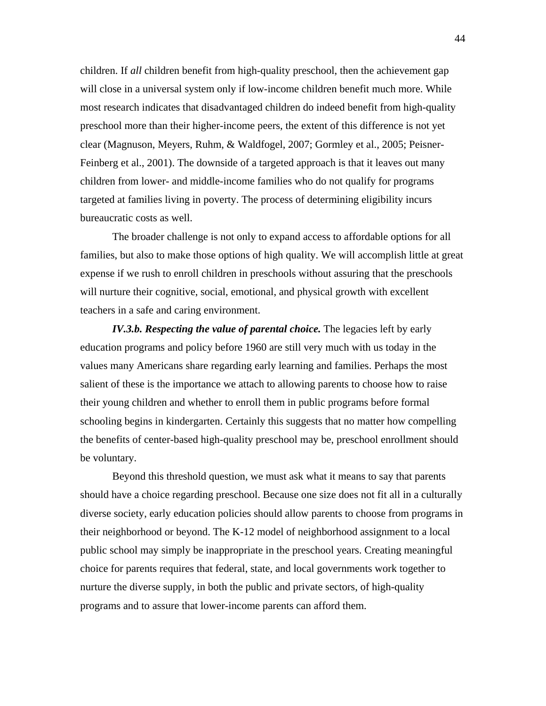children. If *all* children benefit from high-quality preschool, then the achievement gap will close in a universal system only if low-income children benefit much more. While most research indicates that disadvantaged children do indeed benefit from high-quality preschool more than their higher-income peers, the extent of this difference is not yet clear (Magnuson, Meyers, Ruhm, & Waldfogel, 2007; Gormley et al., 2005; Peisner-Feinberg et al., 2001). The downside of a targeted approach is that it leaves out many children from lower- and middle-income families who do not qualify for programs targeted at families living in poverty. The process of determining eligibility incurs bureaucratic costs as well.

The broader challenge is not only to expand access to affordable options for all families, but also to make those options of high quality. We will accomplish little at great expense if we rush to enroll children in preschools without assuring that the preschools will nurture their cognitive, social, emotional, and physical growth with excellent teachers in a safe and caring environment.

*IV.3.b. Respecting the value of parental choice. The legacies left by early* education programs and policy before 1960 are still very much with us today in the values many Americans share regarding early learning and families. Perhaps the most salient of these is the importance we attach to allowing parents to choose how to raise their young children and whether to enroll them in public programs before formal schooling begins in kindergarten. Certainly this suggests that no matter how compelling the benefits of center-based high-quality preschool may be, preschool enrollment should be voluntary.

Beyond this threshold question, we must ask what it means to say that parents should have a choice regarding preschool. Because one size does not fit all in a culturally diverse society, early education policies should allow parents to choose from programs in their neighborhood or beyond. The K-12 model of neighborhood assignment to a local public school may simply be inappropriate in the preschool years. Creating meaningful choice for parents requires that federal, state, and local governments work together to nurture the diverse supply, in both the public and private sectors, of high-quality programs and to assure that lower-income parents can afford them.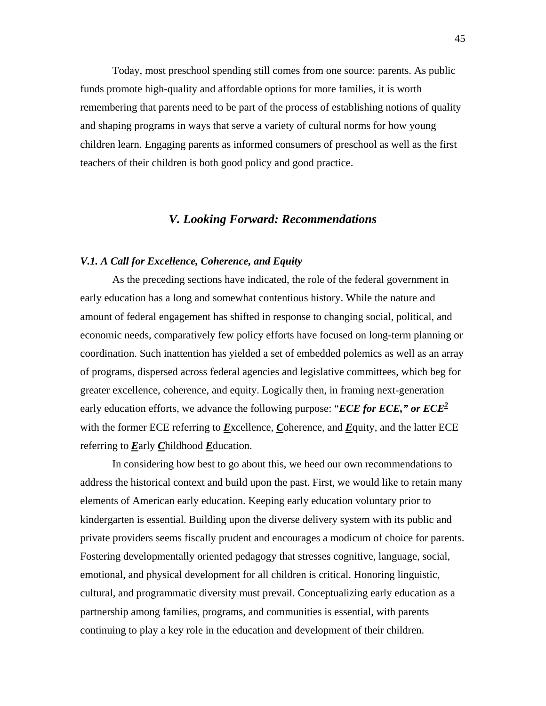Today, most preschool spending still comes from one source: parents. As public funds promote high-quality and affordable options for more families, it is worth remembering that parents need to be part of the process of establishing notions of quality and shaping programs in ways that serve a variety of cultural norms for how young children learn. Engaging parents as informed consumers of preschool as well as the first teachers of their children is both good policy and good practice.

# *V. Looking Forward: Recommendations*

### *V.1. A Call for Excellence, Coherence, and Equity*

 As the preceding sections have indicated, the role of the federal government in early education has a long and somewhat contentious history. While the nature and amount of federal engagement has shifted in response to changing social, political, and economic needs, comparatively few policy efforts have focused on long-term planning or coordination. Such inattention has yielded a set of embedded polemics as well as an array of programs, dispersed across federal agencies and legislative committees, which beg for greater excellence, coherence, and equity. Logically then, in framing next-generation early education efforts, we advance the following purpose: "*ECE for ECE," or ECE<sup>2</sup>* with the former ECE referring to *E*xcellence, *C*oherence, and *E*quity, and the latter ECE referring to *E*arly *C*hildhood *E*ducation.

 In considering how best to go about this, we heed our own recommendations to address the historical context and build upon the past. First, we would like to retain many elements of American early education. Keeping early education voluntary prior to kindergarten is essential. Building upon the diverse delivery system with its public and private providers seems fiscally prudent and encourages a modicum of choice for parents. Fostering developmentally oriented pedagogy that stresses cognitive, language, social, emotional, and physical development for all children is critical. Honoring linguistic, cultural, and programmatic diversity must prevail. Conceptualizing early education as a partnership among families, programs, and communities is essential, with parents continuing to play a key role in the education and development of their children.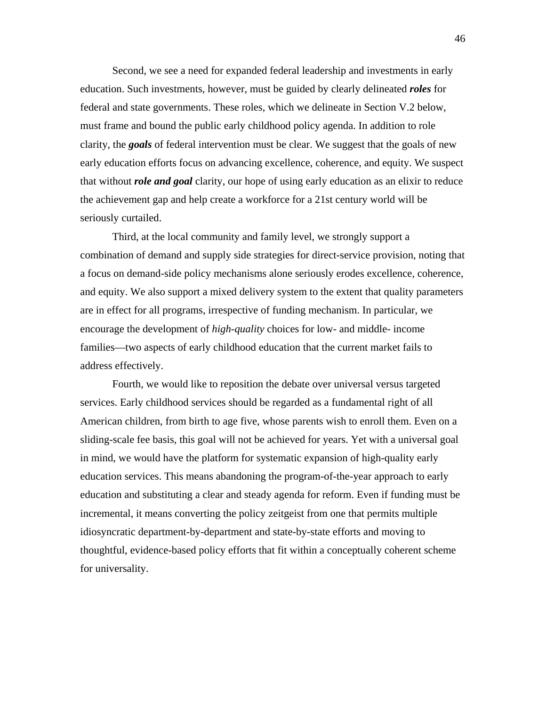Second, we see a need for expanded federal leadership and investments in early education. Such investments, however, must be guided by clearly delineated *roles* for federal and state governments. These roles, which we delineate in Section V.2 below, must frame and bound the public early childhood policy agenda. In addition to role clarity, the *goals* of federal intervention must be clear. We suggest that the goals of new early education efforts focus on advancing excellence, coherence, and equity. We suspect that without *role and goal* clarity, our hope of using early education as an elixir to reduce the achievement gap and help create a workforce for a 21st century world will be seriously curtailed.

Third, at the local community and family level, we strongly support a combination of demand and supply side strategies for direct-service provision, noting that a focus on demand-side policy mechanisms alone seriously erodes excellence, coherence, and equity. We also support a mixed delivery system to the extent that quality parameters are in effect for all programs, irrespective of funding mechanism. In particular, we encourage the development of *high-quality* choices for low- and middle- income families—two aspects of early childhood education that the current market fails to address effectively.

 Fourth, we would like to reposition the debate over universal versus targeted services. Early childhood services should be regarded as a fundamental right of all American children, from birth to age five, whose parents wish to enroll them. Even on a sliding-scale fee basis, this goal will not be achieved for years. Yet with a universal goal in mind, we would have the platform for systematic expansion of high-quality early education services. This means abandoning the program-of-the-year approach to early education and substituting a clear and steady agenda for reform. Even if funding must be incremental, it means converting the policy zeitgeist from one that permits multiple idiosyncratic department-by-department and state-by-state efforts and moving to thoughtful, evidence-based policy efforts that fit within a conceptually coherent scheme for universality.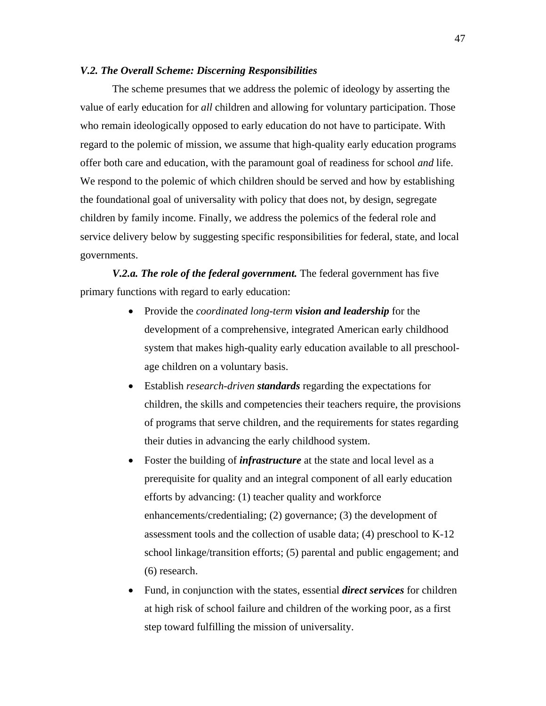# *V.2. The Overall Scheme: Discerning Responsibilities*

 The scheme presumes that we address the polemic of ideology by asserting the value of early education for *all* children and allowing for voluntary participation. Those who remain ideologically opposed to early education do not have to participate. With regard to the polemic of mission, we assume that high-quality early education programs offer both care and education, with the paramount goal of readiness for school *and* life. We respond to the polemic of which children should be served and how by establishing the foundational goal of universality with policy that does not, by design, segregate children by family income. Finally, we address the polemics of the federal role and service delivery below by suggesting specific responsibilities for federal, state, and local governments.

*V.2.a. The role of the federal government.* The federal government has five primary functions with regard to early education:

- Provide the *coordinated long-term vision and leadership* for the development of a comprehensive, integrated American early childhood system that makes high-quality early education available to all preschoolage children on a voluntary basis.
- Establish *research-driven standards* regarding the expectations for children, the skills and competencies their teachers require, the provisions of programs that serve children, and the requirements for states regarding their duties in advancing the early childhood system.
- Foster the building of *infrastructure* at the state and local level as a prerequisite for quality and an integral component of all early education efforts by advancing: (1) teacher quality and workforce enhancements/credentialing; (2) governance; (3) the development of assessment tools and the collection of usable data; (4) preschool to K-12 school linkage/transition efforts; (5) parental and public engagement; and (6) research.
- Fund, in conjunction with the states, essential *direct services* for children at high risk of school failure and children of the working poor, as a first step toward fulfilling the mission of universality.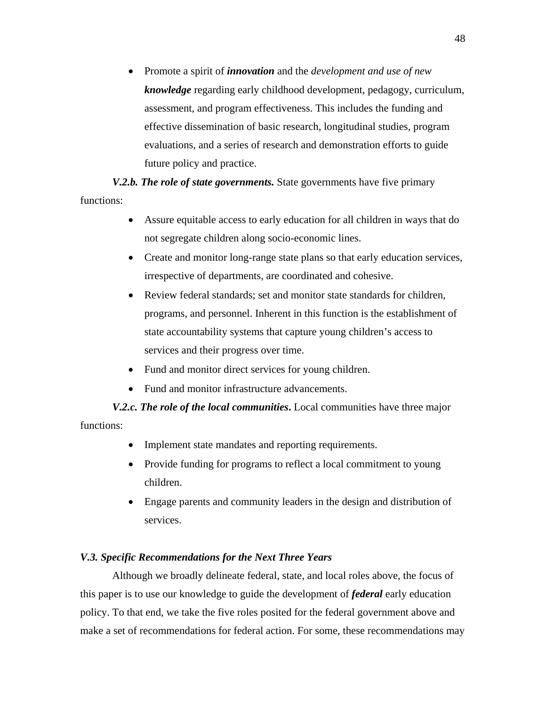• Promote a spirit of *innovation* and the *development and use of new knowledge* regarding early childhood development, pedagogy, curriculum, assessment, and program effectiveness. This includes the funding and effective dissemination of basic research, longitudinal studies, program evaluations, and a series of research and demonstration efforts to guide future policy and practice.

*V.2.b. The role of state governments.* State governments have five primary functions:

- Assure equitable access to early education for all children in ways that do not segregate children along socio-economic lines.
- Create and monitor long-range state plans so that early education services, irrespective of departments, are coordinated and cohesive.
- Review federal standards; set and monitor state standards for children, programs, and personnel. Inherent in this function is the establishment of state accountability systems that capture young children's access to services and their progress over time.
- Fund and monitor direct services for young children.
- Fund and monitor infrastructure advancements.

*V.2.c. The role of the local communities***.** Local communities have three major functions:

- Implement state mandates and reporting requirements.
- Provide funding for programs to reflect a local commitment to young children.
- Engage parents and community leaders in the design and distribution of services.

# *V.3. Specific Recommendations for the Next Three Years*

Although we broadly delineate federal, state, and local roles above, the focus of this paper is to use our knowledge to guide the development of *federal* early education policy. To that end, we take the five roles posited for the federal government above and make a set of recommendations for federal action. For some, these recommendations may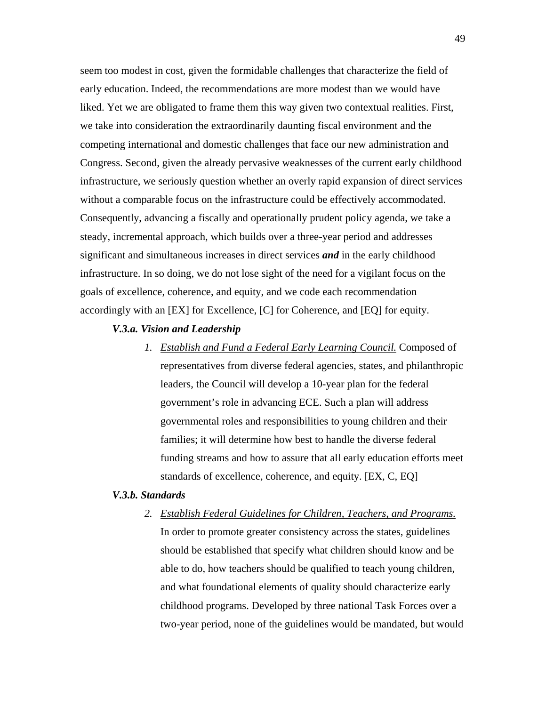seem too modest in cost, given the formidable challenges that characterize the field of early education. Indeed, the recommendations are more modest than we would have liked. Yet we are obligated to frame them this way given two contextual realities. First, we take into consideration the extraordinarily daunting fiscal environment and the competing international and domestic challenges that face our new administration and Congress. Second, given the already pervasive weaknesses of the current early childhood infrastructure, we seriously question whether an overly rapid expansion of direct services without a comparable focus on the infrastructure could be effectively accommodated. Consequently, advancing a fiscally and operationally prudent policy agenda, we take a steady, incremental approach, which builds over a three-year period and addresses significant and simultaneous increases in direct services *and* in the early childhood infrastructure. In so doing, we do not lose sight of the need for a vigilant focus on the goals of excellence, coherence, and equity, and we code each recommendation accordingly with an [EX] for Excellence, [C] for Coherence, and [EQ] for equity.

# *V.3.a. Vision and Leadership*

*1. Establish and Fund a Federal Early Learning Council.* Composed of representatives from diverse federal agencies, states, and philanthropic leaders, the Council will develop a 10-year plan for the federal government's role in advancing ECE. Such a plan will address governmental roles and responsibilities to young children and their families; it will determine how best to handle the diverse federal funding streams and how to assure that all early education efforts meet standards of excellence, coherence, and equity. [EX, C, EQ]

# *V.3.b. Standards*

*2. Establish Federal Guidelines for Children, Teachers, and Programs.* In order to promote greater consistency across the states, guidelines should be established that specify what children should know and be able to do, how teachers should be qualified to teach young children, and what foundational elements of quality should characterize early childhood programs. Developed by three national Task Forces over a two-year period, none of the guidelines would be mandated, but would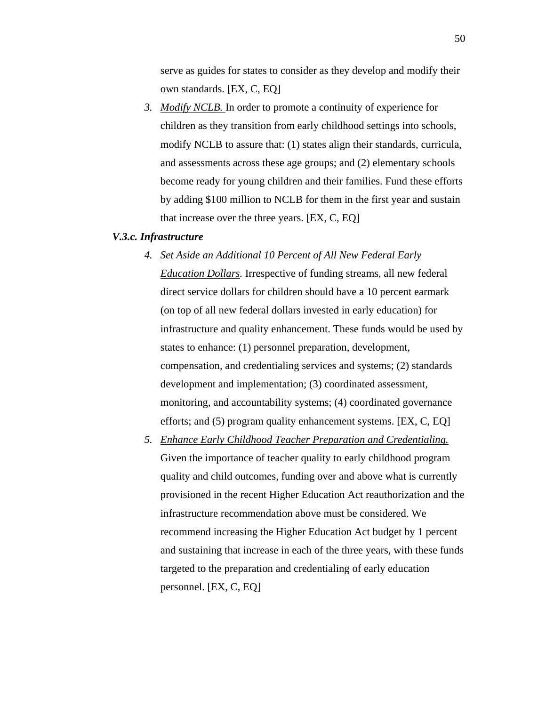serve as guides for states to consider as they develop and modify their own standards. [EX, C, EQ]

*3. Modify NCLB.* In order to promote a continuity of experience for children as they transition from early childhood settings into schools, modify NCLB to assure that: (1) states align their standards, curricula, and assessments across these age groups; and (2) elementary schools become ready for young children and their families. Fund these efforts by adding \$100 million to NCLB for them in the first year and sustain that increase over the three years. [EX, C, EQ]

# *V.3.c. Infrastructure*

- *4. Set Aside an Additional 10 Percent of All New Federal Early Education Dollars.* Irrespective of funding streams, all new federal direct service dollars for children should have a 10 percent earmark (on top of all new federal dollars invested in early education) for infrastructure and quality enhancement. These funds would be used by states to enhance: (1) personnel preparation, development, compensation, and credentialing services and systems; (2) standards development and implementation; (3) coordinated assessment, monitoring, and accountability systems; (4) coordinated governance efforts; and (5) program quality enhancement systems. [EX, C, EQ]
- *5. Enhance Early Childhood Teacher Preparation and Credentialing.* Given the importance of teacher quality to early childhood program quality and child outcomes, funding over and above what is currently provisioned in the recent Higher Education Act reauthorization and the infrastructure recommendation above must be considered. We recommend increasing the Higher Education Act budget by 1 percent and sustaining that increase in each of the three years, with these funds targeted to the preparation and credentialing of early education personnel. [EX, C, EQ]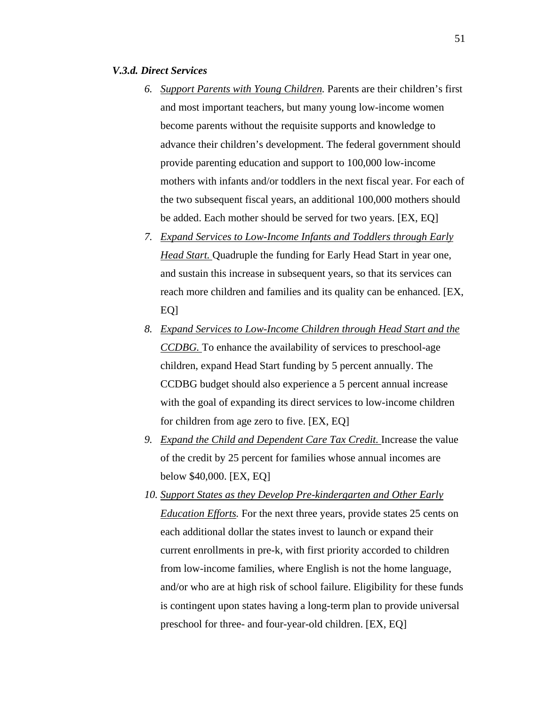#### *V.3.d. Direct Services*

- *6. Support Parents with Young Children.* Parents are their children's first and most important teachers, but many young low-income women become parents without the requisite supports and knowledge to advance their children's development. The federal government should provide parenting education and support to 100,000 low-income mothers with infants and/or toddlers in the next fiscal year. For each of the two subsequent fiscal years, an additional 100,000 mothers should be added. Each mother should be served for two years. [EX, EQ]
- *7. Expand Services to Low-Income Infants and Toddlers through Early Head Start.* Quadruple the funding for Early Head Start in year one, and sustain this increase in subsequent years, so that its services can reach more children and families and its quality can be enhanced. [EX, EQ]
- *8. Expand Services to Low-Income Children through Head Start and the CCDBG.* To enhance the availability of services to preschool-age children, expand Head Start funding by 5 percent annually. The CCDBG budget should also experience a 5 percent annual increase with the goal of expanding its direct services to low-income children for children from age zero to five. [EX, EQ]
- *9. Expand the Child and Dependent Care Tax Credit.* Increase the value of the credit by 25 percent for families whose annual incomes are below \$40,000. [EX, EQ]
- *10. Support States as they Develop Pre-kindergarten and Other Early Education Efforts.* For the next three years, provide states 25 cents on each additional dollar the states invest to launch or expand their current enrollments in pre-k, with first priority accorded to children from low-income families, where English is not the home language, and/or who are at high risk of school failure. Eligibility for these funds is contingent upon states having a long-term plan to provide universal preschool for three- and four-year-old children. [EX, EQ]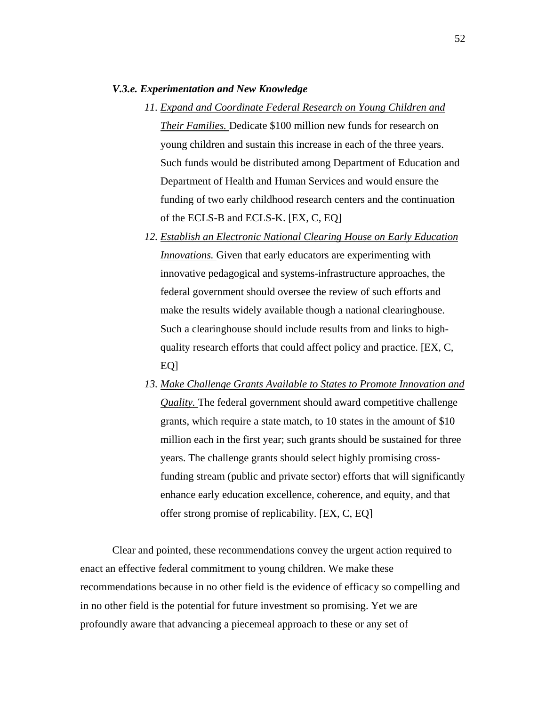#### *V.3.e. Experimentation and New Knowledge*

- *11. Expand and Coordinate Federal Research on Young Children and Their Families.* Dedicate \$100 million new funds for research on young children and sustain this increase in each of the three years. Such funds would be distributed among Department of Education and Department of Health and Human Services and would ensure the funding of two early childhood research centers and the continuation of the ECLS-B and ECLS-K. [EX, C, EQ]
- *12. Establish an Electronic National Clearing House on Early Education Innovations.* Given that early educators are experimenting with innovative pedagogical and systems-infrastructure approaches, the federal government should oversee the review of such efforts and make the results widely available though a national clearinghouse. Such a clearinghouse should include results from and links to highquality research efforts that could affect policy and practice. [EX, C, EO<sub>1</sub>
- *13. Make Challenge Grants Available to States to Promote Innovation and Quality.* The federal government should award competitive challenge grants, which require a state match, to 10 states in the amount of \$10 million each in the first year; such grants should be sustained for three years. The challenge grants should select highly promising crossfunding stream (public and private sector) efforts that will significantly enhance early education excellence, coherence, and equity, and that offer strong promise of replicability. [EX, C, EQ]

Clear and pointed, these recommendations convey the urgent action required to enact an effective federal commitment to young children. We make these recommendations because in no other field is the evidence of efficacy so compelling and in no other field is the potential for future investment so promising. Yet we are profoundly aware that advancing a piecemeal approach to these or any set of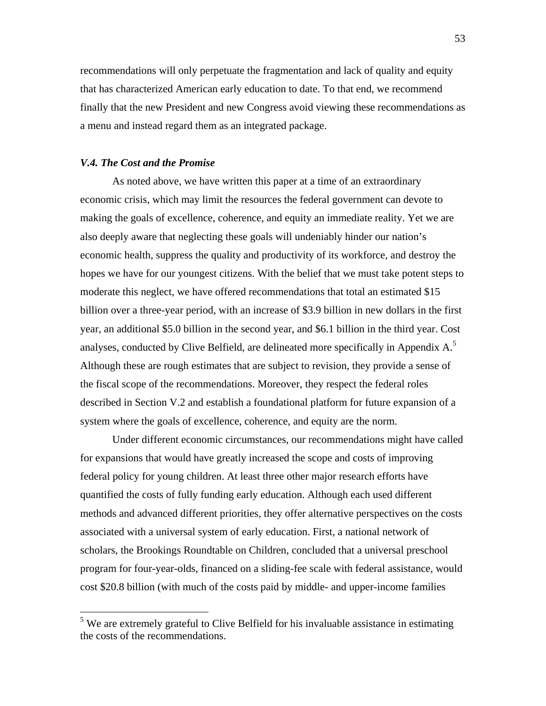recommendations will only perpetuate the fragmentation and lack of quality and equity that has characterized American early education to date. To that end, we recommend finally that the new President and new Congress avoid viewing these recommendations as a menu and instead regard them as an integrated package.

#### *V.4. The Cost and the Promise*

 $\overline{a}$ 

As noted above, we have written this paper at a time of an extraordinary economic crisis, which may limit the resources the federal government can devote to making the goals of excellence, coherence, and equity an immediate reality. Yet we are also deeply aware that neglecting these goals will undeniably hinder our nation's economic health, suppress the quality and productivity of its workforce, and destroy the hopes we have for our youngest citizens. With the belief that we must take potent steps to moderate this neglect, we have offered recommendations that total an estimated \$15 billion over a three-year period, with an increase of \$3.9 billion in new dollars in the first year, an additional \$5.0 billion in the second year, and \$6.1 billion in the third year. Cost analyses, conducted by Clive Belfield, are delineated more specifically in Appendix  $A$ <sup>5</sup> Although these are rough estimates that are subject to revision, they provide a sense of the fiscal scope of the recommendations. Moreover, they respect the federal roles described in Section V.2 and establish a foundational platform for future expansion of a system where the goals of excellence, coherence, and equity are the norm.

Under different economic circumstances, our recommendations might have called for expansions that would have greatly increased the scope and costs of improving federal policy for young children. At least three other major research efforts have quantified the costs of fully funding early education. Although each used different methods and advanced different priorities, they offer alternative perspectives on the costs associated with a universal system of early education. First, a national network of scholars, the Brookings Roundtable on Children, concluded that a universal preschool program for four-year-olds, financed on a sliding-fee scale with federal assistance, would cost \$20.8 billion (with much of the costs paid by middle- and upper-income families

<sup>&</sup>lt;sup>5</sup> We are extremely grateful to Clive Belfield for his invaluable assistance in estimating the costs of the recommendations.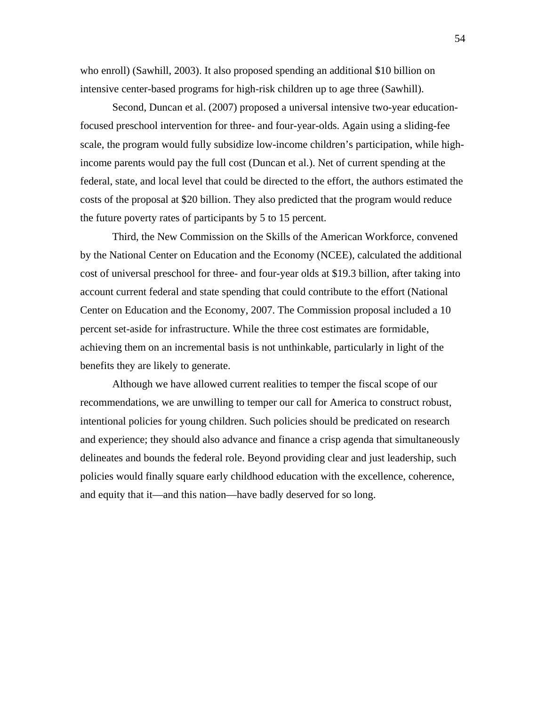who enroll) (Sawhill, 2003). It also proposed spending an additional \$10 billion on intensive center-based programs for high-risk children up to age three (Sawhill).

Second, Duncan et al. (2007) proposed a universal intensive two-year educationfocused preschool intervention for three- and four-year-olds. Again using a sliding-fee scale, the program would fully subsidize low-income children's participation, while highincome parents would pay the full cost (Duncan et al.). Net of current spending at the federal, state, and local level that could be directed to the effort, the authors estimated the costs of the proposal at \$20 billion. They also predicted that the program would reduce the future poverty rates of participants by 5 to 15 percent.

Third, the New Commission on the Skills of the American Workforce, convened by the National Center on Education and the Economy (NCEE), calculated the additional cost of universal preschool for three- and four-year olds at \$19.3 billion, after taking into account current federal and state spending that could contribute to the effort (National Center on Education and the Economy, 2007. The Commission proposal included a 10 percent set-aside for infrastructure. While the three cost estimates are formidable, achieving them on an incremental basis is not unthinkable, particularly in light of the benefits they are likely to generate.

Although we have allowed current realities to temper the fiscal scope of our recommendations, we are unwilling to temper our call for America to construct robust, intentional policies for young children. Such policies should be predicated on research and experience; they should also advance and finance a crisp agenda that simultaneously delineates and bounds the federal role. Beyond providing clear and just leadership, such policies would finally square early childhood education with the excellence, coherence, and equity that it—and this nation—have badly deserved for so long.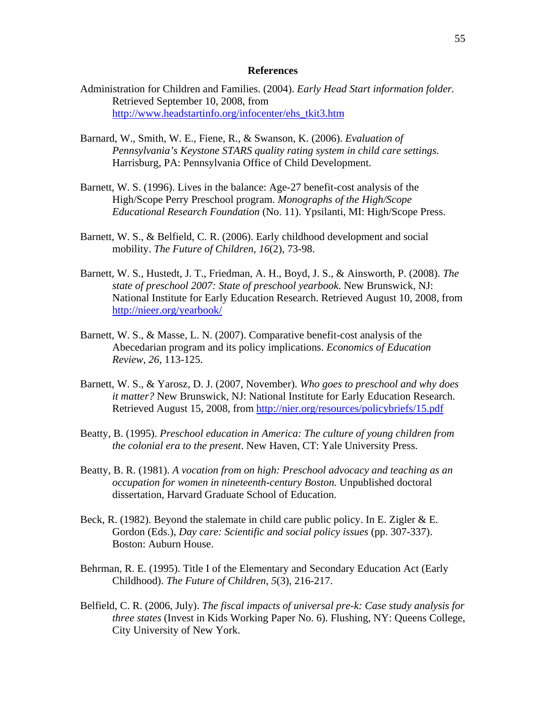#### **References**

- Administration for Children and Families. (2004). *Early Head Start information folder.* Retrieved September 10, 2008, from http://www.headstartinfo.org/infocenter/ehs\_tkit3.htm
- Barnard, W., Smith, W. E., Fiene, R., & Swanson, K. (2006). *Evaluation of Pennsylvania's Keystone STARS quality rating system in child care settings.* Harrisburg, PA: Pennsylvania Office of Child Development.
- Barnett, W. S. (1996). Lives in the balance: Age-27 benefit-cost analysis of the High/Scope Perry Preschool program. *Monographs of the High/Scope Educational Research Foundation* (No. 11). Ypsilanti, MI: High/Scope Press.
- Barnett, W. S., & Belfield, C. R. (2006). Early childhood development and social mobility. *The Future of Children*, *16*(2), 73-98.
- Barnett, W. S., Hustedt, J. T., Friedman, A. H., Boyd, J. S., & Ainsworth, P. (2008). *The state of preschool 2007: State of preschool yearbook*. New Brunswick, NJ: National Institute for Early Education Research. Retrieved August 10, 2008, from http://nieer.org/yearbook/
- Barnett, W. S., & Masse, L. N. (2007). Comparative benefit-cost analysis of the Abecedarian program and its policy implications. *Economics of Education Review*, *26*, 113-125.
- Barnett, W. S., & Yarosz, D. J. (2007, November). *Who goes to preschool and why does it matter?* New Brunswick, NJ: National Institute for Early Education Research. Retrieved August 15, 2008, from http://nier.org/resources/policybriefs/15.pdf
- Beatty, B. (1995). *Preschool education in America: The culture of young children from the colonial era to the present*. New Haven, CT: Yale University Press.
- Beatty, B. R. (1981). *A vocation from on high: Preschool advocacy and teaching as an occupation for women in nineteenth-century Boston.* Unpublished doctoral dissertation, Harvard Graduate School of Education.
- Beck, R. (1982). Beyond the stalemate in child care public policy. In E. Zigler & E. Gordon (Eds.), *Day care: Scientific and social policy issues* (pp. 307-337). Boston: Auburn House.
- Behrman, R. E. (1995). Title I of the Elementary and Secondary Education Act (Early Childhood). *The Future of Children, 5*(3), 216-217.
- Belfield, C. R. (2006, July). *The fiscal impacts of universal pre-k: Case study analysis for three states* (Invest in Kids Working Paper No. 6). Flushing, NY: Queens College, City University of New York.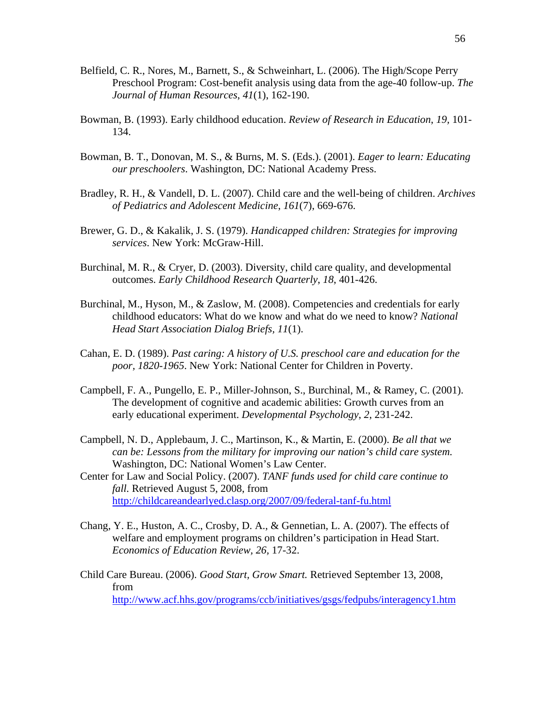- Belfield, C. R., Nores, M., Barnett, S., & Schweinhart, L. (2006). The High/Scope Perry Preschool Program: Cost-benefit analysis using data from the age-40 follow-up. *The Journal of Human Resources*, *41*(1), 162-190.
- Bowman, B. (1993). Early childhood education. *Review of Research in Education*, *19,* 101- 134.
- Bowman, B. T., Donovan, M. S., & Burns, M. S. (Eds.). (2001). *Eager to learn: Educating our preschoolers*. Washington, DC: National Academy Press.
- Bradley, R. H., & Vandell, D. L. (2007). Child care and the well-being of children. *Archives of Pediatrics and Adolescent Medicine*, *161*(7), 669-676.
- Brewer, G. D., & Kakalik, J. S. (1979). *Handicapped children: Strategies for improving services*. New York: McGraw-Hill.
- Burchinal, M. R., & Cryer, D. (2003). Diversity, child care quality, and developmental outcomes. *Early Childhood Research Quarterly*, *18*, 401-426.
- Burchinal, M., Hyson, M., & Zaslow, M. (2008). Competencies and credentials for early childhood educators: What do we know and what do we need to know? *National Head Start Association Dialog Briefs, 11*(1).
- Cahan, E. D. (1989). *Past caring: A history of U.S. preschool care and education for the poor, 1820-1965*. New York: National Center for Children in Poverty.
- Campbell, F. A., Pungello, E. P., Miller-Johnson, S., Burchinal, M., & Ramey, C. (2001). The development of cognitive and academic abilities: Growth curves from an early educational experiment. *Developmental Psychology*, *2*, 231-242.
- Campbell, N. D., Applebaum, J. C., Martinson, K., & Martin, E. (2000). *Be all that we can be: Lessons from the military for improving our nation's child care system.* Washington, DC: National Women's Law Center.
- Center for Law and Social Policy. (2007). *TANF funds used for child care continue to fall.* Retrieved August 5, 2008, from http://childcareandearlyed.clasp.org/2007/09/federal-tanf-fu.html
- Chang, Y. E., Huston, A. C., Crosby, D. A., & Gennetian, L. A. (2007). The effects of welfare and employment programs on children's participation in Head Start. *Economics of Education Review, 26,* 17-32.
- Child Care Bureau. (2006). *Good Start, Grow Smart.* Retrieved September 13, 2008, from http://www.acf.hhs.gov/programs/ccb/initiatives/gsgs/fedpubs/interagency1.htm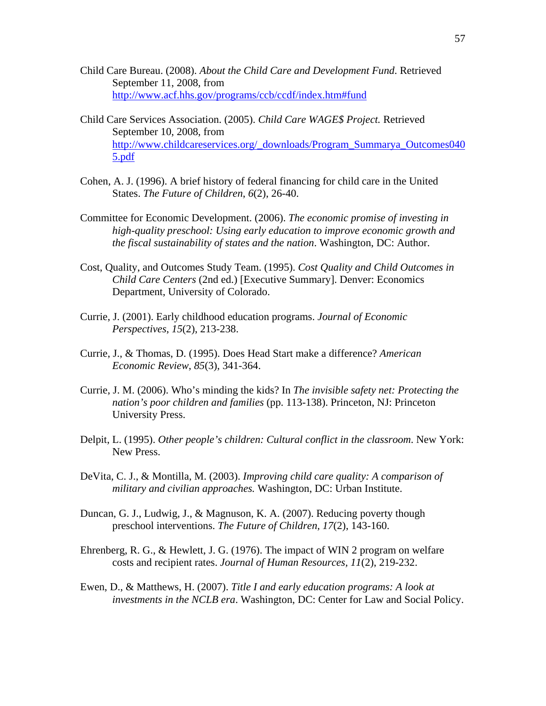- Child Care Bureau. (2008). *About the Child Care and Development Fund*. Retrieved September 11, 2008, from http://www.acf.hhs.gov/programs/ccb/ccdf/index.htm#fund
- Child Care Services Association. (2005). *Child Care WAGE\$ Project.* Retrieved September 10, 2008, from http://www.childcareservices.org/\_downloads/Program\_Summarya\_Outcomes040 5.pdf
- Cohen, A. J. (1996). A brief history of federal financing for child care in the United States. *The Future of Children*, *6*(2), 26-40.
- Committee for Economic Development. (2006). *The economic promise of investing in high-quality preschool: Using early education to improve economic growth and the fiscal sustainability of states and the nation*. Washington, DC: Author.
- Cost, Quality, and Outcomes Study Team. (1995). *Cost Quality and Child Outcomes in Child Care Centers* (2nd ed.) [Executive Summary]. Denver: Economics Department, University of Colorado.
- Currie, J. (2001). Early childhood education programs. *Journal of Economic Perspectives*, *15*(2), 213-238.
- Currie, J., & Thomas, D. (1995). Does Head Start make a difference? *American Economic Review*, *85*(3), 341-364.
- Currie, J. M. (2006). Who's minding the kids? In *The invisible safety net: Protecting the nation's poor children and families* (pp. 113-138). Princeton, NJ: Princeton University Press.
- Delpit, L. (1995). *Other people's children: Cultural conflict in the classroom*. New York: New Press.
- DeVita, C. J., & Montilla, M. (2003). *Improving child care quality: A comparison of military and civilian approaches.* Washington, DC: Urban Institute.
- Duncan, G. J., Ludwig, J., & Magnuson, K. A. (2007). Reducing poverty though preschool interventions. *The Future of Children, 17*(2), 143-160.
- Ehrenberg, R. G., & Hewlett, J. G. (1976). The impact of WIN 2 program on welfare costs and recipient rates. *Journal of Human Resources, 11*(2), 219-232.
- Ewen, D., & Matthews, H. (2007). *Title I and early education programs: A look at investments in the NCLB era*. Washington, DC: Center for Law and Social Policy.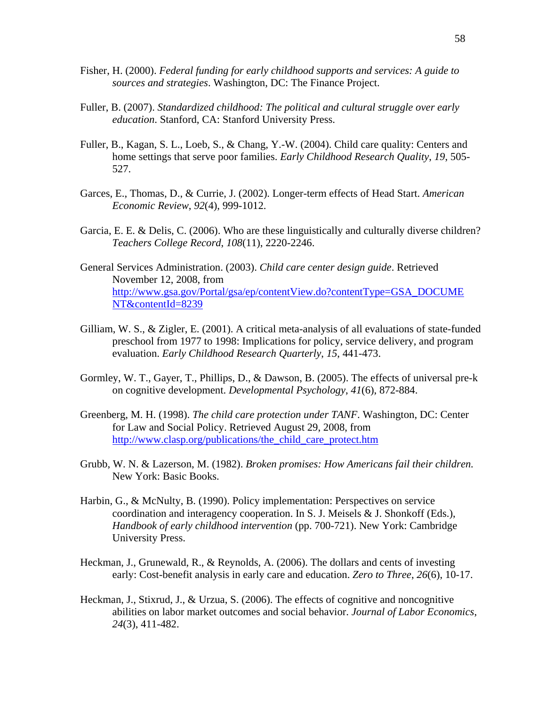- Fisher, H. (2000). *Federal funding for early childhood supports and services: A guide to sources and strategies*. Washington, DC: The Finance Project.
- Fuller, B. (2007). *Standardized childhood: The political and cultural struggle over early education*. Stanford, CA: Stanford University Press.
- Fuller, B., Kagan, S. L., Loeb, S., & Chang, Y.-W. (2004). Child care quality: Centers and home settings that serve poor families. *Early Childhood Research Quality*, *19*, 505- 527.
- Garces, E., Thomas, D., & Currie, J. (2002). Longer-term effects of Head Start. *American Economic Review*, *92*(4), 999-1012.
- Garcia, E. E. & Delis, C. (2006). Who are these linguistically and culturally diverse children? *Teachers College Record*, *108*(11), 2220-2246.
- General Services Administration. (2003). *Child care center design guide*. Retrieved November 12, 2008, from http://www.gsa.gov/Portal/gsa/ep/contentView.do?contentType=GSA\_DOCUME NT&contentId=8239
- Gilliam, W. S., & Zigler, E. (2001). A critical meta-analysis of all evaluations of state-funded preschool from 1977 to 1998: Implications for policy, service delivery, and program evaluation. *Early Childhood Research Quarterly*, *15*, 441-473.
- Gormley, W. T., Gayer, T., Phillips, D., & Dawson, B. (2005). The effects of universal pre-k on cognitive development. *Developmental Psychology*, *41*(6), 872-884.
- Greenberg, M. H. (1998). *The child care protection under TANF*. Washington, DC: Center for Law and Social Policy. Retrieved August 29, 2008, from http://www.clasp.org/publications/the\_child\_care\_protect.htm
- Grubb, W. N. & Lazerson, M. (1982). *Broken promises: How Americans fail their children.*  New York: Basic Books.
- Harbin, G., & McNulty, B. (1990). Policy implementation: Perspectives on service coordination and interagency cooperation. In S. J. Meisels & J. Shonkoff (Eds.), *Handbook of early childhood intervention* (pp. 700-721). New York: Cambridge University Press.
- Heckman, J., Grunewald, R., & Reynolds, A. (2006). The dollars and cents of investing early: Cost-benefit analysis in early care and education. *Zero to Three*, *26*(6), 10-17.
- Heckman, J., Stixrud, J., & Urzua, S. (2006). The effects of cognitive and noncognitive abilities on labor market outcomes and social behavior. *Journal of Labor Economics*, *24*(3), 411-482.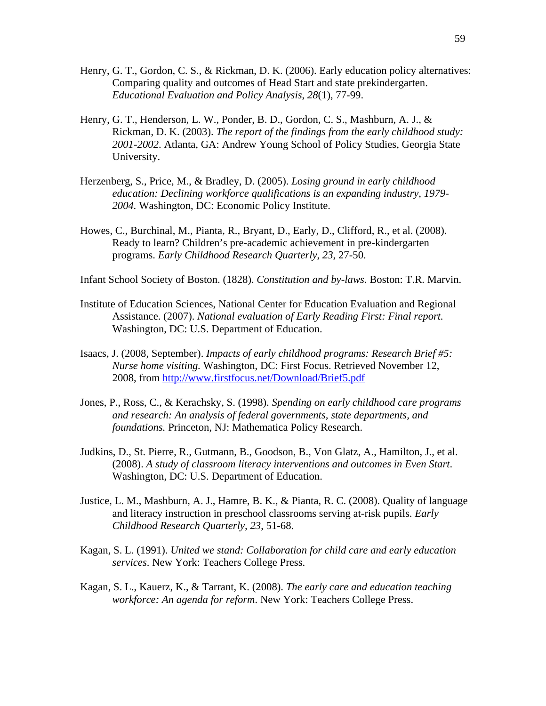- Henry, G. T., Gordon, C. S., & Rickman, D. K. (2006). Early education policy alternatives: Comparing quality and outcomes of Head Start and state prekindergarten. *Educational Evaluation and Policy Analysis*, *28*(1), 77-99.
- Henry, G. T., Henderson, L. W., Ponder, B. D., Gordon, C. S., Mashburn, A. J., & Rickman, D. K. (2003). *The report of the findings from the early childhood study: 2001-2002*. Atlanta, GA: Andrew Young School of Policy Studies, Georgia State University.
- Herzenberg, S., Price, M., & Bradley, D. (2005). *Losing ground in early childhood education: Declining workforce qualifications is an expanding industry, 1979- 2004.* Washington, DC: Economic Policy Institute.
- Howes, C., Burchinal, M., Pianta, R., Bryant, D., Early, D., Clifford, R., et al. (2008). Ready to learn? Children's pre-academic achievement in pre-kindergarten programs. *Early Childhood Research Quarterly*, *23*, 27-50.
- Infant School Society of Boston. (1828). *Constitution and by-laws.* Boston: T.R. Marvin.
- Institute of Education Sciences, National Center for Education Evaluation and Regional Assistance. (2007). *National evaluation of Early Reading First: Final report.*  Washington, DC: U.S. Department of Education.
- Isaacs, J. (2008, September). *Impacts of early childhood programs: Research Brief #5: Nurse home visiting.* Washington, DC: First Focus. Retrieved November 12, 2008, from http://www.firstfocus.net/Download/Brief5.pdf
- Jones, P., Ross, C., & Kerachsky, S. (1998). *Spending on early childhood care programs and research: An analysis of federal governments, state departments, and foundations.* Princeton, NJ: Mathematica Policy Research.
- Judkins, D., St. Pierre, R., Gutmann, B., Goodson, B., Von Glatz, A., Hamilton, J., et al. (2008). *A study of classroom literacy interventions and outcomes in Even Start*. Washington, DC: U.S. Department of Education.
- Justice, L. M., Mashburn, A. J., Hamre, B. K., & Pianta, R. C. (2008). Quality of language and literacy instruction in preschool classrooms serving at-risk pupils. *Early Childhood Research Quarterly, 23*, 51-68.
- Kagan, S. L. (1991). *United we stand: Collaboration for child care and early education services*. New York: Teachers College Press.
- Kagan, S. L., Kauerz, K., & Tarrant, K. (2008). *The early care and education teaching workforce: An agenda for reform*. New York: Teachers College Press.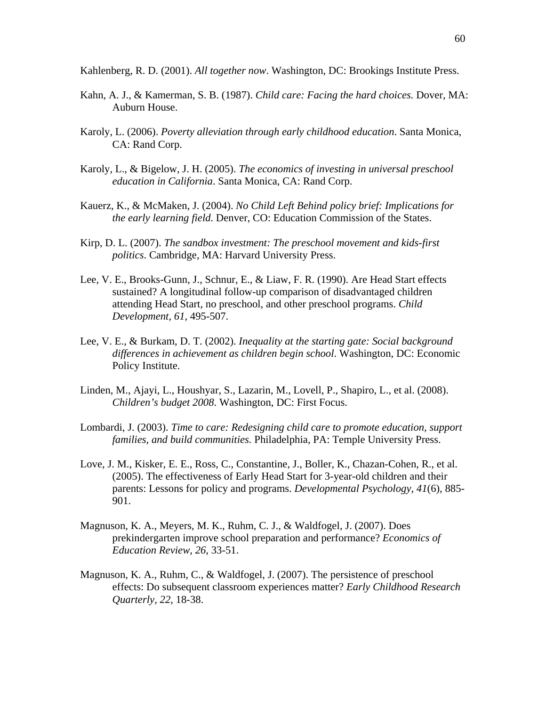Kahlenberg, R. D. (2001). *All together now*. Washington, DC: Brookings Institute Press.

- Kahn, A. J., & Kamerman, S. B. (1987). *Child care: Facing the hard choices.* Dover, MA: Auburn House.
- Karoly, L. (2006). *Poverty alleviation through early childhood education*. Santa Monica, CA: Rand Corp.
- Karoly, L., & Bigelow, J. H. (2005). *The economics of investing in universal preschool education in California*. Santa Monica, CA: Rand Corp.
- Kauerz, K., & McMaken, J. (2004). *No Child Left Behind policy brief: Implications for the early learning field.* Denver, CO: Education Commission of the States.
- Kirp, D. L. (2007). *The sandbox investment: The preschool movement and kids-first politics*. Cambridge, MA: Harvard University Press.
- Lee, V. E., Brooks-Gunn, J., Schnur, E., & Liaw, F. R. (1990). Are Head Start effects sustained? A longitudinal follow-up comparison of disadvantaged children attending Head Start, no preschool, and other preschool programs. *Child Development, 61*, 495-507.
- Lee, V. E., & Burkam, D. T. (2002). *Inequality at the starting gate: Social background differences in achievement as children begin school*. Washington, DC: Economic Policy Institute.
- Linden, M., Ajayi, L., Houshyar, S., Lazarin, M., Lovell, P., Shapiro, L., et al. (2008). *Children's budget 2008*. Washington, DC: First Focus.
- Lombardi, J. (2003). *Time to care: Redesigning child care to promote education, support families, and build communities.* Philadelphia, PA: Temple University Press.
- Love, J. M., Kisker, E. E., Ross, C., Constantine, J., Boller, K., Chazan-Cohen, R., et al. (2005). The effectiveness of Early Head Start for 3-year-old children and their parents: Lessons for policy and programs. *Developmental Psychology*, *41*(6), 885- 901.
- Magnuson, K. A., Meyers, M. K., Ruhm, C. J., & Waldfogel, J. (2007). Does prekindergarten improve school preparation and performance? *Economics of Education Review*, *26*, 33-51.
- Magnuson, K. A., Ruhm, C., & Waldfogel, J. (2007). The persistence of preschool effects: Do subsequent classroom experiences matter? *Early Childhood Research Quarterly, 22,* 18-38.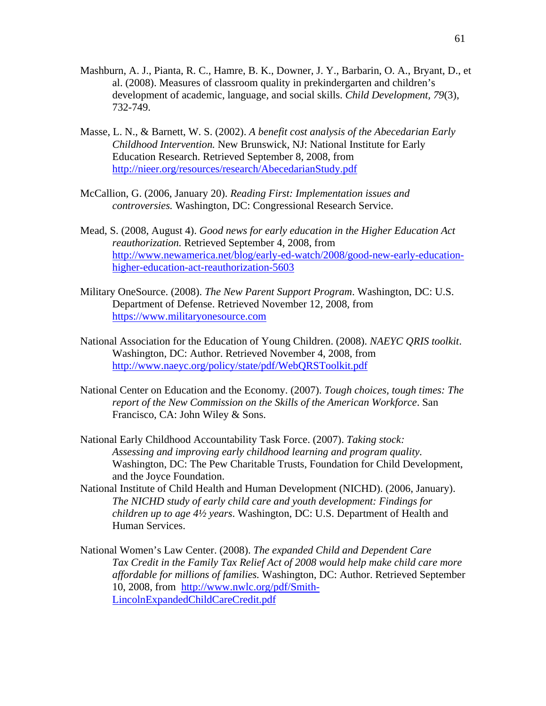- Mashburn, A. J., Pianta, R. C., Hamre, B. K., Downer, J. Y., Barbarin, O. A., Bryant, D., et al. (2008). Measures of classroom quality in prekindergarten and children's development of academic, language, and social skills. *Child Development, 79*(3), 732-749.
- Masse, L. N., & Barnett, W. S. (2002). *A benefit cost analysis of the Abecedarian Early Childhood Intervention.* New Brunswick, NJ: National Institute for Early Education Research. Retrieved September 8, 2008, from http://nieer.org/resources/research/AbecedarianStudy.pdf
- McCallion, G. (2006, January 20). *Reading First: Implementation issues and controversies.* Washington, DC: Congressional Research Service.
- Mead, S. (2008, August 4). *Good news for early education in the Higher Education Act reauthorization.* Retrieved September 4, 2008, from http://www.newamerica.net/blog/early-ed-watch/2008/good-new-early-educationhigher-education-act-reauthorization-5603
- Military OneSource. (2008). *The New Parent Support Program*. Washington, DC: U.S. Department of Defense. Retrieved November 12, 2008, from https://www.militaryonesource.com
- National Association for the Education of Young Children. (2008). *NAEYC QRIS toolkit*. Washington, DC: Author. Retrieved November 4, 2008, from http://www.naeyc.org/policy/state/pdf/WebQRSToolkit.pdf
- National Center on Education and the Economy. (2007). *Tough choices, tough times: The report of the New Commission on the Skills of the American Workforce*. San Francisco, CA: John Wiley & Sons.
- National Early Childhood Accountability Task Force. (2007). *Taking stock: Assessing and improving early childhood learning and program quality.*  Washington, DC: The Pew Charitable Trusts, Foundation for Child Development, and the Joyce Foundation.
- National Institute of Child Health and Human Development (NICHD). (2006, January). *The NICHD study of early child care and youth development: Findings for children up to age 4½ years*. Washington, DC: U.S. Department of Health and Human Services.
- National Women's Law Center. (2008). *The expanded Child and Dependent Care Tax Credit in the Family Tax Relief Act of 2008 would help make child care more affordable for millions of families.* Washington, DC: Author. Retrieved September 10, 2008, from http://www.nwlc.org/pdf/Smith-LincolnExpandedChildCareCredit.pdf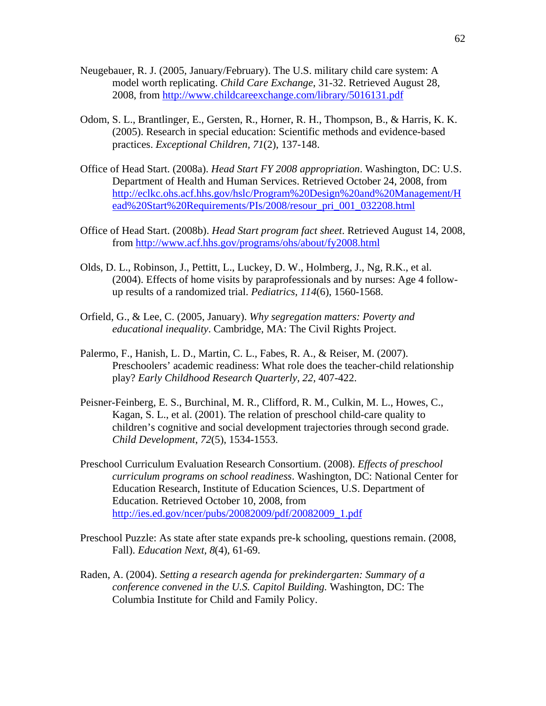- Neugebauer, R. J. (2005, January/February). The U.S. military child care system: A model worth replicating. *Child Care Exchange*, 31-32. Retrieved August 28, 2008, from http://www.childcareexchange.com/library/5016131.pdf
- Odom, S. L., Brantlinger, E., Gersten, R., Horner, R. H., Thompson, B., & Harris, K. K. (2005). Research in special education: Scientific methods and evidence-based practices. *Exceptional Children, 71*(2), 137-148.
- Office of Head Start. (2008a). *Head Start FY 2008 appropriation*. Washington, DC: U.S. Department of Health and Human Services. Retrieved October 24, 2008, from http://eclkc.ohs.acf.hhs.gov/hslc/Program%20Design%20and%20Management/H ead%20Start%20Requirements/PIs/2008/resour\_pri\_001\_032208.html
- Office of Head Start. (2008b). *Head Start program fact sheet*. Retrieved August 14, 2008, from http://www.acf.hhs.gov/programs/ohs/about/fy2008.html
- Olds, D. L., Robinson, J., Pettitt, L., Luckey, D. W., Holmberg, J., Ng, R.K., et al. (2004). Effects of home visits by paraprofessionals and by nurses: Age 4 followup results of a randomized trial. *Pediatrics, 114*(6), 1560-1568.
- Orfield, G., & Lee, C. (2005, January). *Why segregation matters: Poverty and educational inequality*. Cambridge, MA: The Civil Rights Project.
- Palermo, F., Hanish, L. D., Martin, C. L., Fabes, R. A., & Reiser, M. (2007). Preschoolers' academic readiness: What role does the teacher-child relationship play? *Early Childhood Research Quarterly, 22,* 407-422.
- Peisner-Feinberg, E. S., Burchinal, M. R., Clifford, R. M., Culkin, M. L., Howes, C., Kagan, S. L., et al. (2001). The relation of preschool child-care quality to children's cognitive and social development trajectories through second grade. *Child Development*, *72*(5), 1534-1553.
- Preschool Curriculum Evaluation Research Consortium. (2008). *Effects of preschool curriculum programs on school readiness*. Washington, DC: National Center for Education Research, Institute of Education Sciences, U.S. Department of Education. Retrieved October 10, 2008, from http://ies.ed.gov/ncer/pubs/20082009/pdf/20082009\_1.pdf
- Preschool Puzzle: As state after state expands pre-k schooling, questions remain. (2008, Fall). *Education Next, 8*(4), 61-69.
- Raden, A. (2004). *Setting a research agenda for prekindergarten: Summary of a conference convened in the U.S. Capitol Building.* Washington, DC: The Columbia Institute for Child and Family Policy.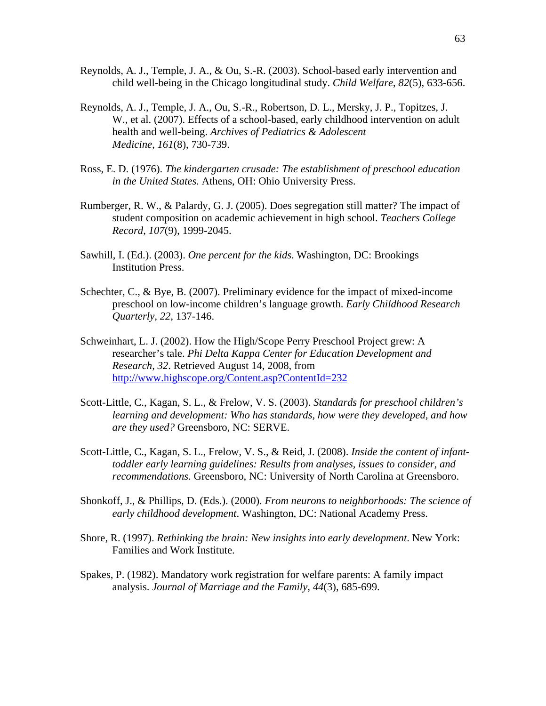- Reynolds, A. J., Temple, J. A., & Ou, S.-R. (2003). School-based early intervention and child well-being in the Chicago longitudinal study. *Child Welfare*, *82*(5), 633-656.
- Reynolds, A. J., Temple, J. A., Ou, S.-R., Robertson, D. L., Mersky, J. P., Topitzes, J. W., et al. (2007). Effects of a school-based, early childhood intervention on adult health and well-being. *Archives of Pediatrics & Adolescent Medicine*, *161*(8), 730-739.
- Ross, E. D. (1976). *The kindergarten crusade: The establishment of preschool education in the United States.* Athens, OH: Ohio University Press.
- Rumberger, R. W., & Palardy, G. J. (2005). Does segregation still matter? The impact of student composition on academic achievement in high school. *Teachers College Record*, *107*(9), 1999-2045.
- Sawhill, I. (Ed.). (2003). *One percent for the kids*. Washington, DC: Brookings Institution Press.
- Schechter, C., & Bye, B. (2007). Preliminary evidence for the impact of mixed-income preschool on low-income children's language growth. *Early Childhood Research Quarterly*, *22*, 137-146.
- Schweinhart, L. J. (2002). How the High/Scope Perry Preschool Project grew: A researcher's tale. *Phi Delta Kappa Center for Education Development and Research, 32*. Retrieved August 14, 2008, from http://www.highscope.org/Content.asp?ContentId=232
- Scott-Little, C., Kagan, S. L., & Frelow, V. S. (2003). *Standards for preschool children's learning and development: Who has standards, how were they developed, and how are they used?* Greensboro, NC: SERVE.
- Scott-Little, C., Kagan, S. L., Frelow, V. S., & Reid, J. (2008). *Inside the content of infanttoddler early learning guidelines: Results from analyses, issues to consider, and recommendations.* Greensboro, NC: University of North Carolina at Greensboro.
- Shonkoff, J., & Phillips, D. (Eds.). (2000). *From neurons to neighborhoods: The science of early childhood development*. Washington, DC: National Academy Press.
- Shore, R. (1997). *Rethinking the brain: New insights into early development*. New York: Families and Work Institute.
- Spakes, P. (1982). Mandatory work registration for welfare parents: A family impact analysis. *Journal of Marriage and the Family, 44*(3), 685-699.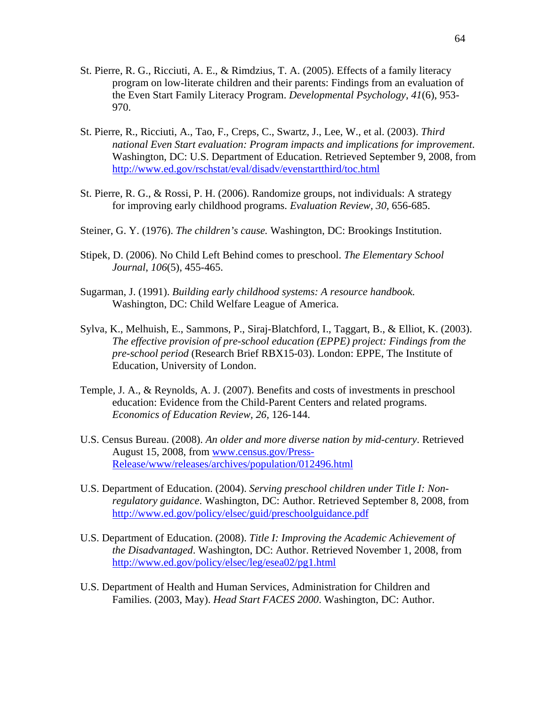- St. Pierre, R. G., Ricciuti, A. E., & Rimdzius, T. A. (2005). Effects of a family literacy program on low-literate children and their parents: Findings from an evaluation of the Even Start Family Literacy Program. *Developmental Psychology*, *41*(6), 953- 970.
- St. Pierre, R., Ricciuti, A., Tao, F., Creps, C., Swartz, J., Lee, W., et al. (2003). *Third national Even Start evaluation: Program impacts and implications for improvement*. Washington, DC: U.S. Department of Education. Retrieved September 9, 2008, from http://www.ed.gov/rschstat/eval/disadv/evenstartthird/toc.html
- St. Pierre, R. G., & Rossi, P. H. (2006). Randomize groups, not individuals: A strategy for improving early childhood programs. *Evaluation Review, 30,* 656-685.
- Steiner, G. Y. (1976). *The children's cause.* Washington, DC: Brookings Institution.
- Stipek, D. (2006). No Child Left Behind comes to preschool. *The Elementary School Journal*, *106*(5), 455-465.
- Sugarman, J. (1991). *Building early childhood systems: A resource handbook.*  Washington, DC: Child Welfare League of America.
- Sylva, K., Melhuish, E., Sammons, P., Siraj-Blatchford, I., Taggart, B., & Elliot, K. (2003). *The effective provision of pre-school education (EPPE) project: Findings from the pre-school period* (Research Brief RBX15-03). London: EPPE, The Institute of Education, University of London.
- Temple, J. A., & Reynolds, A. J. (2007). Benefits and costs of investments in preschool education: Evidence from the Child-Parent Centers and related programs. *Economics of Education Review, 26,* 126-144.
- U.S. Census Bureau. (2008). *An older and more diverse nation by mid-century*. Retrieved August 15, 2008, from www.census.gov/Press-Release/www/releases/archives/population/012496.html
- U.S. Department of Education. (2004). *Serving preschool children under Title I: Nonregulatory guidance*. Washington, DC: Author. Retrieved September 8, 2008, from http://www.ed.gov/policy/elsec/guid/preschoolguidance.pdf
- U.S. Department of Education. (2008). *Title I: Improving the Academic Achievement of the Disadvantaged*. Washington, DC: Author. Retrieved November 1, 2008, from http://www.ed.gov/policy/elsec/leg/esea02/pg1.html
- U.S. Department of Health and Human Services, Administration for Children and Families. (2003, May). *Head Start FACES 2000*. Washington, DC: Author.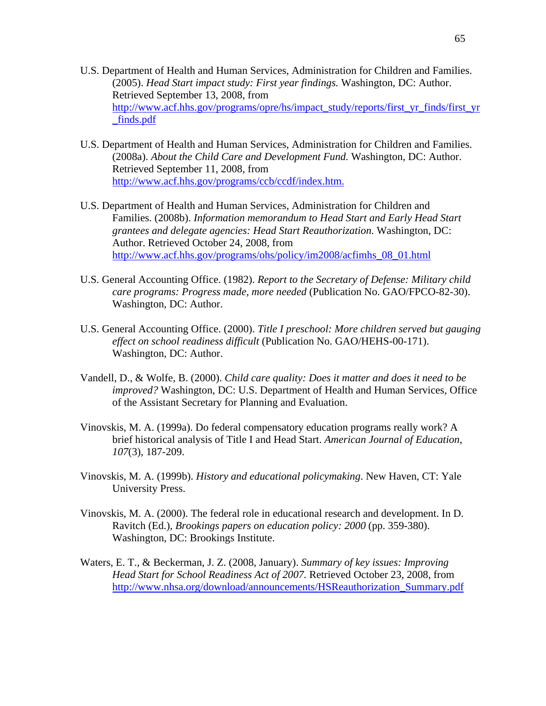- U.S. Department of Health and Human Services, Administration for Children and Families. (2005). *Head Start impact study: First year findings.* Washington, DC: Author. Retrieved September 13, 2008, from http://www.acf.hhs.gov/programs/opre/hs/impact\_study/reports/first\_yr\_finds/first\_yr \_finds.pdf
- U.S. Department of Health and Human Services, Administration for Children and Families. (2008a). *About the Child Care and Development Fund.* Washington, DC: Author. Retrieved September 11, 2008, from http://www.acf.hhs.gov/programs/ccb/ccdf/index.htm.
- U.S. Department of Health and Human Services, Administration for Children and Families. (2008b). *Information memorandum to Head Start and Early Head Start grantees and delegate agencies: Head Start Reauthorization*. Washington, DC: Author. Retrieved October 24, 2008, from http://www.acf.hhs.gov/programs/ohs/policy/im2008/acfimhs\_08\_01.html
- U.S. General Accounting Office. (1982). *Report to the Secretary of Defense: Military child care programs: Progress made, more needed* (Publication No. GAO/FPCO-82-30). Washington, DC: Author.
- U.S. General Accounting Office. (2000). *Title I preschool: More children served but gauging effect on school readiness difficult* (Publication No. GAO/HEHS-00-171). Washington, DC: Author.
- Vandell, D., & Wolfe, B. (2000). *Child care quality: Does it matter and does it need to be improved?* Washington, DC: U.S. Department of Health and Human Services, Office of the Assistant Secretary for Planning and Evaluation.
- Vinovskis, M. A. (1999a). Do federal compensatory education programs really work? A brief historical analysis of Title I and Head Start. *American Journal of Education*, *107*(3), 187-209.
- Vinovskis, M. A. (1999b). *History and educational policymaking*. New Haven, CT: Yale University Press.
- Vinovskis, M. A. (2000). The federal role in educational research and development. In D. Ravitch (Ed.), *Brookings papers on education policy: 2000* (pp. 359-380). Washington, DC: Brookings Institute.
- Waters, E. T., & Beckerman, J. Z. (2008, January). *Summary of key issues: Improving Head Start for School Readiness Act of 2007.* Retrieved October 23, 2008, from http://www.nhsa.org/download/announcements/HSReauthorization\_Summary.pdf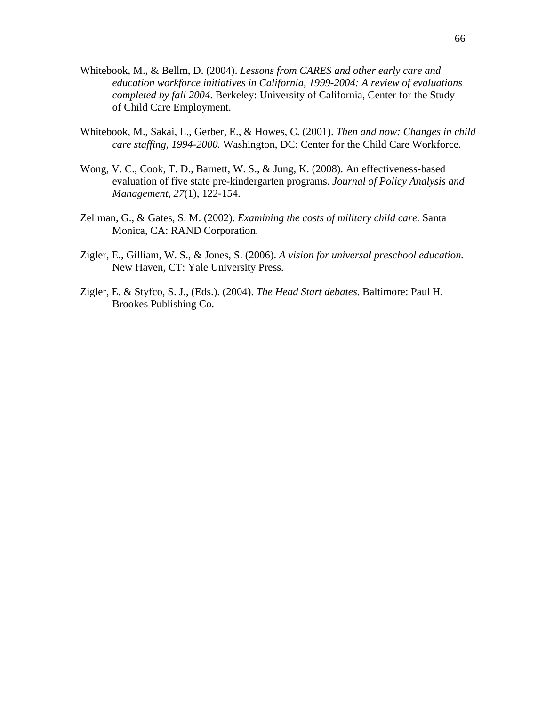- Whitebook, M., & Bellm, D. (2004). *Lessons from CARES and other early care and education workforce initiatives in California, 1999-2004: A review of evaluations completed by fall 2004*. Berkeley: University of California, Center for the Study of Child Care Employment.
- Whitebook, M., Sakai, L., Gerber, E., & Howes, C. (2001). *Then and now: Changes in child care staffing, 1994-2000.* Washington, DC: Center for the Child Care Workforce.
- Wong, V. C., Cook, T. D., Barnett, W. S., & Jung, K. (2008). An effectiveness-based evaluation of five state pre-kindergarten programs. *Journal of Policy Analysis and Management*, *27*(1), 122-154.
- Zellman, G., & Gates, S. M. (2002). *Examining the costs of military child care.* Santa Monica, CA: RAND Corporation.
- Zigler, E., Gilliam, W. S., & Jones, S. (2006). *A vision for universal preschool education.* New Haven, CT: Yale University Press.
- Zigler, E. & Styfco, S. J., (Eds.). (2004). *The Head Start debates*. Baltimore: Paul H. Brookes Publishing Co.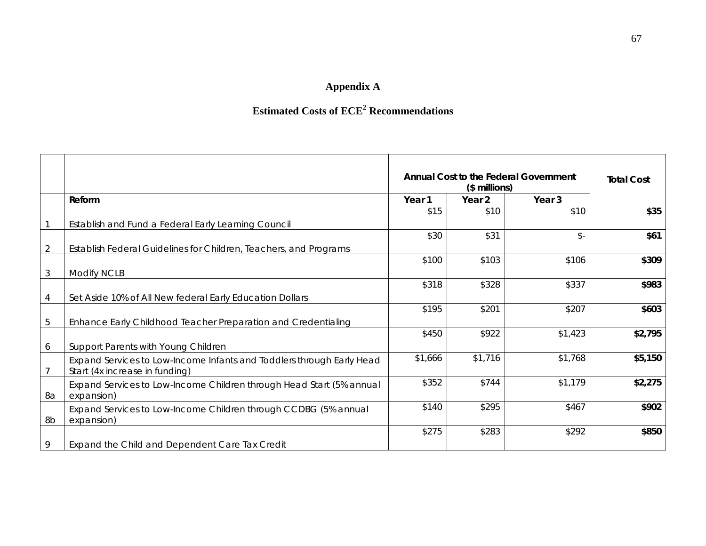# **Appendix A**

# **Estimated Costs of ECE2 Recommendations**

|                |                                                                                                         | Annual Cost to the Federal Government<br>(\$ millions) |         |                 | <b>Total Cost</b> |
|----------------|---------------------------------------------------------------------------------------------------------|--------------------------------------------------------|---------|-----------------|-------------------|
|                | Reform                                                                                                  | Year 1                                                 | Year 2  | Year 3          |                   |
|                | Establish and Fund a Federal Early Learning Council                                                     | \$15                                                   | \$10    | \$10            | \$35              |
| $\overline{2}$ | Establish Federal Guidelines for Children, Teachers, and Programs                                       | \$30                                                   | \$31    | $\mathcal{S}$ - | \$61              |
| $\mathfrak{Z}$ | <b>Modify NCLB</b>                                                                                      | \$100                                                  | \$103   | \$106           | \$309             |
| 4              | Set Aside 10% of All New federal Early Education Dollars                                                | \$318                                                  | \$328   | \$337           | \$983             |
| 5              | Enhance Early Childhood Teacher Preparation and Credentialing                                           | \$195                                                  | \$201   | \$207           | \$603             |
| 6              | Support Parents with Young Children                                                                     | \$450                                                  | \$922   | \$1,423         | \$2,795           |
| $\overline{7}$ | Expand Services to Low-Income Infants and Toddlers through Early Head<br>Start (4x increase in funding) | \$1,666                                                | \$1,716 | \$1,768         | \$5,150           |
| 8a             | Expand Services to Low-Income Children through Head Start (5% annual<br>expansion)                      | \$352                                                  | \$744   | \$1,179         | \$2,275           |
| 8b             | Expand Services to Low-Income Children through CCDBG (5% annual<br>expansion)                           | \$140                                                  | \$295   | \$467           | \$902             |
| 9              | Expand the Child and Dependent Care Tax Credit                                                          | \$275                                                  | \$283   | \$292           | \$850             |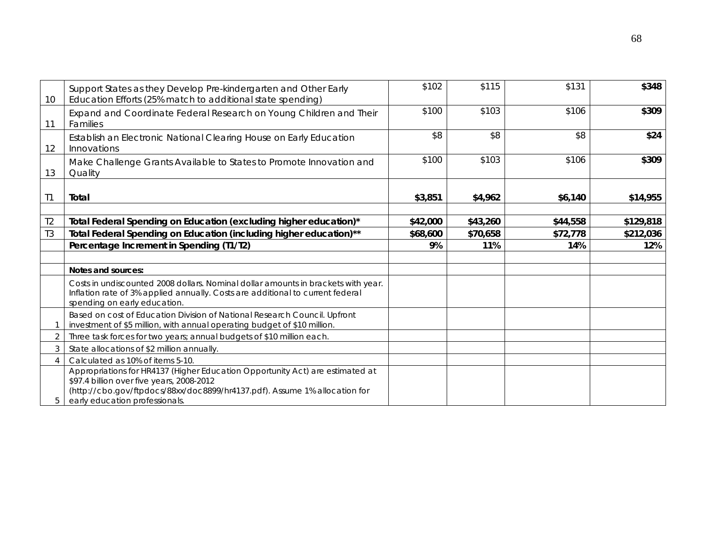| 10             | Support States as they Develop Pre-kindergarten and Other Early<br>Education Efforts (25% match to additional state spending)                                                                                                              | \$102    | \$115    | \$131    | \$348     |
|----------------|--------------------------------------------------------------------------------------------------------------------------------------------------------------------------------------------------------------------------------------------|----------|----------|----------|-----------|
| 11             | Expand and Coordinate Federal Research on Young Children and Their<br>Families                                                                                                                                                             | \$100    | \$103    | \$106    | \$309     |
| 12             | Establish an Electronic National Clearing House on Early Education<br>Innovations                                                                                                                                                          | \$8      | \$8      | \$8      | \$24      |
| 13             | Make Challenge Grants Available to States to Promote Innovation and<br>Quality                                                                                                                                                             | \$100    | \$103    | \$106    | \$309     |
| T <sub>1</sub> | Total                                                                                                                                                                                                                                      | \$3,851  | \$4,962  | \$6,140  | \$14,955  |
| T <sub>2</sub> | Total Federal Spending on Education (excluding higher education)*                                                                                                                                                                          | \$42,000 | \$43,260 | \$44,558 | \$129,818 |
| T <sub>3</sub> | Total Federal Spending on Education (including higher education)**                                                                                                                                                                         | \$68,600 | \$70,658 | \$72,778 | \$212,036 |
|                | Percentage Increment in Spending (T1/T2)                                                                                                                                                                                                   | 9%       | 11%      | 14%      | 12%       |
|                |                                                                                                                                                                                                                                            |          |          |          |           |
|                | Notes and sources:                                                                                                                                                                                                                         |          |          |          |           |
|                | Costs in undiscounted 2008 dollars. Nominal dollar amounts in brackets with year.<br>Inflation rate of 3% applied annually. Costs are additional to current federal<br>spending on early education.                                        |          |          |          |           |
|                | Based on cost of Education Division of National Research Council. Upfront<br>investment of \$5 million, with annual operating budget of \$10 million.                                                                                      |          |          |          |           |
| 2              | Three task forces for two years; annual budgets of \$10 million each.                                                                                                                                                                      |          |          |          |           |
| 3              | State allocations of \$2 million annually.                                                                                                                                                                                                 |          |          |          |           |
| 4              | Calculated as 10% of items 5-10.                                                                                                                                                                                                           |          |          |          |           |
| 5              | Appropriations for HR4137 (Higher Education Opportunity Act) are estimated at<br>\$97.4 billion over five years, 2008-2012<br>(http://cbo.gov/ftpdocs/88xx/doc8899/hr4137.pdf). Assume 1% allocation for<br>early education professionals. |          |          |          |           |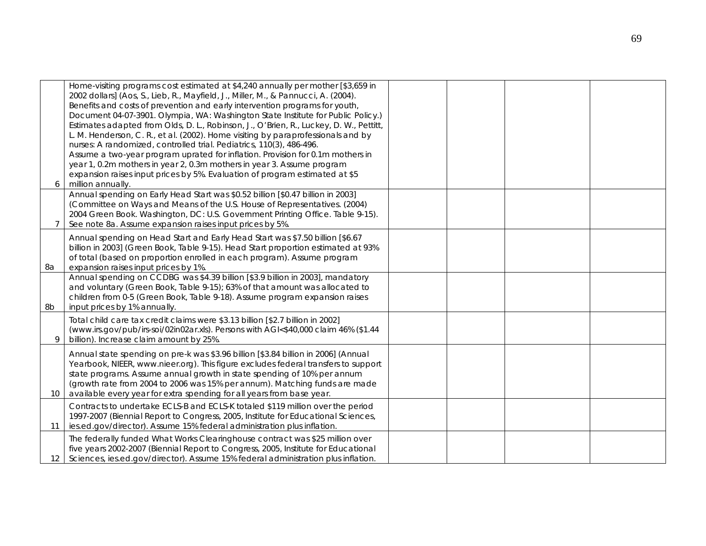|                 | Home-visiting programs cost estimated at \$4,240 annually per mother [\$3,659 in<br>2002 dollars] (Aos, S., Lieb, R., Mayfield, J., Miller, M., & Pannucci, A. (2004). |  |  |
|-----------------|------------------------------------------------------------------------------------------------------------------------------------------------------------------------|--|--|
|                 | Benefits and costs of prevention and early intervention programs for youth,                                                                                            |  |  |
|                 | Document 04-07-3901. Olympia, WA: Washington State Institute for Public Policy.)                                                                                       |  |  |
|                 | Estimates adapted from Olds, D. L., Robinson, J., O'Brien, R., Luckey, D. W., Pettitt,                                                                                 |  |  |
|                 | L. M. Henderson, C. R., et al. (2002). Home visiting by paraprofessionals and by                                                                                       |  |  |
|                 | nurses: A randomized, controlled trial. Pediatrics, 110(3), 486-496.                                                                                                   |  |  |
|                 | Assume a two-year program uprated for inflation. Provision for 0.1m mothers in                                                                                         |  |  |
|                 | year 1, 0.2m mothers in year 2, 0.3m mothers in year 3. Assume program                                                                                                 |  |  |
|                 | expansion raises input prices by 5%. Evaluation of program estimated at \$5                                                                                            |  |  |
| 6               | million annually.                                                                                                                                                      |  |  |
|                 | Annual spending on Early Head Start was \$0.52 billion [\$0.47 billion in 2003]                                                                                        |  |  |
|                 | (Committee on Ways and Means of the U.S. House of Representatives. (2004)                                                                                              |  |  |
|                 | 2004 Green Book. Washington, DC: U.S. Government Printing Office. Table 9-15).                                                                                         |  |  |
| $\overline{7}$  | See note 8a. Assume expansion raises input prices by 5%.                                                                                                               |  |  |
|                 | Annual spending on Head Start and Early Head Start was \$7.50 billion [\$6.67                                                                                          |  |  |
|                 | billion in 2003] (Green Book, Table 9-15). Head Start proportion estimated at 93%                                                                                      |  |  |
|                 | of total (based on proportion enrolled in each program). Assume program                                                                                                |  |  |
| 8a              | expansion raises input prices by 1%.                                                                                                                                   |  |  |
|                 | Annual spending on CCDBG was \$4.39 billion [\$3.9 billion in 2003], mandatory                                                                                         |  |  |
|                 | and voluntary (Green Book, Table 9-15); 63% of that amount was allocated to                                                                                            |  |  |
|                 | children from 0-5 (Green Book, Table 9-18). Assume program expansion raises                                                                                            |  |  |
| 8b              | input prices by 1% annually.                                                                                                                                           |  |  |
|                 | Total child care tax credit claims were \$3.13 billion [\$2.7 billion in 2002]                                                                                         |  |  |
|                 | (www.irs.gov/pub/irs-soi/02in02ar.xls). Persons with AGI<\$40,000 claim 46% (\$1.44                                                                                    |  |  |
| 9               | billion). Increase claim amount by 25%.                                                                                                                                |  |  |
|                 |                                                                                                                                                                        |  |  |
|                 | Annual state spending on pre-k was \$3.96 billion [\$3.84 billion in 2006] (Annual                                                                                     |  |  |
|                 | Yearbook, NIEER, www.nieer.org). This figure excludes federal transfers to support                                                                                     |  |  |
|                 | state programs. Assume annual growth in state spending of 10% per annum                                                                                                |  |  |
|                 | (growth rate from 2004 to 2006 was 15% per annum). Matching funds are made                                                                                             |  |  |
| 10              | available every year for extra spending for all years from base year.                                                                                                  |  |  |
|                 | Contracts to undertake ECLS-B and ECLS-K totaled \$119 million over the period                                                                                         |  |  |
|                 | 1997-2007 (Biennial Report to Congress, 2005, Institute for Educational Sciences,                                                                                      |  |  |
| 11              | ies.ed.gov/director). Assume 15% federal administration plus inflation.                                                                                                |  |  |
|                 | The federally funded What Works Clearinghouse contract was \$25 million over                                                                                           |  |  |
|                 | five years 2002-2007 (Biennial Report to Congress, 2005, Institute for Educational                                                                                     |  |  |
| 12 <sup>1</sup> | Sciences, ies.ed.gov/director). Assume 15% federal administration plus inflation.                                                                                      |  |  |